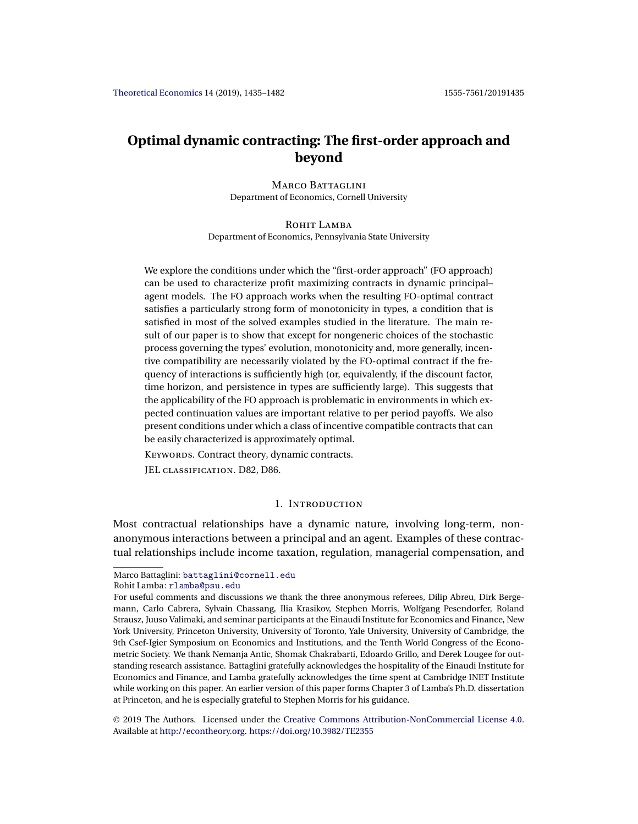# <span id="page-0-0"></span>**Optimal dynamic contracting: The first-order approach and beyond**

MARCO BATTAGLINI Department of Economics, Cornell University

ROHIT LAMBA Department of Economics, Pennsylvania State University

We explore the conditions under which the "first-order approach" (FO approach) can be used to characterize profit maximizing contracts in dynamic principal– agent models. The FO approach works when the resulting FO-optimal contract satisfies a particularly strong form of monotonicity in types, a condition that is satisfied in most of the solved examples studied in the literature. The main result of our paper is to show that except for nongeneric choices of the stochastic process governing the types' evolution, monotonicity and, more generally, incentive compatibility are necessarily violated by the FO-optimal contract if the frequency of interactions is sufficiently high (or, equivalently, if the discount factor, time horizon, and persistence in types are sufficiently large). This suggests that the applicability of the FO approach is problematic in environments in which expected continuation values are important relative to per period payoffs. We also present conditions under which a class of incentive compatible contracts that can be easily characterized is approximately optimal.

KEYWORDS. Contract theory, dynamic contracts.

JEL classification. D82, D86.

### 1. Introduction

Most contractual relationships have a dynamic nature, involving long-term, nonanonymous interactions between a principal and an agent. Examples of these contractual relationships include income taxation, regulation, managerial compensation, and

Marco Battaglini: [battaglini@cornell.edu](mailto:battaglini@cornell.edu)

Rohit Lamba: [rlamba@psu.edu](mailto:rlamba@psu.edu)

For useful comments and discussions we thank the three anonymous referees, Dilip Abreu, Dirk Bergemann, Carlo Cabrera, Sylvain Chassang, Ilia Krasikov, Stephen Morris, Wolfgang Pesendorfer, Roland Strausz, Juuso Valimaki, and seminar participants at the Einaudi Institute for Economics and Finance, New York University, Princeton University, University of Toronto, Yale University, University of Cambridge, the 9th Csef-Igier Symposium on Economics and Institutions, and the Tenth World Congress of the Econometric Society. We thank Nemanja Antic, Shomak Chakrabarti, Edoardo Grillo, and Derek Lougee for outstanding research assistance. Battaglini gratefully acknowledges the hospitality of the Einaudi Institute for Economics and Finance, and Lamba gratefully acknowledges the time spent at Cambridge INET Institute while working on this paper. An earlier version of this paper forms Chapter 3 of Lamba's Ph.D. dissertation at Princeton, and he is especially grateful to Stephen Morris for his guidance.

<sup>©</sup> 2019 The Authors. Licensed under the [Creative Commons Attribution-NonCommercial License 4.0](https://creativecommons.org/licenses/by-nc/4.0/legalcode). Available at [http://econtheory.org.](http://econtheory.org) <https://doi.org/10.3982/TE2355>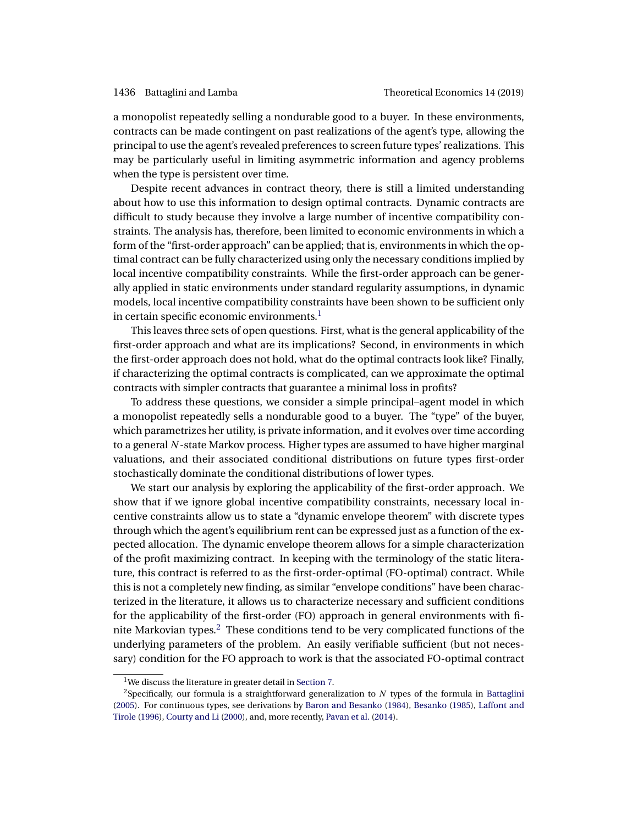<span id="page-1-0"></span>a monopolist repeatedly selling a nondurable good to a buyer. In these environments, contracts can be made contingent on past realizations of the agent's type, allowing the principal to use the agent's revealed preferences to screen future types' realizations. This may be particularly useful in limiting asymmetric information and agency problems when the type is persistent over time.

Despite recent advances in contract theory, there is still a limited understanding about how to use this information to design optimal contracts. Dynamic contracts are difficult to study because they involve a large number of incentive compatibility constraints. The analysis has, therefore, been limited to economic environments in which a form of the "first-order approach" can be applied; that is, environments in which the optimal contract can be fully characterized using only the necessary conditions implied by local incentive compatibility constraints. While the first-order approach can be generally applied in static environments under standard regularity assumptions, in dynamic models, local incentive compatibility constraints have been shown to be sufficient only in certain specific economic environments. $<sup>1</sup>$ </sup>

This leaves three sets of open questions. First, what is the general applicability of the first-order approach and what are its implications? Second, in environments in which the first-order approach does not hold, what do the optimal contracts look like? Finally, if characterizing the optimal contracts is complicated, can we approximate the optimal contracts with simpler contracts that guarantee a minimal loss in profits?

To address these questions, we consider a simple principal–agent model in which a monopolist repeatedly sells a nondurable good to a buyer. The "type" of the buyer, which parametrizes her utility, is private information, and it evolves over time according to a general N-state Markov process. Higher types are assumed to have higher marginal valuations, and their associated conditional distributions on future types first-order stochastically dominate the conditional distributions of lower types.

We start our analysis by exploring the applicability of the first-order approach. We show that if we ignore global incentive compatibility constraints, necessary local incentive constraints allow us to state a "dynamic envelope theorem" with discrete types through which the agent's equilibrium rent can be expressed just as a function of the expected allocation. The dynamic envelope theorem allows for a simple characterization of the profit maximizing contract. In keeping with the terminology of the static literature, this contract is referred to as the first-order-optimal (FO-optimal) contract. While this is not a completely new finding, as similar "envelope conditions" have been characterized in the literature, it allows us to characterize necessary and sufficient conditions for the applicability of the first-order (FO) approach in general environments with finite Markovian types.<sup>2</sup> These conditions tend to be very complicated functions of the underlying parameters of the problem. An easily verifiable sufficient (but not necessary) condition for the FO approach to work is that the associated FO-optimal contract

<sup>&</sup>lt;sup>1</sup>We discuss the literature in greater detail in [Section 7.](#page-23-0)

<sup>&</sup>lt;sup>2</sup>Specifically, our formula is a straightforward generalization to  $N$  types of the formula in [Battaglini](#page-44-0) [\(2005\)](#page-44-0). For continuous types, see derivations by [Baron and Besanko](#page-44-0) [\(1984\)](#page-44-0), [Besanko](#page-44-0) [\(1985\)](#page-44-0), [Laffont and](#page-46-0) [Tirole](#page-46-0) [\(1996\)](#page-46-0), [Courty and Li](#page-45-0) [\(2000\)](#page-45-0), and, more recently, [Pavan et al.](#page-46-0) [\(2014\)](#page-46-0).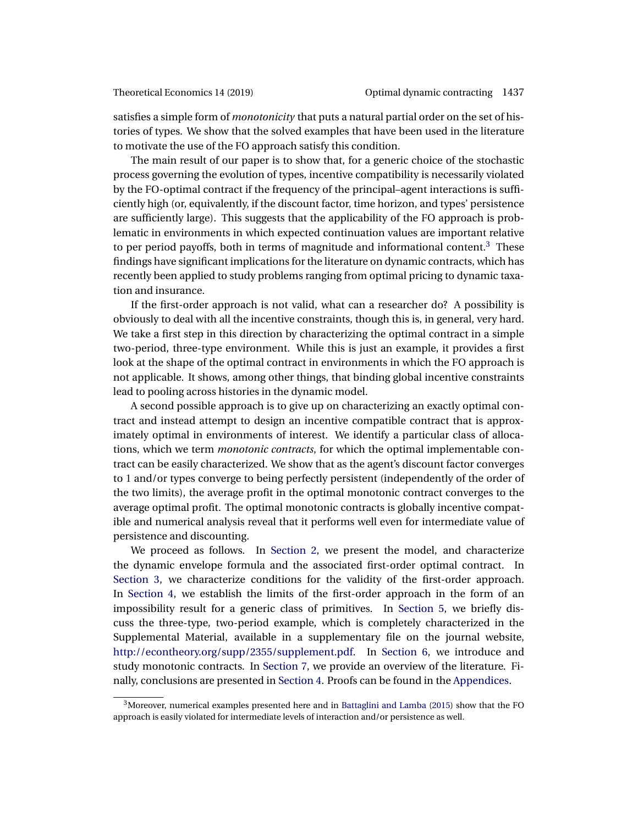<span id="page-2-0"></span>satisfies a simple form of *monotonicity* that puts a natural partial order on the set of histories of types. We show that the solved examples that have been used in the literature to motivate the use of the FO approach satisfy this condition.

The main result of our paper is to show that, for a generic choice of the stochastic process governing the evolution of types, incentive compatibility is necessarily violated by the FO-optimal contract if the frequency of the principal–agent interactions is sufficiently high (or, equivalently, if the discount factor, time horizon, and types' persistence are sufficiently large). This suggests that the applicability of the FO approach is problematic in environments in which expected continuation values are important relative to per period payoffs, both in terms of magnitude and informational content.<sup>3</sup> These findings have significant implications for the literature on dynamic contracts, which has recently been applied to study problems ranging from optimal pricing to dynamic taxation and insurance.

If the first-order approach is not valid, what can a researcher do? A possibility is obviously to deal with all the incentive constraints, though this is, in general, very hard. We take a first step in this direction by characterizing the optimal contract in a simple two-period, three-type environment. While this is just an example, it provides a first look at the shape of the optimal contract in environments in which the FO approach is not applicable. It shows, among other things, that binding global incentive constraints lead to pooling across histories in the dynamic model.

A second possible approach is to give up on characterizing an exactly optimal contract and instead attempt to design an incentive compatible contract that is approximately optimal in environments of interest. We identify a particular class of allocations, which we term *monotonic contracts*, for which the optimal implementable contract can be easily characterized. We show that as the agent's discount factor converges to 1 and/or types converge to being perfectly persistent (independently of the order of the two limits), the average profit in the optimal monotonic contract converges to the average optimal profit. The optimal monotonic contracts is globally incentive compatible and numerical analysis reveal that it performs well even for intermediate value of persistence and discounting.

We proceed as follows. In [Section 2,](#page-3-0) we present the model, and characterize the dynamic envelope formula and the associated first-order optimal contract. In [Section 3,](#page-5-0) we characterize conditions for the validity of the first-order approach. In [Section 4,](#page-12-0) we establish the limits of the first-order approach in the form of an impossibility result for a generic class of primitives. In [Section 5,](#page-20-0) we briefly discuss the three-type, two-period example, which is completely characterized in the Supplemental Material, available in a supplementary file on the journal website, [http://econtheory.org/supp/2355/supplement.pdf.](http://econtheory.org/supp/2355/supplement.pdf) In [Section 6,](#page-21-0) we introduce and study monotonic contracts. In [Section 7,](#page-23-0) we provide an overview of the literature. Finally, conclusions are presented in [Section 4.](#page-12-0) Proofs can be found in the [Appendices.](#page-25-0)

 $3$ Moreover, numerical examples presented here and in [Battaglini and Lamba](#page-44-0) [\(2015\)](#page-44-0) show that the FO approach is easily violated for intermediate levels of interaction and/or persistence as well.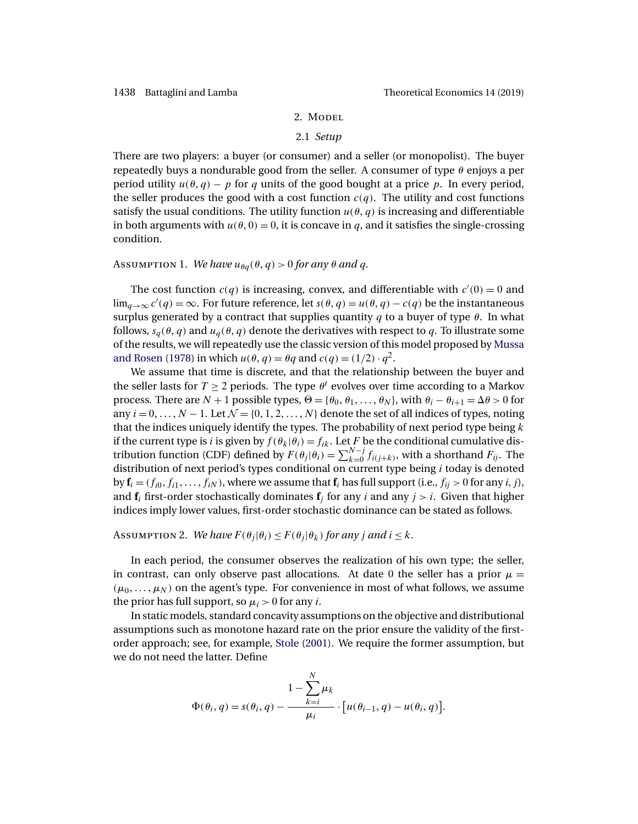### 2. MODEL

#### 2.1 *Setup*

<span id="page-3-0"></span>There are two players: a buyer (or consumer) and a seller (or monopolist). The buyer repeatedly buys a nondurable good from the seller. A consumer of type  $\theta$  enjoys a per period utility  $u(\theta, q) - p$  for q units of the good bought at a price p. In every period, the seller produces the good with a cost function  $c(q)$ . The utility and cost functions satisfy the usual conditions. The utility function  $u(\theta, q)$  is increasing and differentiable in both arguments with  $u(\theta, 0) = 0$ , it is concave in q, and it satisfies the single-crossing condition.

## Assumption 1. *We have*  $u_{\theta q}(\theta, q) > 0$  *for any*  $\theta$  *and*  $q$ .

The cost function  $c(q)$  is increasing, convex, and differentiable with  $c'(0) = 0$  and  $\lim_{q\to\infty} c'(q) = \infty$ . For future reference, let  $s(\theta, q) = u(\theta, q) - c(q)$  be the instantaneous surplus generated by a contract that supplies quantity  $q$  to a buyer of type  $\theta$ . In what follows,  $s_q(\theta, q)$  and  $u_q(\theta, q)$  denote the derivatives with respect to q. To illustrate some of the results, we will repeatedly use the classic version of this model proposed by [Mussa](#page-46-0) [and Rosen](#page-46-0) [\(1978\)](#page-46-0) in which  $u(\theta, q) = \theta q$  and  $c(q) = (1/2) \cdot q^2$ .

We assume that time is discrete, and that the relationship between the buyer and the seller lasts for  $T \ge 2$  periods. The type  $\theta^t$  evolves over time according to a Markov process. There are  $N + 1$  possible types,  $\Theta = {\theta_0, \theta_1, \dots, \theta_N}$ , with  $\theta_i - \theta_{i+1} = \Delta \theta > 0$  for any  $i = 0, \ldots, N - 1$ . Let  $\mathcal{N} = \{0, 1, 2, \ldots, N\}$  denote the set of all indices of types, noting that the indices uniquely identify the types. The probability of next period type being  $k$ if the current type is i is given by  $f(\theta_k|\theta_i) = f_{ik}$ . Let F be the conditional cumulative distribution function (CDF) defined by  $F(\theta_j|\theta_i) = \sum_{k=0}^{N-j} f_{i(j+k)}$ , with a shorthand  $F_{ij}$ . The distribution of next period's types conditional on current type being  $i$  today is denoted by  $\mathbf{f}_i = (f_{i0}, f_{i1}, \dots, f_{iN})$ , where we assume that  $\mathbf{f}_i$  has full support (i.e.,  $f_{ij} > 0$  for any *i*, *j*), and  $f_i$  first-order stochastically dominates  $f_j$  for any i and any  $j > i$ . Given that higher indices imply lower values, first-order stochastic dominance can be stated as follows.

Assumption 2. *We have*  $F(\theta_i|\theta_i) \leq F(\theta_i|\theta_k)$  *for any j and i*  $\leq k$ *.* 

In each period, the consumer observes the realization of his own type; the seller, in contrast, can only observe past allocations. At date 0 the seller has a prior  $\mu =$  $(\mu_0, \ldots, \mu_N)$  on the agent's type. For convenience in most of what follows, we assume the prior has full support, so  $\mu_i > 0$  for any *i*.

In static models, standard concavity assumptions on the objective and distributional assumptions such as monotone hazard rate on the prior ensure the validity of the firstorder approach; see, for example, [Stole](#page-46-0) [\(2001\)](#page-46-0). We require the former assumption, but we do not need the latter. Define

$$
\Phi(\theta_i, q) = s(\theta_i, q) - \frac{1 - \sum_{k=i}^N \mu_k}{\mu_i} \cdot [u(\theta_{i-1}, q) - u(\theta_i, q)].
$$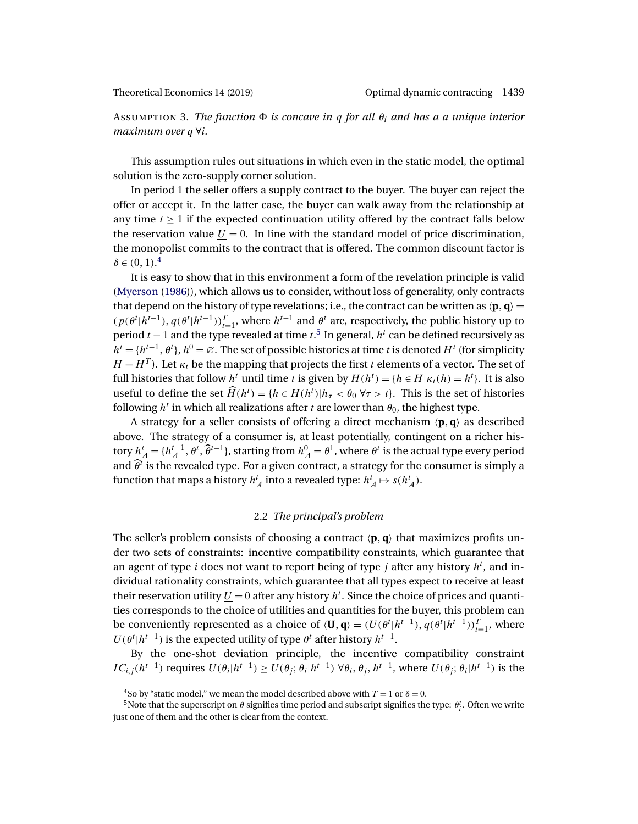<span id="page-4-0"></span>Assumption 3. *The function is concave in* q *for all* θi *and has a a unique interior maximum over* q ∀i*.*

This assumption rules out situations in which even in the static model, the optimal solution is the zero-supply corner solution.

In period 1 the seller offers a supply contract to the buyer. The buyer can reject the offer or accept it. In the latter case, the buyer can walk away from the relationship at any time  $t \geq 1$  if the expected continuation utility offered by the contract falls below the reservation value  $U = 0$ . In line with the standard model of price discrimination, the monopolist commits to the contract that is offered. The common discount factor is  $\delta \in (0,1).^4$ 

It is easy to show that in this environment a form of the revelation principle is valid [\(Myerson](#page-46-0) [\(1986\)](#page-46-0)), which allows us to consider, without loss of generality, only contracts that depend on the history of type revelations; i.e., the contract can be written as  $\langle \mathbf{p}, \mathbf{q} \rangle =$  $(p(\theta^t | h^{t-1}), q(\theta^t | h^{t-1}))_{t=1}^T$ , where  $h^{t-1}$  and  $\theta^t$  are, respectively, the public history up to period  $t-1$  and the type revealed at time  $t.^5$  In general,  $h^t$  can be defined recursively as  $h^t = \{h^{t-1}, \theta^t\}, h^0 = \varnothing$ . The set of possible histories at time t is denoted  $H^t$  (for simplicity  $H = H<sup>T</sup>$ ). Let  $\kappa_t$  be the mapping that projects the first t elements of a vector. The set of full histories that follow  $h^t$  until time t is given by  $H(h^t) = \{h \in H | \kappa_t(h) = h^t\}$ . It is also useful to define the set  $\widehat{H}(h^t) = \{h \in H(h^t) | h_\tau < \theta_0 \,\forall \tau > t\}$ . This is the set of histories following  $h^t$  in which all realizations after t are lower than  $\theta_0$ , the highest type.

A strategy for a seller consists of offering a direct mechanism **pq** as described above. The strategy of a consumer is, at least potentially, contingent on a richer history  $h_A^t = \{h_A^{t-1}, \theta^t, \widehat{\theta}^{t-1}\}$ , starting from  $h_A^0 = \theta^1$ , where  $\theta^t$  is the actual type every period and  $\hat{\theta}^i$  is the revealed type. For a given contract, a strategy for the consumer is simply a function that maps a history  $h_A^t$  into a revealed type:  $h_A^t \mapsto s(h_A^t)$ .

### 2.2 *The principal's problem*

The seller's problem consists of choosing a contract  $\langle \mathbf{p}, \mathbf{q} \rangle$  that maximizes profits under two sets of constraints: incentive compatibility constraints, which guarantee that an agent of type i does not want to report being of type j after any history  $h^t$ , and individual rationality constraints, which guarantee that all types expect to receive at least their reservation utility  $U = 0$  after any history  $h^t$ . Since the choice of prices and quantities corresponds to the choice of utilities and quantities for the buyer, this problem can be conveniently represented as a choice of  $\langle \mathbf{U}, \mathbf{q} \rangle = (U(\theta^t | h^{t-1}), q(\theta^t | h^{t-1}))_{t=1}^T$ , where  $U(\theta^t | h^{t-1})$  is the expected utility of type  $\theta^t$  after history  $h^{t-1}$ .

By the one-shot deviation principle, the incentive compatibility constraint  $IC_{i,j}(h^{t-1})$  requires  $U(\theta_i|h^{t-1}) \ge U(\theta_i;\theta_i|h^{t-1}) \forall \theta_i, \theta_i, h^{t-1}$ , where  $U(\theta_i;\theta_i|h^{t-1})$  is the

<sup>&</sup>lt;sup>4</sup>So by "static model," we mean the model described above with  $T = 1$  or  $\delta = 0$ .

<sup>&</sup>lt;sup>5</sup>Note that the superscript on  $\theta$  signifies time period and subscript signifies the type:  $\theta_i^t$ . Often we write just one of them and the other is clear from the context.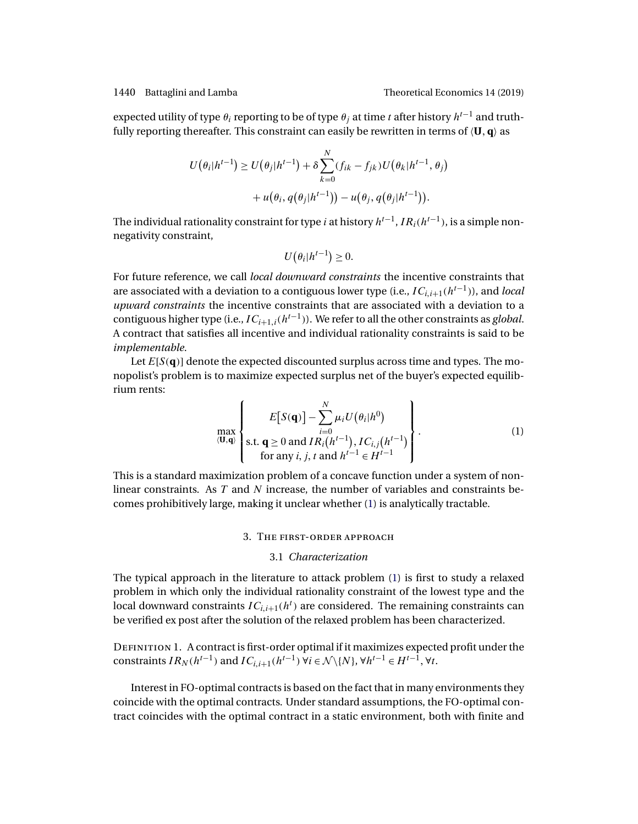<span id="page-5-0"></span>expected utility of type  $\theta_i$  reporting to be of type  $\theta_i$  at time t after history  $h^{t-1}$  and truthfully reporting thereafter. This constraint can easily be rewritten in terms of  $\langle \mathbf{U}, \mathbf{q} \rangle$  as

$$
U(\theta_i|h^{t-1}) \ge U(\theta_j|h^{t-1}) + \delta \sum_{k=0}^N (f_{ik} - f_{jk})U(\theta_k|h^{t-1}, \theta_j)
$$
  
+  $u(\theta_i, q(\theta_j|h^{t-1})) - u(\theta_j, q(\theta_j|h^{t-1})).$ 

The individual rationality constraint for type *i* at history  $h^{t-1}$ ,  $IR_i(h^{t-1})$ , is a simple nonnegativity constraint,

$$
U(\theta_i|h^{t-1})\geq 0.
$$

For future reference, we call *local downward constraints* the incentive constraints that are associated with a deviation to a contiguous lower type (i.e.,  $IC_{i,i+1}(h^{t-1})$ ), and *local upward constraints* the incentive constraints that are associated with a deviation to a contiguous higher type (i.e.,  $IC_{i+1,i}(h^{t-1})$ ). We refer to all the other constraints as *global*. A contract that satisfies all incentive and individual rationality constraints is said to be *implementable*.

Let  $E[S(q)]$  denote the expected discounted surplus across time and types. The monopolist's problem is to maximize expected surplus net of the buyer's expected equilibrium rents:

$$
\max_{(\mathbf{U},\mathbf{q})} \left\{ E[S(\mathbf{q})] - \sum_{i=0}^{N} \mu_i U(\theta_i | h^0) \right\}.
$$
\n
$$
\text{s.t. } \mathbf{q} \ge 0 \text{ and } IR_i(h^{t-1}), IC_{i,j}(h^{t-1}) \right\}.
$$
\n
$$
\text{for any } i, j, t \text{ and } h^{t-1} \in H^{t-1}
$$
\n
$$
(1)
$$

This is a standard maximization problem of a concave function under a system of nonlinear constraints. As T and N increase, the number of variables and constraints becomes prohibitively large, making it unclear whether (1) is analytically tractable.

#### 3. The first-order approach

#### 3.1 *Characterization*

The typical approach in the literature to attack problem (1) is first to study a relaxed problem in which only the individual rationality constraint of the lowest type and the local downward constraints  $IC_{i,i+1}(h^t)$  are considered. The remaining constraints can be verified ex post after the solution of the relaxed problem has been characterized.

DEFINITION 1. A contract is first-order optimal if it maximizes expected profit under the constraints  $IR_N(h^{t-1})$  and  $IC_{i,i+1}(h^{t-1})$   $\forall i \in \mathcal{N} \setminus \{N\}, \forall h^{t-1} \in H^{t-1}, \forall t$ .

Interest in FO-optimal contracts is based on the fact that in many environments they coincide with the optimal contracts. Under standard assumptions, the FO-optimal contract coincides with the optimal contract in a static environment, both with finite and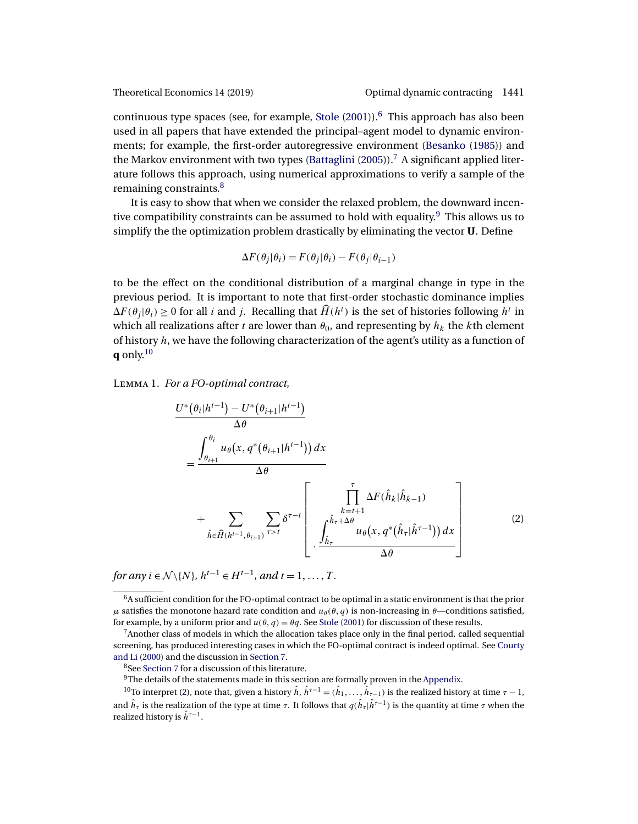<span id="page-6-0"></span>

continuous type spaces (see, for example, [Stole](#page-46-0)  $(2001)$ ).<sup>6</sup> This approach has also been used in all papers that have extended the principal–agent model to dynamic environments; for example, the first-order autoregressive environment [\(Besanko](#page-44-0) [\(1985\)](#page-44-0)) and the Markov environment with two types [\(Battaglini](#page-44-0) [\(2005\)](#page-44-0)).<sup>7</sup> A significant applied literature follows this approach, using numerical approximations to verify a sample of the remaining constraints.<sup>8</sup>

It is easy to show that when we consider the relaxed problem, the downward incentive compatibility constraints can be assumed to hold with equality.<sup>9</sup> This allows us to simplify the the optimization problem drastically by eliminating the vector **U**. Define

$$
\Delta F(\theta_j|\theta_i) = F(\theta_j|\theta_i) - F(\theta_j|\theta_{i-1})
$$

to be the effect on the conditional distribution of a marginal change in type in the previous period. It is important to note that first-order stochastic dominance implies  $\Delta F(\theta_j|\theta_i) \ge 0$  for all *i* and *j*. Recalling that  $\widehat{H}(h^t)$  is the set of histories following  $h^t$  in which all realizations after t are lower than  $\theta_0$ , and representing by  $h_k$  the kth element of history  $h$ , we have the following characterization of the agent's utility as a function of **q** only.<sup>10</sup>

Lemma 1. *For a FO-optimal contract,*

$$
\frac{U^*(\theta_i|h^{t-1}) - U^*(\theta_{i+1}|h^{t-1})}{\Delta \theta}
$$
\n
$$
= \frac{\int_{\theta_{i+1}}^{\theta_i} u_{\theta}(x, q^*(\theta_{i+1}|h^{t-1})) dx}{\Delta \theta}
$$
\n
$$
+ \sum_{\hat{h} \in \widehat{H}(h^{t-1}, \theta_{i+1})} \sum_{\tau > t} \delta^{\tau-t} \left[ \frac{\int_{k=t+1}^{\tau} \Delta F(\hat{h}_k|\hat{h}_{k-1})}{u_{\theta}(x, q^*(\hat{h}_{\tau}|\hat{h}^{\tau-1})) dx} \right]
$$
\n
$$
(2)
$$

*for any*  $i \in \mathcal{N} \setminus \{N\}, h^{t-1} \in H^{t-1}$ *, and*  $t = 1, ..., T$ *.* 

<sup>8</sup>See [Section 7](#page-23-0) for a discussion of this literature.

 $9$ The details of the statements made in this section are formally proven in the [Appendix.](#page-25-0)

 $^{10}$ To interpret (2), note that, given a history  $\hat h$ ,  $\hat h^{\tau-1}=(\hat h_1,\dots,\hat h_{\tau-1})$  is the realized history at time  $\tau-1$ , and  $\hat{h}_{\tau}$  is the realization of the type at time  $\tau$ . It follows that  $q(\hat{h}_{\tau}|\hat{h}^{\tau-1})$  is the quantity at time  $\tau$  when the realized history is  $\hat{h}^{\tau-1}.$ 

 $6A$  sufficient condition for the FO-optimal contract to be optimal in a static environment is that the prior μ satisfies the monotone hazard rate condition and  $u_{\theta}(\theta, q)$  is non-increasing in  $\theta$ —conditions satisfied, for example, by a uniform prior and  $u(\theta, q) = \theta q$ . See [Stole](#page-46-0) [\(2001\)](#page-46-0) for discussion of these results.

<sup>7</sup>Another class of models in which the allocation takes place only in the final period, called sequential screening, has produced interesting cases in which the FO-optimal contract is indeed optimal. See [Courty](#page-45-0) [and Li](#page-45-0) [\(2000\)](#page-45-0) and the discussion in [Section 7.](#page-23-0)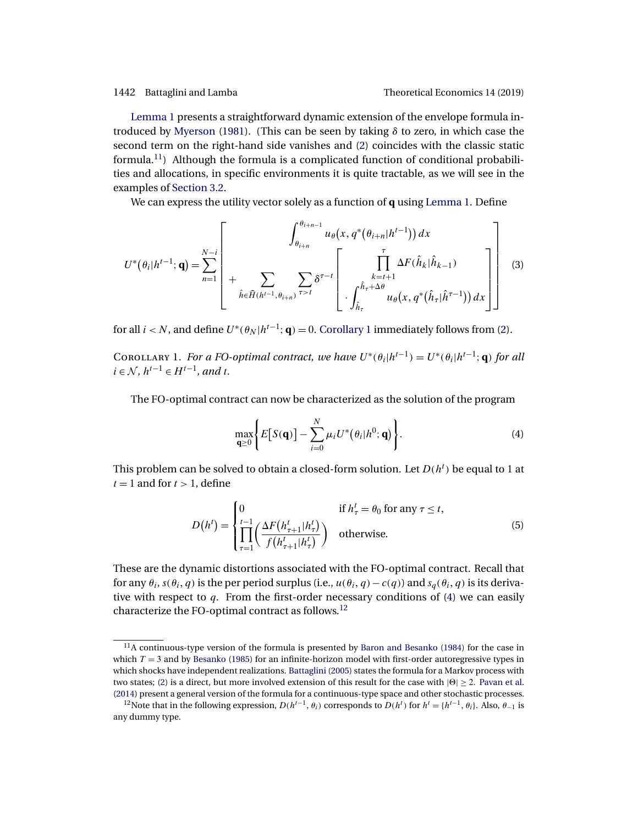<span id="page-7-0"></span>[Lemma 1](#page-6-0) presents a straightforward dynamic extension of the envelope formula introduced by [Myerson](#page-46-0) [\(1981\)](#page-46-0). (This can be seen by taking δ to zero, in which case the second term on the right-hand side vanishes and [\(2\)](#page-6-0) coincides with the classic static formula.<sup>11</sup>) Although the formula is a complicated function of conditional probabilities and allocations, in specific environments it is quite tractable, as we will see in the examples of [Section 3.2.](#page-8-0)

We can express the utility vector solely as a function of **q** using [Lemma 1.](#page-6-0) Define

$$
U^*(\theta_i|h^{t-1};\mathbf{q}) = \sum_{n=1}^{N-i} \left[ \begin{array}{c} \int_{\theta_{i+n}}^{\theta_{i+n-1}} u_{\theta}(x, q^*(\theta_{i+n}|h^{t-1})) dx \\ + \sum_{\hat{h} \in \hat{H}(h^{t-1}, \theta_{i+n})} \sum_{\tau>t} \delta^{\tau-t} \left[ \begin{array}{c} \prod_{k=t+1}^{\tau} \Delta F(\hat{h}_k|\hat{h}_{k-1}) \\ \cdot \int_{\hat{h}_{\tau}}^{\hat{h}_{\tau}+\Delta\theta} u_{\theta}(x, q^*(\hat{h}_{\tau}|\hat{h}^{\tau-1})) dx \end{array} \right] \right]
$$
(3)

for all *i* < *N*, and define  $U^*(\theta_N | h^{t-1}; \mathbf{q}) = 0$ . Corollary 1 immediately follows from [\(2\)](#page-6-0).

COROLLARY 1. *For a FO-optimal contract, we have*  $U^*(\theta_i|h^{t-1}) = U^*(\theta_i|h^{t-1};\mathbf{q})$  *for all i*∈  $N$ *,*  $h^{t-1}$  ∈  $H^{t-1}$ *, and t.* 

The FO-optimal contract can now be characterized as the solution of the program

$$
\max_{\mathbf{q}\geq 0} \Biggl\{ E\bigl[S(\mathbf{q})\bigr] - \sum_{i=0}^{N} \mu_i U^*(\theta_i | h^0; \mathbf{q}) \Biggr\}.
$$
 (4)

This problem can be solved to obtain a closed-form solution. Let  $D(h^t)$  be equal to 1 at  $t = 1$  and for  $t > 1$ , define

$$
D(h^{t}) = \begin{cases} 0 & \text{if } h_{\tau}^{t} = \theta_{0} \text{ for any } \tau \leq t, \\ \prod_{\tau=1}^{t-1} \left( \frac{\Delta F\left(h_{\tau+1}^{t} | h_{\tau}^{t}\right)}{f\left(h_{\tau+1}^{t} | h_{\tau}^{t}\right)} \right) & \text{otherwise.} \end{cases}
$$
(5)

These are the dynamic distortions associated with the FO-optimal contract. Recall that for any  $\theta_i$ ,  $s(\theta_i, q)$  is the per period surplus (i.e.,  $u(\theta_i, q) - c(q)$ ) and  $s_q(\theta_i, q)$  is its derivative with respect to  $q$ . From the first-order necessary conditions of (4) we can easily characterize the FO-optimal contract as follows.<sup>12</sup>

 $11A$  continuous-type version of the formula is presented by [Baron and Besanko](#page-44-0) [\(1984\)](#page-44-0) for the case in which  $T = 3$  and by [Besanko](#page-44-0) [\(1985\)](#page-44-0) for an infinite-horizon model with first-order autoregressive types in which shocks have independent realizations. [Battaglini](#page-44-0) [\(2005\)](#page-44-0) states the formula for a Markov process with two states; [\(2\)](#page-6-0) is a direct, but more involved extension of this result for the case with  $|0| \ge 2$ . [Pavan et al.](#page-46-0) [\(2014\)](#page-46-0) present a general version of the formula for a continuous-type space and other stochastic processes.

<sup>&</sup>lt;sup>12</sup>Note that in the following expression,  $D(h^{t-1}, \theta_i)$  corresponds to  $D(h^t)$  for  $h^t = \{h^{t-1}, \theta_i\}$ . Also,  $\theta_{-1}$  is any dummy type.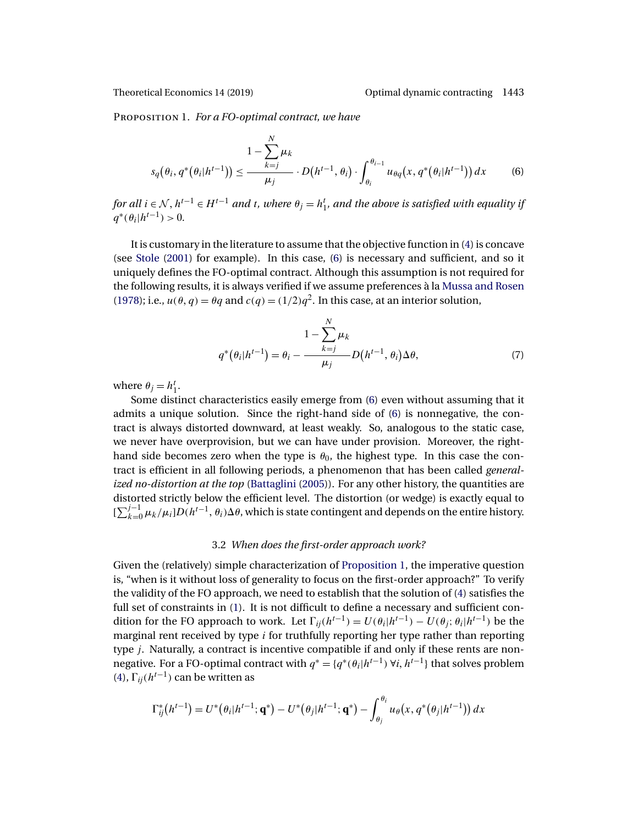<span id="page-8-0"></span>Proposition 1. *For a FO-optimal contract, we have*

$$
s_q(\theta_i, q^*(\theta_i|h^{t-1})) \le \frac{1 - \sum_{k=j}^N \mu_k}{\mu_j} \cdot D(h^{t-1}, \theta_i) \cdot \int_{\theta_i}^{\theta_{i-1}} u_{\theta q}(x, q^*(\theta_i|h^{t-1})) dx \tag{6}
$$

for all  $i \in \mathcal{N},$   $h^{t-1} \in H^{t-1}$  and  $t$ , where  $\theta_j = h^t_1$ , and the above is satisfied with equality if  $q^*(\theta_i|h^{t-1}) > 0$ .

It is customary in the literature to assume that the objective function in [\(4\)](#page-7-0) is concave (see [Stole](#page-46-0) [\(2001\)](#page-46-0) for example). In this case, (6) is necessary and sufficient, and so it uniquely defines the FO-optimal contract. Although this assumption is not required for the following results, it is always verified if we assume preferences à la [Mussa and Rosen](#page-46-0) [\(1978\)](#page-46-0); i.e.,  $u(\theta, q) = \theta q$  and  $c(q) = (1/2)q^2$ . In this case, at an interior solution,

$$
1 - \sum_{k=j}^{N} \mu_k
$$
  
 
$$
q^*(\theta_i|h^{t-1}) = \theta_i - \frac{1 - \sum_{k=j}^{N} \mu_k}{\mu_j} D(h^{t-1}, \theta_i) \Delta \theta, \tag{7}
$$

where  $\theta_j = h_1^t$ .

Some distinct characteristics easily emerge from (6) even without assuming that it admits a unique solution. Since the right-hand side of (6) is nonnegative, the contract is always distorted downward, at least weakly. So, analogous to the static case, we never have overprovision, but we can have under provision. Moreover, the righthand side becomes zero when the type is  $\theta_0$ , the highest type. In this case the contract is efficient in all following periods, a phenomenon that has been called *generalized no-distortion at the top* [\(Battaglini](#page-44-0) [\(2005\)](#page-44-0)). For any other history, the quantities are distorted strictly below the efficient level. The distortion (or wedge) is exactly equal to  $[\sum_{k=0}^{j-1} \mu_k/\mu_i] D(h^{t-1}, \theta_i) \Delta \theta$ , which is state contingent and depends on the entire history.

### 3.2 *When does the first-order approach work?*

Given the (relatively) simple characterization of [Proposition 1,](#page-7-0) the imperative question is, "when is it without loss of generality to focus on the first-order approach?" To verify the validity of the FO approach, we need to establish that the solution of [\(4\)](#page-7-0) satisfies the full set of constraints in [\(1\)](#page-5-0). It is not difficult to define a necessary and sufficient condition for the FO approach to work. Let  $\Gamma_{ii}(h^{t-1}) = U(\theta_i|h^{t-1}) - U(\theta_i;\theta_i|h^{t-1})$  be the marginal rent received by type  $i$  for truthfully reporting her type rather than reporting type j. Naturally, a contract is incentive compatible if and only if these rents are nonnegative. For a FO-optimal contract with  $q^* = \{q^*(\theta_i|h^{t-1}) \forall i, h^{t-1}\}\$  that solves problem [\(4\)](#page-7-0),  $\Gamma_{ii}(h^{t-1})$  can be written as

$$
\Gamma_{ij}^*(h^{t-1}) = U^*(\theta_i|h^{t-1};\mathbf{q}^*) - U^*(\theta_j|h^{t-1};\mathbf{q}^*) - \int_{\theta_j}^{\theta_i} u_\theta(x, q^*(\theta_j|h^{t-1})) dx
$$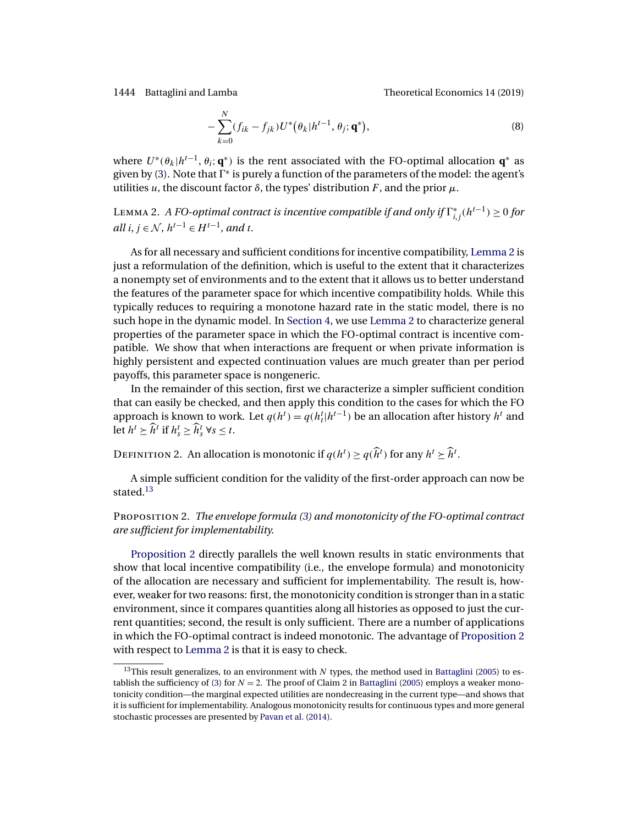<span id="page-9-0"></span>1444 Battaglini and Lamba Theoretical Economics 14 (2019)

$$
-\sum_{k=0}^{N}(f_{ik}-f_{jk})U^*(\theta_k|h^{t-1},\theta_j;\mathbf{q}^*),
$$
\n(8)

where  $U^*(\theta_k|h^{t-1}, \theta_i; \mathbf{q}^*)$  is the rent associated with the FO-optimal allocation  $\mathbf{q}^*$  as given by [\(3\)](#page-7-0). Note that  $\Gamma^*$  is purely a function of the parameters of the model: the agent's utilities u, the discount factor  $\delta$ , the types' distribution F, and the prior  $\mu$ .

L $\textsc{1}$ вмма 2. *A FO-optimal contract is incentive compatible if and only if*  $\Gamma^*_{i,j}(h^{t-1})$  ≥ 0 *for all*  $i, j \in \mathcal{N}$ ,  $h^{t-1} \in H^{t-1}$ , and t.

As for all necessary and sufficient conditions for incentive compatibility, Lemma 2 is just a reformulation of the definition, which is useful to the extent that it characterizes a nonempty set of environments and to the extent that it allows us to better understand the features of the parameter space for which incentive compatibility holds. While this typically reduces to requiring a monotone hazard rate in the static model, there is no such hope in the dynamic model. In [Section 4,](#page-12-0) we use Lemma 2 to characterize general properties of the parameter space in which the FO-optimal contract is incentive compatible. We show that when interactions are frequent or when private information is highly persistent and expected continuation values are much greater than per period payoffs, this parameter space is nongeneric.

In the remainder of this section, first we characterize a simpler sufficient condition that can easily be checked, and then apply this condition to the cases for which the FO approach is known to work. Let  $q(h^t) = q(h^t_t | h^{t-1})$  be an allocation after history  $h^t$  and let  $h^t \geq \widehat{h}^t$  if  $h_s^t \geq \widehat{h}_s^t$   $\forall s \leq t$ .

DEFINITION 2. An allocation is monotonic if  $q(h^t) \geq q(\widehat{h}^t)$  for any  $h^t \geq \widehat{h}^t$ .

A simple sufficient condition for the validity of the first-order approach can now be stated.<sup>13</sup>

## Proposition 2. *The envelope formula [\(3\)](#page-7-0) and monotonicity of the FO-optimal contract are sufficient for implementability.*

Proposition 2 directly parallels the well known results in static environments that show that local incentive compatibility (i.e., the envelope formula) and monotonicity of the allocation are necessary and sufficient for implementability. The result is, however, weaker for two reasons: first, the monotonicity condition is stronger than in a static environment, since it compares quantities along all histories as opposed to just the current quantities; second, the result is only sufficient. There are a number of applications in which the FO-optimal contract is indeed monotonic. The advantage of Proposition 2 with respect to Lemma 2 is that it is easy to check.

<sup>&</sup>lt;sup>13</sup>This result generalizes, to an environment with  $N$  types, the method used in [Battaglini](#page-44-0) [\(2005\)](#page-44-0) to es-tablish the sufficiency of [\(3\)](#page-7-0) for  $N = 2$ . The proof of Claim 2 in [Battaglini](#page-44-0) [\(2005\)](#page-44-0) employs a weaker monotonicity condition—the marginal expected utilities are nondecreasing in the current type—and shows that it is sufficient for implementability. Analogous monotonicity results for continuous types and more general stochastic processes are presented by [Pavan et al.](#page-46-0) [\(2014\)](#page-46-0).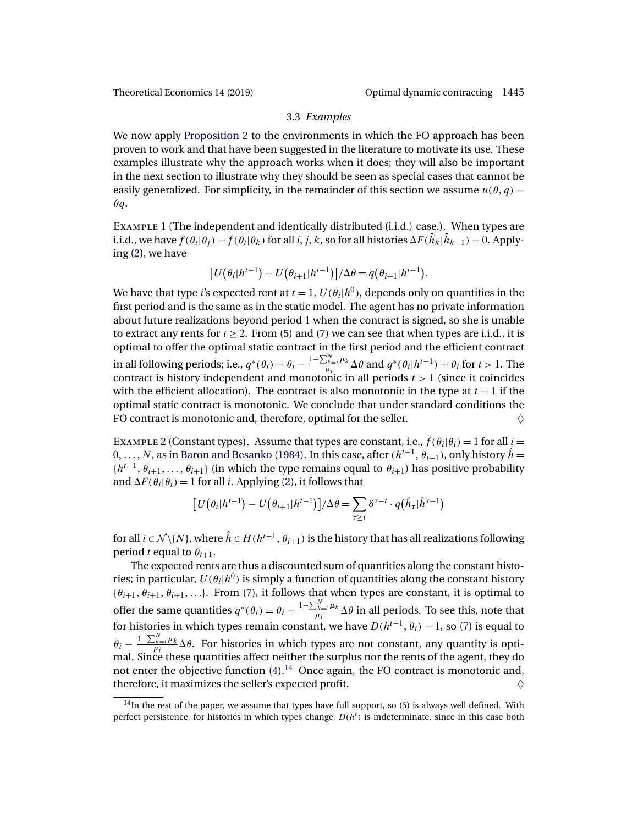#### 3.3 *Examples*

<span id="page-10-0"></span>We now apply [Proposition 2](#page-9-0) to the environments in which the FO approach has been proven to work and that have been suggested in the literature to motivate its use. These examples illustrate why the approach works when it does; they will also be important in the next section to illustrate why they should be seen as special cases that cannot be easily generalized. For simplicity, in the remainder of this section we assume  $u(\theta, q)$  =  $\theta q$ .

Example 1 (The independent and identically distributed (i.i.d.) case.). When types are i.i.d., we have  $f(\theta_i|\theta_j) = f(\theta_i|\theta_k)$  for all  $i, j, k$ , so for all histories  $\Delta F(\hat{h}_k|\hat{h}_{k-1}) = 0$ . Applying [\(2\)](#page-6-0), we have

$$
[U(\theta_i|h^{t-1}) - U(\theta_{i+1}|h^{t-1})]/\Delta \theta = q(\theta_{i+1}|h^{t-1}).
$$

We have that type *i*'s expected rent at  $t = 1$ ,  $U(\theta_i|h^0)$ , depends only on quantities in the first period and is the same as in the static model. The agent has no private information about future realizations beyond period 1 when the contract is signed, so she is unable to extract any rents for  $t > 2$ . From [\(5\)](#page-7-0) and [\(7\)](#page-8-0) we can see that when types are i.i.d., it is optimal to offer the optimal static contract in the first period and the efficient contract in all following periods; i.e.,  $q^*(\theta_i) = \theta_i - \frac{1 - \sum_{k=i}^N \mu_k}{\mu_i} \Delta \theta$  and  $q^*(\theta_i | h^{t-1}) = \theta_i$  for  $t > 1$ . The contract is history independent and monotonic in all periods  $t > 1$  (since it coincides with the efficient allocation). The contract is also monotonic in the type at  $t = 1$  if the optimal static contract is monotonic. We conclude that under standard conditions the FO contract is monotonic and, therefore, optimal for the seller.  $\Diamond$ 

EXAMPLE 2 (Constant types). Assume that types are constant, i.e.,  $f(\theta_i|\theta_i) = 1$  for all  $i =$ 0, ..., N, as in [Baron and Besanko](#page-44-0) [\(1984\)](#page-44-0). In this case, after ( $h^{t-1}$ ,  $\theta_{i+1}$ ), only history  $\hat{h}$  =  ${h<sup>t-1</sup>, \theta_{i+1}, \ldots, \theta_{i+1}}$  (in which the type remains equal to  $\theta_{i+1}$ ) has positive probability and  $\Delta F(\theta_i|\theta_i) = 1$  for all *i*. Applying [\(2\)](#page-6-0), it follows that

$$
\left[U(\theta_i|h^{t-1}) - U(\theta_{i+1}|h^{t-1})\right] / \Delta \theta = \sum_{\tau \geq t} \delta^{\tau-t} \cdot q(\hat{h}_{\tau}|\hat{h}^{\tau-1})
$$

for all  $i \in \mathcal{N} \setminus \{N\}$ , where  $\hat{h} \in H(h^{t-1}, \theta_{i+1})$  is the history that has all realizations following period t equal to  $\theta_{i+1}$ .

The expected rents are thus a discounted sum of quantities along the constant histories; in particular,  $U(\theta_i|h^0)$  is simply a function of quantities along the constant history  ${\theta_{i+1}, \theta_{i+1}, \theta_{i+1}, \ldots}$ . From [\(7\)](#page-8-0), it follows that when types are constant, it is optimal to offer the same quantities  $q^*(\theta_i)=\theta_i-\frac{1-\sum_{k=i}^N\mu_k}{\mu_i}\Delta\theta$  in all periods. To see this, note that for histories in which types remain constant, we have  $D(h^{t-1}, \theta_i) = 1$ , so [\(7\)](#page-8-0) is equal to  $\theta_i - \frac{1-\sum_{k=i}^{N} \mu_k}{\mu_i} \Delta \theta$ . For histories in which types are not constant, any quantity is opti- $\sigma_i = \frac{\mu_i}{\mu_i} \Delta v$ . For matches in which types are not constant, any quantity  $\omega$  open<br>mal. Since these quantities affect neither the surplus nor the rents of the agent, they do not enter the objective function [\(4\)](#page-7-0).14 Once again, the FO contract is monotonic and, therefore, it maximizes the seller's expected profit.  $\Diamond$ 

 $14$ In the rest of the paper, we assume that types have full support, so [\(5\)](#page-7-0) is always well defined. With perfect persistence, for histories in which types change,  $D(h<sup>t</sup>)$  is indeterminate, since in this case both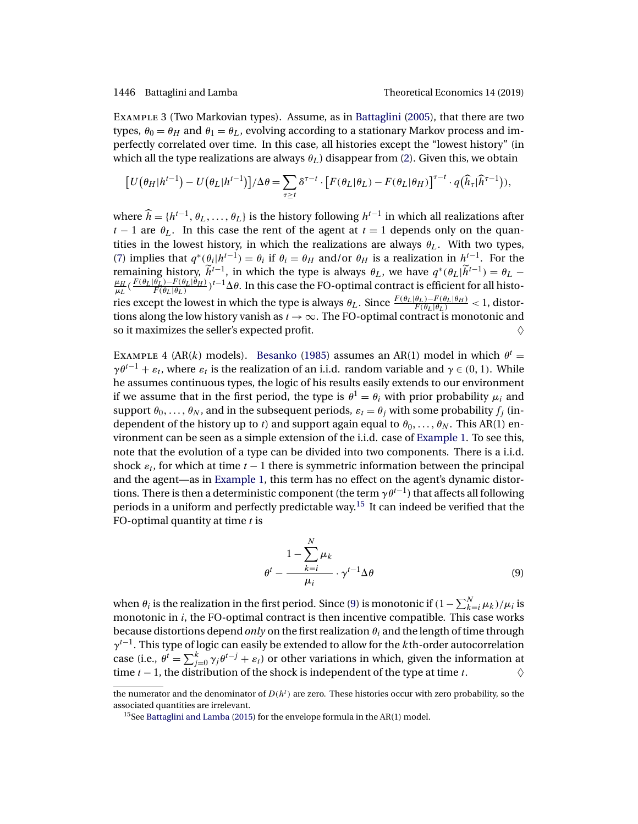<span id="page-11-0"></span>Example 3 (Two Markovian types). Assume, as in [Battaglini](#page-44-0) [\(2005\)](#page-44-0), that there are two types,  $\theta_0 = \theta_H$  and  $\theta_1 = \theta_L$ , evolving according to a stationary Markov process and imperfectly correlated over time. In this case, all histories except the "lowest history" (in which all the type realizations are always  $\theta_L$ ) disappear from [\(2\)](#page-6-0). Given this, we obtain

$$
\left[U\big(\theta_H|h^{t-1}\big) - U\big(\theta_L|h^{t-1}\big)\right] / \Delta \theta = \sum_{\tau \ge t} \delta^{\tau-t} \cdot \left[F\big(\theta_L|\theta_L\big) - F\big(\theta_L|\theta_H\big)\right]^{\tau-t} \cdot q\big(\widehat{h}_{\tau}|\widehat{h}^{\tau-1}\big)\big),
$$

where  $\hat{h} = \{h^{t-1}, \theta_L, \ldots, \theta_L\}$  is the history following  $h^{t-1}$  in which all realizations after  $t - 1$  are  $\theta_L$ . In this case the rent of the agent at  $t = 1$  depends only on the quantities in the lowest history, in which the realizations are always  $\theta_L$ . With two types, [\(7\)](#page-8-0) implies that  $q^*(\theta_i|h^{t-1}) = \theta_i$  if  $\theta_i = \theta_H$  and/or  $\theta_H$  is a realization in  $h^{t-1}$ . For the remaining history,  $\tilde{h}^{t-1}$ , in which the type is always  $\theta_L$ , we have  $q^*(\theta_L|\tilde{h}^{t-1}) = \theta_L - \mu_H \sqrt{F(\theta_L|\theta_L) - F(\theta_L|\theta_H)}$   $\gamma^{t-1}$   $\Delta \theta$ . In this case the FO-ontimal contract is efficient for all histo- $\frac{\mu_H}{\mu_L}(\frac{F(\theta_L|\theta_L)-F(\theta_L|\theta_H)}{F(\theta_L|\theta_L)})^{t-1}\Delta\theta.$  In this case the FO-optimal contract is efficient for all histories except the lowest in which the type is always  $\theta_L$ . Since  $\frac{F(\theta_L|\theta_L)-F(\theta_L|\theta_H)}{F(\theta_L|\theta_L)} < 1$ , distortions along the low history vanish as  $t \to \infty$ . The FO-optimal contract is monotonic and so it maximizes the seller's expected profit.  $\Diamond$ 

EXAMPLE 4 (AR(k) models). [Besanko](#page-44-0) [\(1985\)](#page-44-0) assumes an AR(1) model in which  $\theta^t =$  $\gamma \theta^{t-1} + \varepsilon_t$ , where  $\varepsilon_t$  is the realization of an i.i.d. random variable and  $\gamma \in (0, 1)$ . While he assumes continuous types, the logic of his results easily extends to our environment if we assume that in the first period, the type is  $\theta^1 = \theta_i$  with prior probability  $\mu_i$  and support  $\theta_0, \ldots, \theta_N$ , and in the subsequent periods,  $\varepsilon_t = \theta_i$  with some probability  $f_i$  (independent of the history up to t) and support again equal to  $\theta_0, \ldots, \theta_N$ . This AR(1) environment can be seen as a simple extension of the i.i.d. case of [Example 1.](#page-10-0) To see this, note that the evolution of a type can be divided into two components. There is a i.i.d. shock  $\varepsilon_t$ , for which at time  $t - 1$  there is symmetric information between the principal and the agent—as in [Example 1,](#page-10-0) this term has no effect on the agent's dynamic distortions. There is then a deterministic component (the term  $\gamma \theta^{t-1}$ ) that affects all following periods in a uniform and perfectly predictable way.<sup>15</sup> It can indeed be verified that the FO-optimal quantity at time  $t$  is

$$
\theta^{t} - \frac{1 - \sum_{k=i}^{N} \mu_{k}}{\mu_{i}} \cdot \gamma^{t-1} \Delta \theta \tag{9}
$$

when  $\theta_i$  is the realization in the first period. Since (9) is monotonic if (1 –  $\sum_{k=i}^N \mu_k)/\mu_i$  is monotonic in  $i$ , the FO-optimal contract is then incentive compatible. This case works because distortions depend *only* on the first realization  $\theta_i$  and the length of time through  $\gamma^{t-1}$ . This type of logic can easily be extended to allow for the *k*th-order autocorrelation case (i.e.,  $\theta^t = \sum_{j=0}^k \gamma_j \theta^{t-j} + \varepsilon_t$ ) or other variations in which, given the information at time  $t - 1$ , the distribution of the shock is independent of the type at time  $t$ .  $\diamondsuit$ 

the numerator and the denominator of  $D(h^t)$  are zero. These histories occur with zero probability, so the associated quantities are irrelevant.

<sup>15</sup>See [Battaglini and Lamba](#page-44-0) [\(2015\)](#page-44-0) for the envelope formula in the AR(1) model.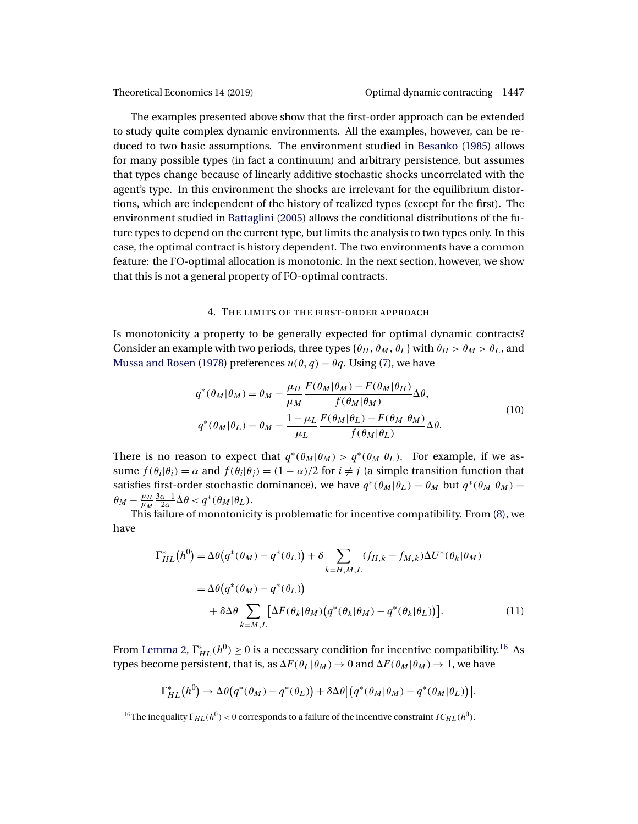<span id="page-12-0"></span>

The examples presented above show that the first-order approach can be extended to study quite complex dynamic environments. All the examples, however, can be reduced to two basic assumptions. The environment studied in [Besanko](#page-44-0) [\(1985\)](#page-44-0) allows for many possible types (in fact a continuum) and arbitrary persistence, but assumes that types change because of linearly additive stochastic shocks uncorrelated with the agent's type. In this environment the shocks are irrelevant for the equilibrium distortions, which are independent of the history of realized types (except for the first). The environment studied in [Battaglini](#page-44-0) [\(2005\)](#page-44-0) allows the conditional distributions of the future types to depend on the current type, but limits the analysis to two types only. In this case, the optimal contract is history dependent. The two environments have a common feature: the FO-optimal allocation is monotonic. In the next section, however, we show that this is not a general property of FO-optimal contracts.

#### 4. The limits of the first-order approach

Is monotonicity a property to be generally expected for optimal dynamic contracts? Consider an example with two periods, three types { $\theta_H$ ,  $\theta_M$ ,  $\theta_L$ } with  $\theta_H > \theta_M > \theta_L$ , and [Mussa and Rosen](#page-46-0) [\(1978\)](#page-46-0) preferences  $u(\theta, q) = \theta q$ . Using [\(7\)](#page-8-0), we have

$$
q^*(\theta_M|\theta_M) = \theta_M - \frac{\mu_H}{\mu_M} \frac{F(\theta_M|\theta_M) - F(\theta_M|\theta_H)}{f(\theta_M|\theta_M)} \Delta\theta,
$$
  

$$
q^*(\theta_M|\theta_L) = \theta_M - \frac{1 - \mu_L}{\mu_L} \frac{F(\theta_M|\theta_L) - F(\theta_M|\theta_M)}{f(\theta_M|\theta_L)} \Delta\theta.
$$
 (10)

There is no reason to expect that  $q^*(\theta_M|\theta_M) > q^*(\theta_M|\theta_L)$ . For example, if we assume  $f(\theta_i|\theta_i) = \alpha$  and  $f(\theta_i|\theta_i) = (1-\alpha)/2$  for  $i \neq j$  (a simple transition function that satisfies first-order stochastic dominance), we have  $q^*(\theta_M|\theta_L) = \theta_M$  but  $q^*(\theta_M|\theta_M) =$  $\theta_M - \frac{\mu_H}{\mu_M}$  $\frac{3\alpha-1}{2\alpha}\Delta\theta < q^*(\theta_M|\theta_L).$ 

This failure of monotonicity is problematic for incentive compatibility. From [\(8\)](#page-9-0), we have

$$
\Gamma_{HL}^*(h^0) = \Delta\theta(q^*(\theta_M) - q^*(\theta_L)) + \delta \sum_{k=H,M,L} (f_{H,k} - f_{M,k})\Delta U^*(\theta_k|\theta_M)
$$
  

$$
= \Delta\theta(q^*(\theta_M) - q^*(\theta_L))
$$
  

$$
+ \delta\Delta\theta \sum_{k=M,L} [\Delta F(\theta_k|\theta_M)(q^*(\theta_k|\theta_M) - q^*(\theta_k|\theta_L))]. \tag{11}
$$

From [Lemma 2,](#page-9-0)  $\Gamma^*_{HL}(h^0) \geq 0$  is a necessary condition for incentive compatibility.<sup>16</sup> As types become persistent, that is, as  $\Delta F(\theta_L|\theta_M) \to 0$  and  $\Delta F(\theta_M|\theta_M) \to 1$ , we have

$$
\Gamma_{HL}^*(h^0) \to \Delta \theta (q^*(\theta_M) - q^*(\theta_L)) + \delta \Delta \theta [(q^*(\theta_M|\theta_M) - q^*(\theta_M|\theta_L))].
$$

<sup>&</sup>lt;sup>16</sup>The inequality  $\Gamma_{HL}(h^0) < 0$  corresponds to a failure of the incentive constraint  $IC_{HL}(h^0)$ .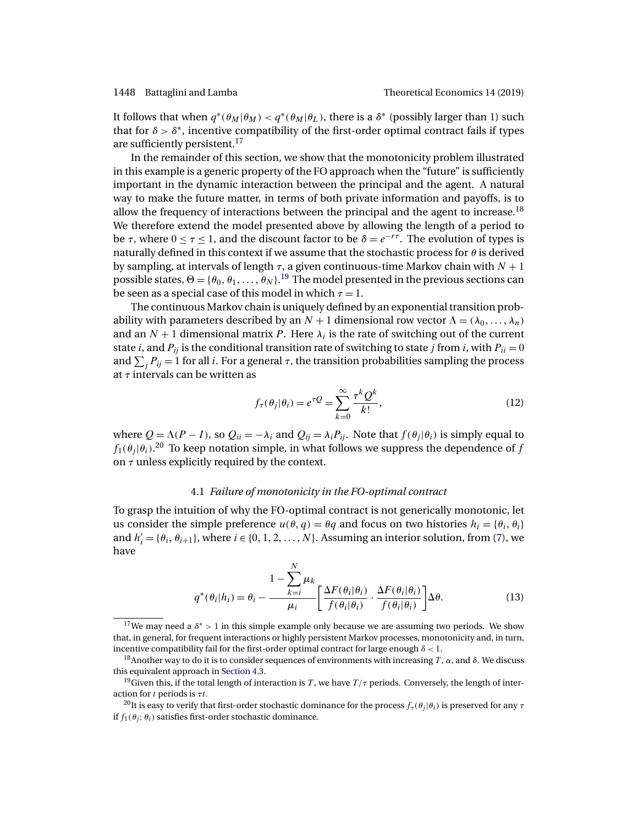<span id="page-13-0"></span>It follows that when  $q^*(\theta_M|\theta_M) < q^*(\theta_M|\theta_L)$ , there is a  $\delta^*$  (possibly larger than 1) such that for  $\delta > \delta^*$ , incentive compatibility of the first-order optimal contract fails if types are sufficiently persistent.<sup>17</sup>

In the remainder of this section, we show that the monotonicity problem illustrated in this example is a generic property of the FO approach when the "future" is sufficiently important in the dynamic interaction between the principal and the agent. A natural way to make the future matter, in terms of both private information and payoffs, is to allow the frequency of interactions between the principal and the agent to increase.<sup>18</sup> We therefore extend the model presented above by allowing the length of a period to be  $\tau$ , where  $0 \le \tau \le 1$ , and the discount factor to be  $\delta = e^{-r\tau}$ . The evolution of types is naturally defined in this context if we assume that the stochastic process for  $\theta$  is derived by sampling, at intervals of length  $\tau$ , a given continuous-time Markov chain with  $N + 1$ possible states,  $\Theta = {\theta_0, \theta_1, \ldots, \theta_N}$ .<sup>19</sup> The model presented in the previous sections can be seen as a special case of this model in which  $\tau = 1$ .

The continuous Markov chain is uniquely defined by an exponential transition probability with parameters described by an  $N + 1$  dimensional row vector  $\Lambda = (\lambda_0, \ldots, \lambda_n)$ and an  $N + 1$  dimensional matrix P. Here  $\lambda_i$  is the rate of switching out of the current state *i*, and  $P_{ij}$  is the conditional transition rate of switching to state *j* from *i*, with  $P_{ii} = 0$ and  $\sum_j P_{ij} = 1$  for all *i*. For a general  $\tau$ , the transition probabilities sampling the process at  $\tau$  intervals can be written as

$$
f_{\tau}(\theta_j|\theta_i) = e^{\tau Q} = \sum_{k=0}^{\infty} \frac{\tau^k Q^k}{k!},
$$
\n(12)

where  $Q = \Lambda(P - I)$ , so  $Q_{ii} = -\lambda_i$  and  $Q_{ij} = \lambda_i P_{ij}$ . Note that  $f(\theta_i | \theta_i)$  is simply equal to  $f_1(\theta_j|\theta_i).^{20}$  To keep notation simple, in what follows we suppress the dependence of  $f$ on  $\tau$  unless explicitly required by the context.

### 4.1 *Failure of monotonicity in the FO-optimal contract*

To grasp the intuition of why the FO-optimal contract is not generically monotonic, let us consider the simple preference  $u(\theta, q) = \theta q$  and focus on two histories  $h_i = {\theta_i, \theta_i}$ and  $h'_{i} = \{\theta_{i}, \theta_{i+1}\}\$ , where  $i \in \{0, 1, 2, ..., N\}$ . Assuming an interior solution, from [\(7\)](#page-8-0), we have

$$
q^*(\theta_i|h_i) = \theta_i - \frac{1 - \sum_{k=i}^N \mu_k}{\mu_i} \left[ \frac{\Delta F(\theta_i|\theta_i)}{f(\theta_i|\theta_i)} \cdot \frac{\Delta F(\theta_i|\theta_i)}{f(\theta_i|\theta_i)} \right] \Delta \theta.
$$
 (13)

<sup>17</sup>We may need a  $\delta^* > 1$  in this simple example only because we are assuming two periods. We show that, in general, for frequent interactions or highly persistent Markov processes, monotonicity and, in turn, incentive compatibility fail for the first-order optimal contract for large enough  $\delta$  < 1.

<sup>&</sup>lt;sup>18</sup>Another way to do it is to consider sequences of environments with increasing T,  $\alpha$ , and  $\delta$ . We discuss this equivalent approach in [Section 4.3.](#page-17-0)

<sup>&</sup>lt;sup>19</sup>Given this, if the total length of interaction is T, we have  $T/\tau$  periods. Conversely, the length of interaction for  $t$  periods is  $\tau t$ .

<sup>&</sup>lt;sup>20</sup>It is easy to verify that first-order stochastic dominance for the process  $f_\tau(\theta_i|\theta_i)$  is preserved for any  $\tau$ if  $f_1(\theta_i; \theta_i)$  satisfies first-order stochastic dominance.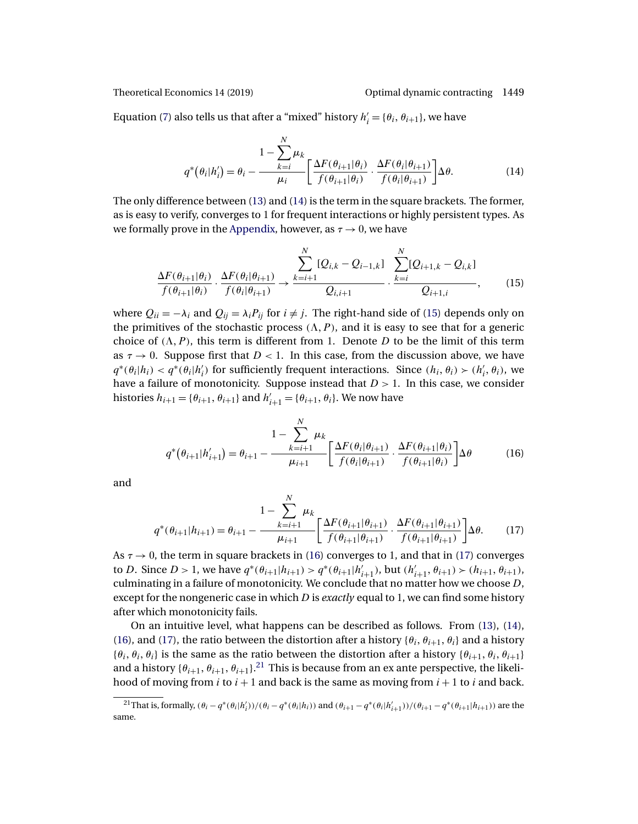<span id="page-14-0"></span>

Equation [\(7\)](#page-8-0) also tells us that after a "mixed" history  $h'_i = \{ \theta_i, \theta_{i+1} \}$ , we have

$$
q^*(\theta_i|h'_i) = \theta_i - \frac{1 - \sum_{k=i}^N \mu_k}{\mu_i} \left[ \frac{\Delta F(\theta_{i+1}|\theta_i)}{f(\theta_{i+1}|\theta_i)} \cdot \frac{\Delta F(\theta_i|\theta_{i+1})}{f(\theta_i|\theta_{i+1})} \right] \Delta \theta.
$$
 (14)

The only difference between [\(13\)](#page-13-0) and (14) is the term in the square brackets. The former, as is easy to verify, converges to 1 for frequent interactions or highly persistent types. As we formally prove in the [Appendix,](#page-25-0) however, as  $\tau \to 0$ , we have

$$
\frac{\Delta F(\theta_{i+1}|\theta_i)}{f(\theta_{i+1}|\theta_i)} \cdot \frac{\Delta F(\theta_i|\theta_{i+1})}{f(\theta_i|\theta_{i+1})} \to \frac{\sum_{k=i+1}^N [Q_{i,k} - Q_{i-1,k}] \cdot \sum_{k=i}^N [Q_{i+1,k} - Q_{i,k}]}{Q_{i+1,k}},
$$
(15)

where  $Q_{ii} = -\lambda_i$  and  $Q_{ij} = \lambda_i P_{ij}$  for  $i \neq j$ . The right-hand side of (15) depends only on the primitives of the stochastic process  $(\Lambda, P)$ , and it is easy to see that for a generic choice of  $(\Lambda, P)$ , this term is different from 1. Denote D to be the limit of this term as  $\tau \to 0$ . Suppose first that  $D < 1$ . In this case, from the discussion above, we have  $q^*(\theta_i|h_i) < q^*(\theta_i|h'_i)$  for sufficiently frequent interactions. Since  $(h_i, \theta_i) > (h'_i, \theta_i)$ , we have a failure of monotonicity. Suppose instead that  $D > 1$ . In this case, we consider histories  $h_{i+1} = \{\theta_{i+1}, \theta_{i+1}\}$  and  $h'_{i+1} = \{\theta_{i+1}, \theta_i\}$ . We now have

$$
q^*(\theta_{i+1}|h'_{i+1}) = \theta_{i+1} - \frac{1 - \sum_{k=i+1}^N \mu_k}{\mu_{i+1}} \left[ \frac{\Delta F(\theta_i|\theta_{i+1})}{f(\theta_i|\theta_{i+1})} \cdot \frac{\Delta F(\theta_{i+1}|\theta_i)}{f(\theta_{i+1}|\theta_i)} \right] \Delta \theta \tag{16}
$$

and

$$
q^*(\theta_{i+1}|h_{i+1}) = \theta_{i+1} - \frac{1 - \sum_{k=i+1}^N \mu_k}{\mu_{i+1}} \left[ \frac{\Delta F(\theta_{i+1}|\theta_{i+1})}{f(\theta_{i+1}|\theta_{i+1})} \cdot \frac{\Delta F(\theta_{i+1}|\theta_{i+1})}{f(\theta_{i+1}|\theta_{i+1})} \right] \Delta \theta. \tag{17}
$$

As  $\tau \rightarrow 0$ , the term in square brackets in (16) converges to 1, and that in (17) converges to D. Since  $D > 1$ , we have  $q^*(\theta_{i+1}|h_{i+1}) > q^*(\theta_{i+1}|h'_{i+1})$ , but  $(h'_{i+1}, \theta_{i+1}) > (h_{i+1}, \theta_{i+1})$ , culminating in a failure of monotonicity. We conclude that no matter how we choose D, except for the nongeneric case in which D is *exactly* equal to 1, we can find some history after which monotonicity fails.

On an intuitive level, what happens can be described as follows. From [\(13\)](#page-13-0), (14), (16), and (17), the ratio between the distortion after a history  $\{\theta_i, \theta_{i+1}, \theta_i\}$  and a history  ${\theta_i, \theta_i, \theta_i}$  is the same as the ratio between the distortion after a history  ${\theta_{i+1}, \theta_i, \theta_{i+1}}$ and a history { $\theta_{i+1}, \theta_{i+1}, \theta_{i+1}$ }.<sup>21</sup> This is because from an ex ante perspective, the likelihood of moving from i to  $i + 1$  and back is the same as moving from  $i + 1$  to i and back.

<sup>&</sup>lt;sup>21</sup>That is, formally,  $(\theta_i - q^*(\theta_i|h'_i)) / (\theta_i - q^*(\theta_i|h_i))$  and  $(\theta_{i+1} - q^*(\theta_i|h'_{i+1})) / (\theta_{i+1} - q^*(\theta_{i+1}|h_{i+1}))$  are the same.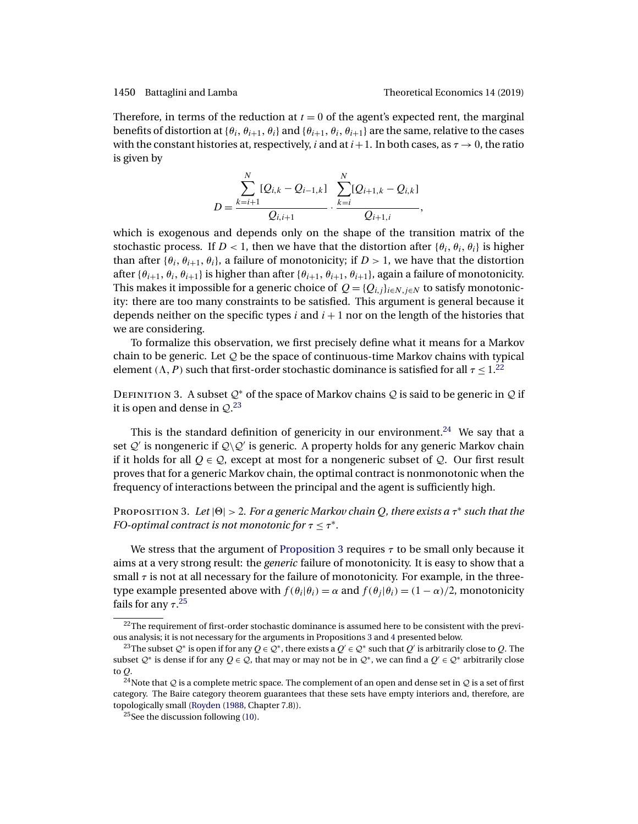<span id="page-15-0"></span>Therefore, in terms of the reduction at  $t = 0$  of the agent's expected rent, the marginal benefits of distortion at  $\{\theta_i, \theta_{i+1}, \theta_i\}$  and  $\{\theta_{i+1}, \theta_i, \theta_{i+1}\}$  are the same, relative to the cases with the constant histories at, respectively, i and at  $i+1$ . In both cases, as  $\tau \to 0$ , the ratio is given by

$$
D = \frac{\sum_{k=i+1}^{N} [Q_{i,k} - Q_{i-1,k}] \sum_{k=i}^{N} [Q_{i+1,k} - Q_{i,k}]}{Q_{i,i+1}}.
$$

which is exogenous and depends only on the shape of the transition matrix of the stochastic process. If  $D < 1$ , then we have that the distortion after  $\{\theta_i, \theta_i, \theta_i\}$  is higher than after  $\{\theta_i, \theta_{i+1}, \theta_i\}$ , a failure of monotonicity; if  $D > 1$ , we have that the distortion after { $\theta_{i+1}, \theta_i, \theta_{i+1}$ } is higher than after { $\theta_{i+1}, \theta_{i+1}, \theta_{i+1}$ }, again a failure of monotonicity. This makes it impossible for a generic choice of  $Q = \{Q_{i,j}\}_{i \in N, j \in N}$  to satisfy monotonicity: there are too many constraints to be satisfied. This argument is general because it depends neither on the specific types i and  $i + 1$  nor on the length of the histories that we are considering.

To formalize this observation, we first precisely define what it means for a Markov chain to be generic. Let  $Q$  be the space of continuous-time Markov chains with typical element ( $\Lambda$ , P) such that first-order stochastic dominance is satisfied for all  $\tau \leq 1$ .<sup>22</sup>

DEFINITION 3. A subset  $Q^*$  of the space of Markov chains  $Q$  is said to be generic in  $Q$  if it is open and dense in  $\mathcal{Q}.^{23}$ 

This is the standard definition of genericity in our environment.<sup>24</sup> We say that a set  $\mathcal{Q}'$  is nongeneric if  $\mathcal{Q}\backslash\mathcal{Q}'$  is generic. A property holds for any generic Markov chain if it holds for all  $Q \in \mathcal{Q}$ , except at most for a nongeneric subset of  $\mathcal{Q}$ . Our first result proves that for a generic Markov chain, the optimal contract is nonmonotonic when the frequency of interactions between the principal and the agent is sufficiently high.

Proposition 3. *Let* || > 2*. For a generic Markov chain* Q*, there exists a* τ<sup>∗</sup> *such that the FO-optimal contract is not monotonic for*  $\tau \leq \tau^*$ .

We stress that the argument of Proposition 3 requires  $\tau$  to be small only because it aims at a very strong result: the *generic* failure of monotonicity. It is easy to show that a small  $\tau$  is not at all necessary for the failure of monotonicity. For example, in the threetype example presented above with  $f(\theta_i|\theta_i) = \alpha$  and  $f(\theta_i|\theta_i) = (1 - \alpha)/2$ , monotonicity fails for any  $\tau.^{25}$ 

 $22$ The requirement of first-order stochastic dominance is assumed here to be consistent with the previous analysis; it is not necessary for the arguments in Propositions 3 and [4](#page-17-0) presented below.

<sup>&</sup>lt;sup>23</sup>The subset  $Q^*$  is open if for any  $Q \in Q^*$ , there exists a  $Q' \in Q^*$  such that  $Q'$  is arbitrarily close to  $Q$ . The subset  $Q^*$  is dense if for any  $Q \in Q$ , that may or may not be in  $Q^*$ , we can find a  $Q' \in Q^*$  arbitrarily close to Q.

<sup>&</sup>lt;sup>24</sup>Note that  $Q$  is a complete metric space. The complement of an open and dense set in  $Q$  is a set of first category. The Baire category theorem guarantees that these sets have empty interiors and, therefore, are topologically small [\(Royden](#page-46-0) [\(1988,](#page-46-0) Chapter 7.8)).

<sup>&</sup>lt;sup>25</sup>See the discussion following  $(10)$ .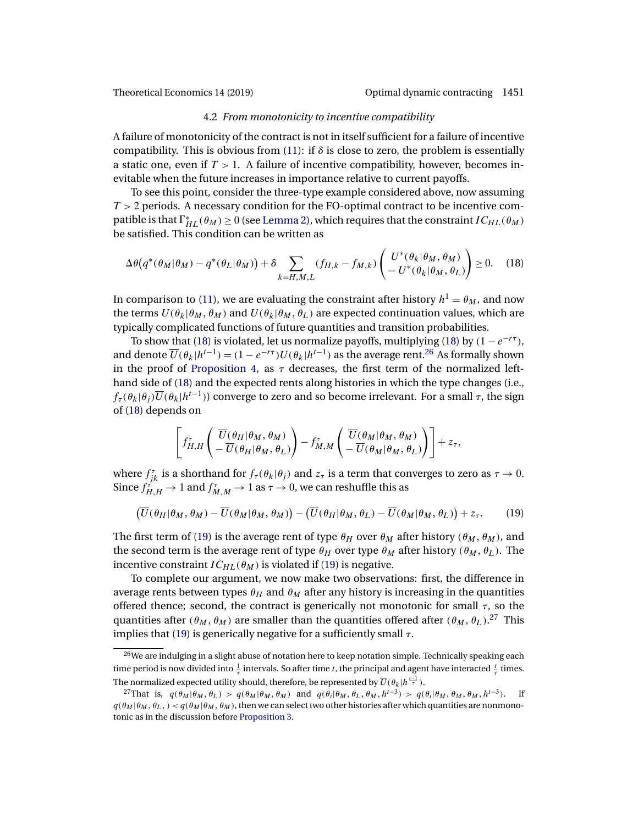#### 4.2 *From monotonicity to incentive compatibility*

<span id="page-16-0"></span>A failure of monotonicity of the contract is not in itself sufficient for a failure of incentive compatibility. This is obvious from [\(11\)](#page-12-0): if  $\delta$  is close to zero, the problem is essentially a static one, even if  $T > 1$ . A failure of incentive compatibility, however, becomes inevitable when the future increases in importance relative to current payoffs.

To see this point, consider the three-type example considered above, now assuming  $T > 2$  periods. A necessary condition for the FO-optimal contract to be incentive compatible is that  $\Gamma^*_{HL}(\theta_M) \ge 0$  (see [Lemma 2\)](#page-9-0), which requires that the constraint  $IC_{HL}(\theta_M)$ be satisfied. This condition can be written as

$$
\Delta\theta(q^*(\theta_M|\theta_M) - q^*(\theta_L|\theta_M)) + \delta \sum_{k=H,M,L} (f_{H,k} - f_{M,k}) \begin{pmatrix} U^*(\theta_k|\theta_M, \theta_M) \\ -U^*(\theta_k|\theta_M, \theta_L) \end{pmatrix} \ge 0.
$$
 (18)

In comparison to [\(11\)](#page-12-0), we are evaluating the constraint after history  $h^1 = \theta_M$ , and now the terms  $U(\theta_k|\theta_M, \theta_M)$  and  $U(\theta_k|\theta_M, \theta_L)$  are expected continuation values, which are typically complicated functions of future quantities and transition probabilities.

To show that (18) is violated, let us normalize payoffs, multiplying (18) by  $(1 - e^{-r\tau})$ , and denote  $\overline{U}(\theta_k|h^{t-1}) = (1 - e^{-r\tau})U(\theta_k|h^{t-1})$  as the average rent.<sup>26</sup> As formally shown in the proof of [Proposition 4,](#page-17-0) as  $\tau$  decreases, the first term of the normalized lefthand side of (18) and the expected rents along histories in which the type changes (i.e.,  $f_\tau(\theta_k|\theta_i)\overline{U}(\theta_k|h^{t-1})$  converge to zero and so become irrelevant. For a small  $\tau$ , the sign of (18) depends on

$$
\left[f_{H,H}^{\tau}\left(\frac{\overline{U}(\theta_{H}|\theta_{M},\theta_{M})}{\overline{U}(\theta_{H}|\theta_{M},\theta_{L})}\right)-f_{M,M}^{\tau}\left(\frac{\overline{U}(\theta_{M}|\theta_{M},\theta_{M})}{\overline{U}(\theta_{M}|\theta_{M},\theta_{L})}\right)\right]+z_{\tau},
$$

where  $f_{jk}^{\tau}$  is a shorthand for  $f_{\tau}(\theta_k|\theta_j)$  and  $z_{\tau}$  is a term that converges to zero as  $\tau \to 0$ . Since  $f_{H,H}^{\tau}\rightarrow 1$  and  $f_{M,M}^{\tau}\rightarrow 1$  as  $\tau\rightarrow 0$ , we can reshuffle this as

$$
\left(\overline{U}(\theta_H|\theta_M,\theta_M)-\overline{U}(\theta_M|\theta_M,\theta_M)\right)-\left(\overline{U}(\theta_H|\theta_M,\theta_L)-\overline{U}(\theta_M|\theta_M,\theta_L)\right)+z_{\tau}.\tag{19}
$$

The first term of (19) is the average rent of type  $\theta_H$  over  $\theta_M$  after history ( $\theta_M$ ,  $\theta_M$ ), and the second term is the average rent of type  $\theta_H$  over type  $\theta_M$  after history  $(\theta_M, \theta_L)$ . The incentive constraint  $IC_{HL}(\theta_M)$  is violated if (19) is negative.

To complete our argument, we now make two observations: first, the difference in average rents between types  $\theta_H$  and  $\theta_M$  after any history is increasing in the quantities offered thence; second, the contract is generically not monotonic for small  $\tau$ , so the quantities after  $(\theta_M, \theta_M)$  are smaller than the quantities offered after  $(\theta_M, \theta_L)$ .<sup>27</sup> This implies that (19) is generically negative for a sufficiently small  $\tau$ .

 $26$ We are indulging in a slight abuse of notation here to keep notation simple. Technically speaking each time period is now divided into  $\frac{1}{\tau}$  intervals. So after time t, the principal and agent have interacted  $\frac{t}{\tau}$  times. The normalized expected utility should, therefore, be represented by  $\overline{U}(\theta_k|h^{\frac{t-1}{\tau}}).$ 

<sup>&</sup>lt;sup>27</sup>That is,  $q(\theta_M | \theta_M, \theta_L) > q(\theta_M | \theta_M, \theta_M)$  and  $q(\theta_i | \theta_M, \theta_L, \theta_M, h^{t-3}) > q(\theta_i | \theta_M, \theta_M, \theta_M, h^{t-3})$ . If  $q(\theta_M | \theta_M, \theta_L) < q(\theta_M | \theta_M, \theta_M)$ , then we can select two other histories after which quantities are nonmonotonic as in the discussion before [Proposition 3.](#page-15-0)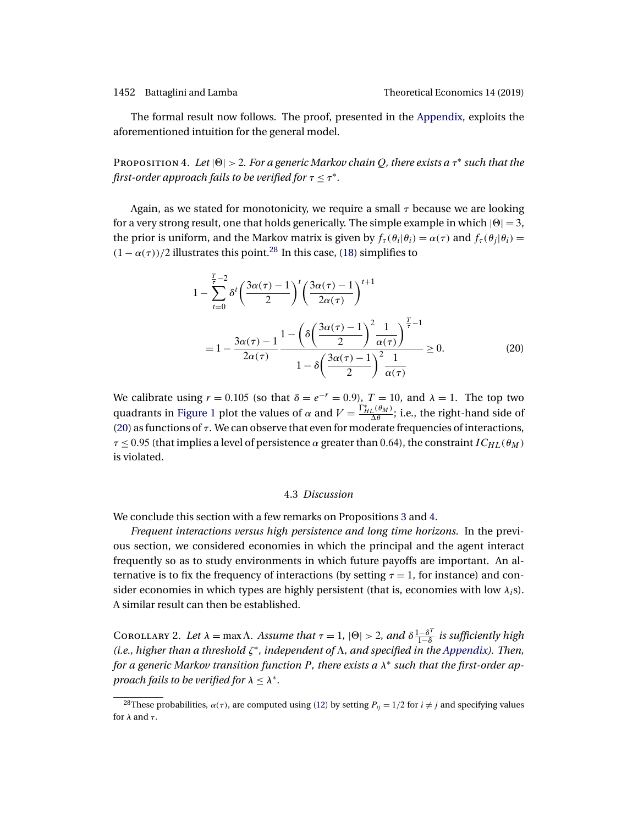<span id="page-17-0"></span>

The formal result now follows. The proof, presented in the [Appendix,](#page-25-0) exploits the aforementioned intuition for the general model.

Proposition 4. *Let* || > 2*. For a generic Markov chain* Q*, there exists a* τ<sup>∗</sup> *such that the first-order approach fails to be verified for*  $\tau \leq \tau^*$ *.* 

Again, as we stated for monotonicity, we require a small  $\tau$  because we are looking for a very strong result, one that holds generically. The simple example in which  $|\Theta| = 3$ , the prior is uniform, and the Markov matrix is given by  $f_{\tau}(\theta_i|\theta_i) = \alpha(\tau)$  and  $f_{\tau}(\theta_i|\theta_i) =$  $(1 - \alpha(\tau))/2$  illustrates this point.<sup>28</sup> In this case, [\(18\)](#page-16-0) simplifies to

$$
1 - \sum_{t=0}^{\frac{T}{2}-2} \delta^t \left(\frac{3\alpha(\tau)-1}{2}\right)^t \left(\frac{3\alpha(\tau)-1}{2\alpha(\tau)}\right)^{t+1}
$$
  
= 
$$
1 - \frac{3\alpha(\tau)-1}{2\alpha(\tau)} \frac{1 - \left(\delta \left(\frac{3\alpha(\tau)-1}{2}\right)^2 \frac{1}{\alpha(\tau)}\right)^{\frac{T}{\tau}-1}}{1 - \delta \left(\frac{3\alpha(\tau)-1}{2}\right)^2 \frac{1}{\alpha(\tau)}} \ge 0.
$$
 (20)

We calibrate using  $r = 0.105$  (so that  $\delta = e^{-r} = 0.9$ ),  $T = 10$ , and  $\lambda = 1$ . The top two quadrants in [Figure 1](#page-18-0) plot the values of  $\alpha$  and  $V = \frac{\Gamma_{HL}^*(\theta_M)}{\Delta \theta}$ ; i.e., the right-hand side of (20) as functions of  $\tau$ . We can observe that even for moderate frequencies of interactions,  $\tau \leq 0.95$  (that implies a level of persistence  $\alpha$  greater than 0.64), the constraint  $IC_{HL}(\theta_M)$ is violated.

#### 4.3 *Discussion*

We conclude this section with a few remarks on Propositions [3](#page-15-0) and 4.

*Frequent interactions versus high persistence and long time horizons*. In the previous section, we considered economies in which the principal and the agent interact frequently so as to study environments in which future payoffs are important. An alternative is to fix the frequency of interactions (by setting  $\tau = 1$ , for instance) and consider economies in which types are highly persistent (that is, economies with low  $\lambda_i$ s). A similar result can then be established.

COROLLARY 2. Let  $\lambda = \max \Lambda$ . Assume that  $\tau = 1$ ,  $|\Theta| > 2$ , and  $\delta \frac{1-\delta^T}{1-\delta}$  is sufficiently high *(i.e., higher than a threshold* ζ∗*, independent of , and specified in the [Appendix\)](#page-25-0). Then, for a generic Markov transition function* P*, there exists a* λ<sup>∗</sup> *such that the first-order approach fails to be verified for*  $\lambda \leq \lambda^*$ .

<sup>&</sup>lt;sup>28</sup>These probabilities,  $\alpha(\tau)$ , are computed using [\(12\)](#page-13-0) by setting  $P_{ii} = 1/2$  for  $i \neq j$  and specifying values for  $\lambda$  and  $\tau$ .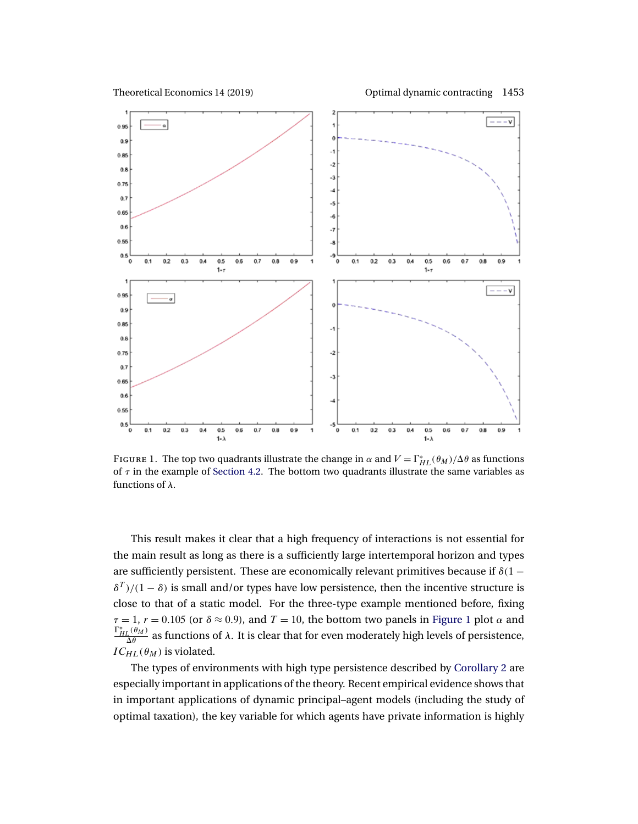<span id="page-18-0"></span>Theoretical Economics 14 (2019) Optimal dynamic contracting 1453



FIGURE 1. The top two quadrants illustrate the change in  $\alpha$  and  $V = \Gamma_{HL}^*(\theta_M)/\Delta\theta$  as functions of  $\tau$  in the example of [Section 4.2.](#page-16-0) The bottom two quadrants illustrate the same variables as functions of  $\lambda$ .

This result makes it clear that a high frequency of interactions is not essential for the main result as long as there is a sufficiently large intertemporal horizon and types are sufficiently persistent. These are economically relevant primitives because if  $\delta(1 \delta^{T}$ )/(1 –  $\delta$ ) is small and/or types have low persistence, then the incentive structure is close to that of a static model. For the three-type example mentioned before, fixing  $\tau = 1$ ,  $r = 0.105$  (or  $\delta \approx 0.9$ ), and  $T = 10$ , the bottom two panels in Figure 1 plot  $\alpha$  and  $\frac{\Gamma_{HL}^*(\theta_M)}{\Delta \theta}$  as functions of λ. It is clear that for even moderately high levels of persistence,  $IC_{HL}(\theta_M)$  is violated.

The types of environments with high type persistence described by [Corollary 2](#page-17-0) are especially important in applications of the theory. Recent empirical evidence shows that in important applications of dynamic principal–agent models (including the study of optimal taxation), the key variable for which agents have private information is highly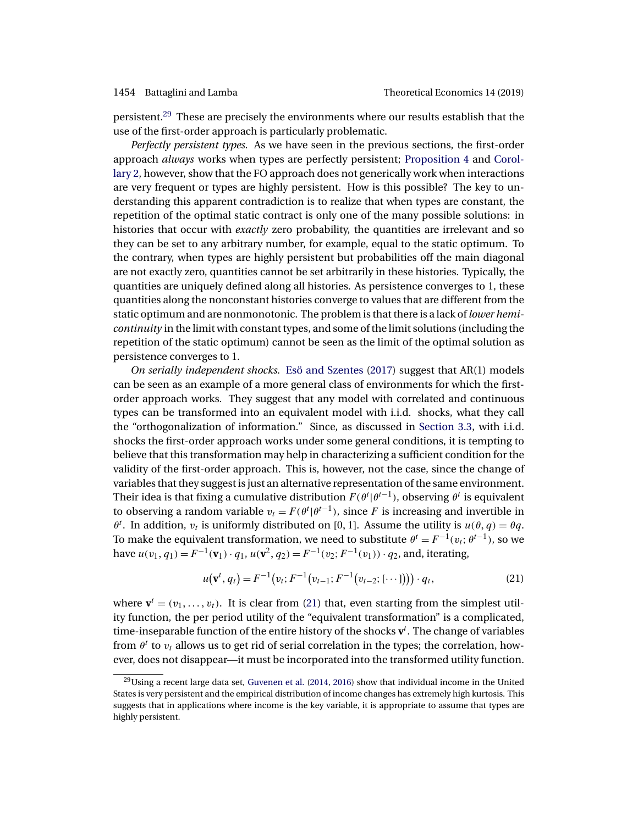<span id="page-19-0"></span>persistent.29 These are precisely the environments where our results establish that the use of the first-order approach is particularly problematic.

*Perfectly persistent types.* As we have seen in the previous sections, the first-order approach *always* works when types are perfectly persistent; [Proposition 4](#page-17-0) and [Corol](#page-17-0)[lary 2,](#page-17-0) however, show that the FO approach does not generically work when interactions are very frequent or types are highly persistent. How is this possible? The key to understanding this apparent contradiction is to realize that when types are constant, the repetition of the optimal static contract is only one of the many possible solutions: in histories that occur with *exactly* zero probability, the quantities are irrelevant and so they can be set to any arbitrary number, for example, equal to the static optimum. To the contrary, when types are highly persistent but probabilities off the main diagonal are not exactly zero, quantities cannot be set arbitrarily in these histories. Typically, the quantities are uniquely defined along all histories. As persistence converges to 1, these quantities along the nonconstant histories converge to values that are different from the static optimum and are nonmonotonic. The problem is that there is a lack of *lower hemicontinuity* in the limit with constant types, and some of the limit solutions (including the repetition of the static optimum) cannot be seen as the limit of the optimal solution as persistence converges to 1.

*On serially independent shocks.* [Esö and Szentes](#page-45-0) [\(2017\)](#page-45-0) suggest that AR(1) models can be seen as an example of a more general class of environments for which the firstorder approach works. They suggest that any model with correlated and continuous types can be transformed into an equivalent model with i.i.d. shocks, what they call the "orthogonalization of information." Since, as discussed in [Section 3.3,](#page-10-0) with i.i.d. shocks the first-order approach works under some general conditions, it is tempting to believe that this transformation may help in characterizing a sufficient condition for the validity of the first-order approach. This is, however, not the case, since the change of variables that they suggest is just an alternative representation of the same environment. Their idea is that fixing a cumulative distribution  $F(\theta^t|\theta^{t-1})$ , observing  $\theta^t$  is equivalent to observing a random variable  $v_t = F(\theta^t | \theta^{t-1})$ , since F is increasing and invertible in  $\theta^t$ . In addition,  $v_t$  is uniformly distributed on [0, 1]. Assume the utility is  $u(\theta, q) = \theta q$ . To make the equivalent transformation, we need to substitute  $\theta^t = F^{-1}(v_t; \theta^{t-1})$ , so we have  $u(v_1, q_1) = F^{-1}(v_1) \cdot q_1$ ,  $u(v^2, q_2) = F^{-1}(v_2; F^{-1}(v_1)) \cdot q_2$ , and, iterating,

$$
u(\mathbf{v}^t, q_t) = F^{-1}(v_t; F^{-1}(v_{t-1}; F^{-1}(v_{t-2}; [\cdots])) \cdot q_t,
$$
\n(21)

where  $\mathbf{v}^t = (v_1, \dots, v_t)$ . It is clear from (21) that, even starting from the simplest utility function, the per period utility of the "equivalent transformation" is a complicated, time-inseparable function of the entire history of the shocks  $v^t$ . The change of variables from  $\theta^t$  to  $v_t$  allows us to get rid of serial correlation in the types; the correlation, however, does not disappear—it must be incorporated into the transformed utility function.

 $29$ Using a recent large data set, [Guvenen et al.](#page-45-0) [\(2014,](#page-45-0) [2016\)](#page-45-0) show that individual income in the United States is very persistent and the empirical distribution of income changes has extremely high kurtosis. This suggests that in applications where income is the key variable, it is appropriate to assume that types are highly persistent.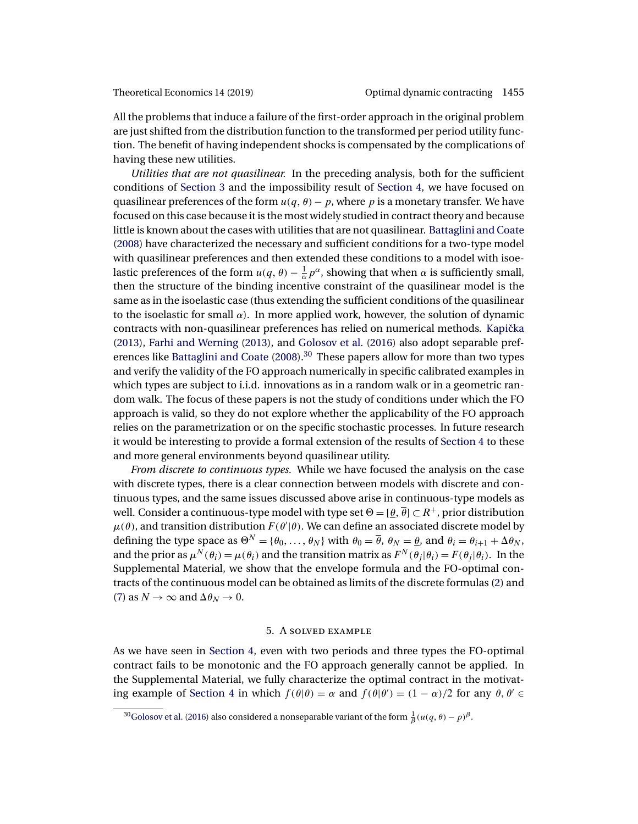<span id="page-20-0"></span>All the problems that induce a failure of the first-order approach in the original problem are just shifted from the distribution function to the transformed per period utility function. The benefit of having independent shocks is compensated by the complications of having these new utilities.

*Utilities that are not quasilinear.* In the preceding analysis, both for the sufficient conditions of [Section 3](#page-5-0) and the impossibility result of [Section 4,](#page-12-0) we have focused on quasilinear preferences of the form  $u(q, \theta) - p$ , where p is a monetary transfer. We have focused on this case because it is the most widely studied in contract theory and because little is known about the cases with utilities that are not quasilinear. [Battaglini and Coate](#page-44-0) [\(2008\)](#page-44-0) have characterized the necessary and sufficient conditions for a two-type model with quasilinear preferences and then extended these conditions to a model with isoelastic preferences of the form  $u(q, \theta) - \frac{1}{\alpha}p^{\alpha}$ , showing that when  $\alpha$  is sufficiently small, then the structure of the binding incentive constraint of the quasilinear model is the same as in the isoelastic case (thus extending the sufficient conditions of the quasilinear to the isoelastic for small  $\alpha$ ). In more applied work, however, the solution of dynamic contracts with non-quasilinear preferences has relied on numerical methods. Kapička [\(2013\)](#page-45-0), [Farhi and Werning](#page-45-0) [\(2013\)](#page-45-0), and [Golosov et al.](#page-45-0) [\(2016\)](#page-45-0) also adopt separable pref-erences like [Battaglini and Coate](#page-44-0)  $(2008)$ <sup>30</sup> These papers allow for more than two types and verify the validity of the FO approach numerically in specific calibrated examples in which types are subject to i.i.d. innovations as in a random walk or in a geometric random walk. The focus of these papers is not the study of conditions under which the FO approach is valid, so they do not explore whether the applicability of the FO approach relies on the parametrization or on the specific stochastic processes. In future research it would be interesting to provide a formal extension of the results of [Section 4](#page-12-0) to these and more general environments beyond quasilinear utility.

*From discrete to continuous types.* While we have focused the analysis on the case with discrete types, there is a clear connection between models with discrete and continuous types, and the same issues discussed above arise in continuous-type models as well. Consider a continuous-type model with type set  $\Theta = [\theta, \overline{\theta}] \subset R^+$ , prior distribution  $\mu(\theta)$ , and transition distribution  $F(\theta'|\theta)$ . We can define an associated discrete model by defining the type space as  $\Theta^N = {\theta_0, \ldots, \theta_N}$  with  $\theta_0 = \overline{\theta}$ ,  $\theta_N = \theta$ , and  $\theta_i = \theta_{i+1} + \Delta \theta_N$ , and the prior as  $\mu^N(\theta_i) = \mu(\theta_i)$  and the transition matrix as  $F^N(\theta_i|\theta_i) = F(\theta_i|\theta_i)$ . In the Supplemental Material, we show that the envelope formula and the FO-optimal contracts of the continuous model can be obtained as limits of the discrete formulas [\(2\)](#page-6-0) and [\(7\)](#page-8-0) as  $N \to \infty$  and  $\Delta \theta_N \to 0$ .

#### 5. A solved example

As we have seen in [Section 4,](#page-12-0) even with two periods and three types the FO-optimal contract fails to be monotonic and the FO approach generally cannot be applied. In the Supplemental Material, we fully characterize the optimal contract in the motivat-ing example of [Section 4](#page-12-0) in which  $f(\theta|\theta) = \alpha$  and  $f(\theta|\theta') = (1 - \alpha)/2$  for any  $\theta, \theta' \in$ 

<sup>&</sup>lt;sup>30</sup>Golosov et al. [\(2016\)](#page-45-0) also considered a nonseparable variant of the form  $\frac{1}{\beta}(u(q, \theta) - p)^\beta$ .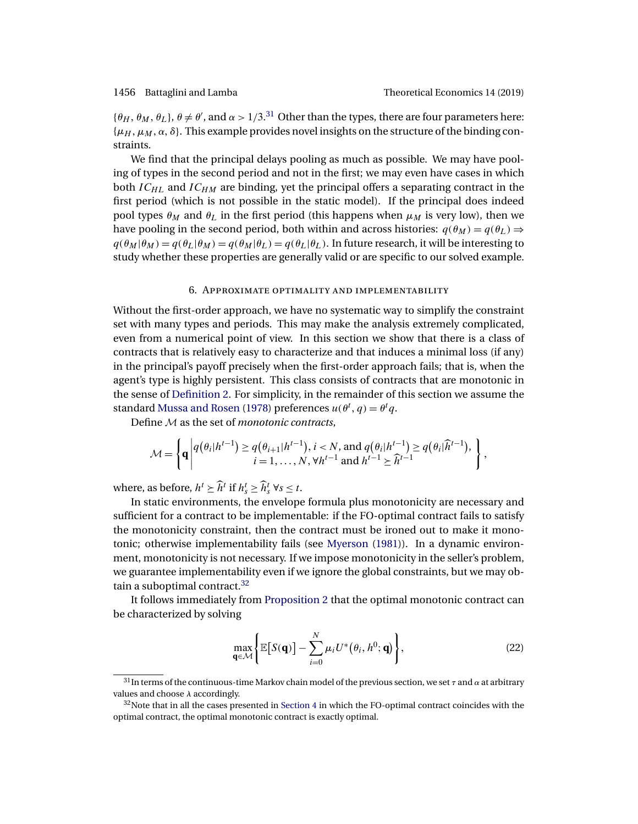<span id="page-21-0"></span> $\{\theta_H, \theta_M, \theta_L\}, \theta \neq \theta'$ , and  $\alpha > 1/3$ .<sup>31</sup> Other than the types, there are four parameters here:  $\{\mu_H, \mu_M, \alpha, \delta\}$ . This example provides novel insights on the structure of the binding constraints.

We find that the principal delays pooling as much as possible. We may have pooling of types in the second period and not in the first; we may even have cases in which both  $IC_{HL}$  and  $IC_{HM}$  are binding, yet the principal offers a separating contract in the first period (which is not possible in the static model). If the principal does indeed pool types  $\theta_M$  and  $\theta_L$  in the first period (this happens when  $\mu_M$  is very low), then we have pooling in the second period, both within and across histories:  $q(\theta_M) = q(\theta_L) \Rightarrow$  $q(\theta_M|\theta_M) = q(\theta_L|\theta_M) = q(\theta_M|\theta_L) = q(\theta_L|\theta_L)$ . In future research, it will be interesting to study whether these properties are generally valid or are specific to our solved example.

#### 6. Approximate optimality and implementability

Without the first-order approach, we have no systematic way to simplify the constraint set with many types and periods. This may make the analysis extremely complicated, even from a numerical point of view. In this section we show that there is a class of contracts that is relatively easy to characterize and that induces a minimal loss (if any) in the principal's payoff precisely when the first-order approach fails; that is, when the agent's type is highly persistent. This class consists of contracts that are monotonic in the sense of [Definition 2.](#page-9-0) For simplicity, in the remainder of this section we assume the standard [Mussa and Rosen](#page-46-0) [\(1978\)](#page-46-0) preferences  $u(\theta^t, q) = \theta^t q$ .

Define M as the set of *monotonic contracts*,

$$
\mathcal{M} = \left\{ \mathbf{q} \middle| \begin{aligned} q(\theta_i|h^{t-1}) &\geq q(\theta_{i+1}|h^{t-1}), i < N, \text{ and } q(\theta_i|h^{t-1}) \geq q(\theta_i|\widehat{h}^{t-1}), \\ i &= 1, \dots, N, \forall h^{t-1} \text{ and } h^{t-1} \geq \widehat{h}^{t-1} \end{aligned} \right\},
$$

where, as before,  $h^t \geq \widehat{h}^t$  if  $h_s^t \geq \widehat{h}_s^t$   $\forall s \leq t$ .

In static environments, the envelope formula plus monotonicity are necessary and sufficient for a contract to be implementable: if the FO-optimal contract fails to satisfy the monotonicity constraint, then the contract must be ironed out to make it monotonic; otherwise implementability fails (see [Myerson](#page-46-0) [\(1981\)](#page-46-0)). In a dynamic environment, monotonicity is not necessary. If we impose monotonicity in the seller's problem, we guarantee implementability even if we ignore the global constraints, but we may obtain a suboptimal contract. $32$ 

It follows immediately from [Proposition 2](#page-9-0) that the optimal monotonic contract can be characterized by solving

$$
\max_{\mathbf{q}\in\mathcal{M}}\Big\{\mathbb{E}\big[S(\mathbf{q})\big]-\sum_{i=0}^{N}\mu_{i}U^{*}\big(\theta_{i},h^{0};\mathbf{q}\big)\Big\},\tag{22}
$$

 $31$ In terms of the continuous-time Markov chain model of the previous section, we set  $\tau$  and  $\alpha$  at arbitrary values and choose  $\lambda$  accordingly.

 $32$ Note that in all the cases presented in [Section 4](#page-12-0) in which the FO-optimal contract coincides with the optimal contract, the optimal monotonic contract is exactly optimal.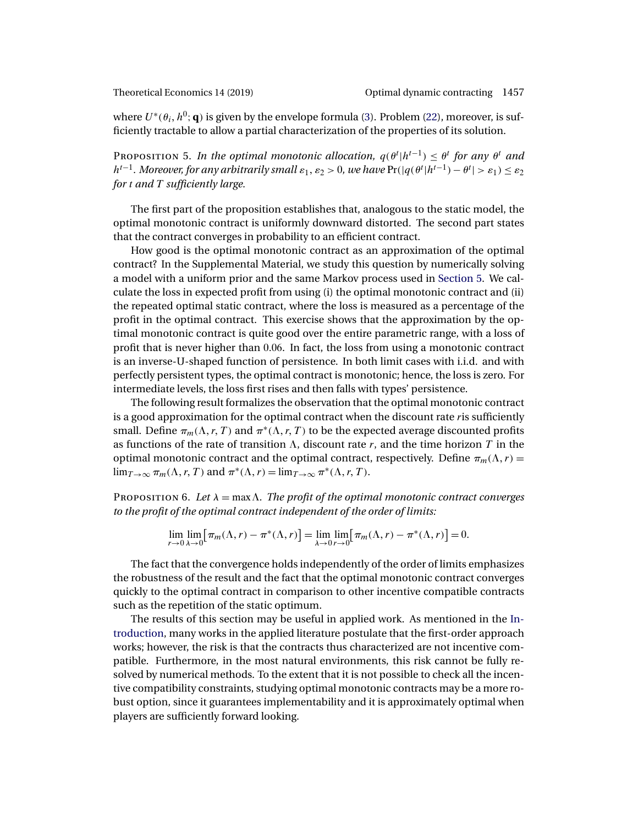<span id="page-22-0"></span>

where  $U^*(\theta_i, h^0; \mathbf{q})$  is given by the envelope formula [\(3\)](#page-7-0). Problem [\(22\)](#page-21-0), moreover, is sufficiently tractable to allow a partial characterization of the properties of its solution.

PROPOSITION 5. In the optimal monotonic allocation,  $q(\theta^t | h^{t-1}) \leq \theta^t$  for any  $\theta^t$  and  $h^{t-1}$ . Moreover, for any arbitrarily small  $\varepsilon_1$ ,  $\varepsilon_2 > 0$ , we have  $\Pr(|q(\theta^t | h^{t-1}) - \theta^t| > \varepsilon_1) \leq \varepsilon_2$ *for* t *and* T *sufficiently large.*

The first part of the proposition establishes that, analogous to the static model, the optimal monotonic contract is uniformly downward distorted. The second part states that the contract converges in probability to an efficient contract.

How good is the optimal monotonic contract as an approximation of the optimal contract? In the Supplemental Material, we study this question by numerically solving a model with a uniform prior and the same Markov process used in [Section 5.](#page-20-0) We calculate the loss in expected profit from using (i) the optimal monotonic contract and (ii) the repeated optimal static contract, where the loss is measured as a percentage of the profit in the optimal contract. This exercise shows that the approximation by the optimal monotonic contract is quite good over the entire parametric range, with a loss of profit that is never higher than 006. In fact, the loss from using a monotonic contract is an inverse-U-shaped function of persistence. In both limit cases with i.i.d. and with perfectly persistent types, the optimal contract is monotonic; hence, the loss is zero. For intermediate levels, the loss first rises and then falls with types' persistence.

The following result formalizes the observation that the optimal monotonic contract is a good approximation for the optimal contract when the discount rate ris sufficiently small. Define  $\pi_m(\Lambda, r, T)$  and  $\pi^*(\Lambda, r, T)$  to be the expected average discounted profits as functions of the rate of transition  $\Lambda$ , discount rate r, and the time horizon T in the optimal monotonic contract and the optimal contract, respectively. Define  $\pi_m(\Lambda, r)$  =  $\lim_{T\to\infty} \pi_m(\Lambda, r, T)$  and  $\pi^*(\Lambda, r) = \lim_{T\to\infty} \pi^*(\Lambda, r, T)$ .

PROPOSITION 6. Let  $\lambda = \max \Lambda$ . The profit of the optimal monotonic contract converges *to the profit of the optimal contract independent of the order of limits:*

$$
\lim_{r \to 0} \lim_{\lambda \to 0} \left[ \pi_m(\Lambda, r) - \pi^*(\Lambda, r) \right] = \lim_{\lambda \to 0} \lim_{r \to 0} \left[ \pi_m(\Lambda, r) - \pi^*(\Lambda, r) \right] = 0.
$$

The fact that the convergence holds independently of the order of limits emphasizes the robustness of the result and the fact that the optimal monotonic contract converges quickly to the optimal contract in comparison to other incentive compatible contracts such as the repetition of the static optimum.

The results of this section may be useful in applied work. As mentioned in the [In](#page-0-0)[troduction,](#page-0-0) many works in the applied literature postulate that the first-order approach works; however, the risk is that the contracts thus characterized are not incentive compatible. Furthermore, in the most natural environments, this risk cannot be fully resolved by numerical methods. To the extent that it is not possible to check all the incentive compatibility constraints, studying optimal monotonic contracts may be a more robust option, since it guarantees implementability and it is approximately optimal when players are sufficiently forward looking.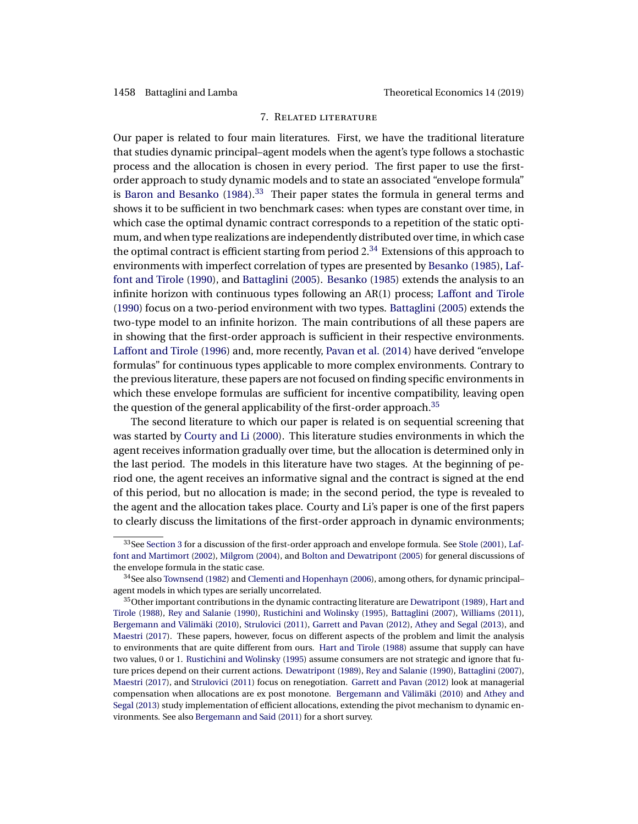### 7. Related literature

<span id="page-23-0"></span>Our paper is related to four main literatures. First, we have the traditional literature that studies dynamic principal–agent models when the agent's type follows a stochastic process and the allocation is chosen in every period. The first paper to use the firstorder approach to study dynamic models and to state an associated "envelope formula" is [Baron and Besanko](#page-44-0)  $(1984)$ <sup>33</sup> Their paper states the formula in general terms and shows it to be sufficient in two benchmark cases: when types are constant over time, in which case the optimal dynamic contract corresponds to a repetition of the static optimum, and when type realizations are independently distributed over time, in which case the optimal contract is efficient starting from period  $2.34$  Extensions of this approach to environments with imperfect correlation of types are presented by [Besanko](#page-44-0) [\(1985\)](#page-44-0), [Laf](#page-46-0)[font and Tirole](#page-46-0) [\(1990\)](#page-46-0), and [Battaglini](#page-44-0) [\(2005\)](#page-44-0). [Besanko](#page-44-0) [\(1985\)](#page-44-0) extends the analysis to an infinite horizon with continuous types following an AR(1) process; [Laffont and Tirole](#page-46-0) [\(1990\)](#page-46-0) focus on a two-period environment with two types. [Battaglini](#page-44-0) [\(2005\)](#page-44-0) extends the two-type model to an infinite horizon. The main contributions of all these papers are in showing that the first-order approach is sufficient in their respective environments. [Laffont and Tirole](#page-46-0) [\(1996\)](#page-46-0) and, more recently, [Pavan et al.](#page-46-0) [\(2014\)](#page-46-0) have derived "envelope formulas" for continuous types applicable to more complex environments. Contrary to the previous literature, these papers are not focused on finding specific environments in which these envelope formulas are sufficient for incentive compatibility, leaving open the question of the general applicability of the first-order approach.<sup>35</sup>

The second literature to which our paper is related is on sequential screening that was started by [Courty and Li](#page-45-0) [\(2000\)](#page-45-0). This literature studies environments in which the agent receives information gradually over time, but the allocation is determined only in the last period. The models in this literature have two stages. At the beginning of period one, the agent receives an informative signal and the contract is signed at the end of this period, but no allocation is made; in the second period, the type is revealed to the agent and the allocation takes place. Courty and Li's paper is one of the first papers to clearly discuss the limitations of the first-order approach in dynamic environments;

<sup>33</sup> See [Section 3](#page-5-0) for a discussion of the first-order approach and envelope formula. See [Stole](#page-46-0) [\(2001\)](#page-46-0), [Laf](#page-45-0)[font and Martimort](#page-45-0) [\(2002\)](#page-45-0), [Milgrom](#page-46-0) [\(2004\)](#page-46-0), and [Bolton and Dewatripont](#page-45-0) [\(2005\)](#page-45-0) for general discussions of the envelope formula in the static case.

<sup>&</sup>lt;sup>34</sup>See also [Townsend](#page-46-0) [\(1982\)](#page-46-0) and [Clementi and Hopenhayn](#page-45-0) [\(2006\)](#page-45-0), among others, for dynamic principal– agent models in which types are serially uncorrelated.

<sup>&</sup>lt;sup>35</sup>Other important contributions in the dynamic contracting literature are [Dewatripont](#page-45-0) [\(1989\)](#page-45-0), [Hart and](#page-45-0) [Tirole](#page-45-0) [\(1988\)](#page-45-0), [Rey and Salanie](#page-46-0) [\(1990\)](#page-46-0), [Rustichini and Wolinsky](#page-46-0) [\(1995\)](#page-46-0), [Battaglini](#page-44-0) [\(2007\)](#page-44-0), [Williams](#page-46-0) [\(2011\)](#page-46-0), [Bergemann and Välimäki](#page-44-0) [\(2010\)](#page-44-0), [Strulovici](#page-46-0) [\(2011\)](#page-46-0), [Garrett and Pavan](#page-45-0) [\(2012\)](#page-45-0), [Athey and Segal](#page-44-0) [\(2013\)](#page-44-0), and [Maestri](#page-46-0) [\(2017\)](#page-46-0). These papers, however, focus on different aspects of the problem and limit the analysis to environments that are quite different from ours. [Hart and Tirole](#page-45-0) [\(1988\)](#page-45-0) assume that supply can have two values, 0 or 1. [Rustichini and Wolinsky](#page-46-0) [\(1995\)](#page-46-0) assume consumers are not strategic and ignore that future prices depend on their current actions. [Dewatripont](#page-45-0) [\(1989\)](#page-45-0), [Rey and Salanie](#page-46-0) [\(1990\)](#page-46-0), [Battaglini](#page-44-0) [\(2007\)](#page-44-0), [Maestri](#page-46-0) [\(2017\)](#page-46-0), and [Strulovici](#page-46-0) [\(2011\)](#page-46-0) focus on renegotiation. [Garrett and Pavan](#page-45-0) [\(2012\)](#page-45-0) look at managerial compensation when allocations are ex post monotone. [Bergemann and Välimäki](#page-44-0) [\(2010\)](#page-44-0) and [Athey and](#page-44-0) [Segal](#page-44-0) [\(2013\)](#page-44-0) study implementation of efficient allocations, extending the pivot mechanism to dynamic environments. See also [Bergemann and Said](#page-44-0) [\(2011\)](#page-44-0) for a short survey.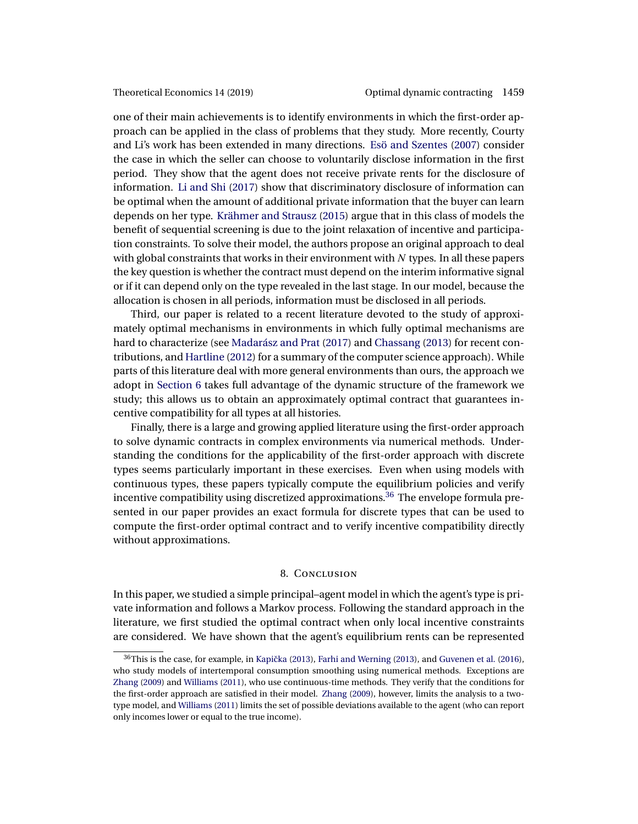<span id="page-24-0"></span>one of their main achievements is to identify environments in which the first-order approach can be applied in the class of problems that they study. More recently, Courty and Li's work has been extended in many directions. [Esö and Szentes](#page-45-0) [\(2007\)](#page-45-0) consider the case in which the seller can choose to voluntarily disclose information in the first period. They show that the agent does not receive private rents for the disclosure of information. [Li and Shi](#page-46-0) [\(2017\)](#page-46-0) show that discriminatory disclosure of information can be optimal when the amount of additional private information that the buyer can learn depends on her type. [Krähmer and Strausz](#page-45-0) [\(2015\)](#page-45-0) argue that in this class of models the benefit of sequential screening is due to the joint relaxation of incentive and participation constraints. To solve their model, the authors propose an original approach to deal with global constraints that works in their environment with  $N$  types. In all these papers the key question is whether the contract must depend on the interim informative signal or if it can depend only on the type revealed in the last stage. In our model, because the allocation is chosen in all periods, information must be disclosed in all periods.

Third, our paper is related to a recent literature devoted to the study of approximately optimal mechanisms in environments in which fully optimal mechanisms are hard to characterize (see [Madarász and Prat](#page-46-0) [\(2017\)](#page-46-0) and [Chassang](#page-45-0) [\(2013\)](#page-45-0) for recent contributions, and [Hartline](#page-45-0) [\(2012\)](#page-45-0) for a summary of the computer science approach). While parts of this literature deal with more general environments than ours, the approach we adopt in [Section 6](#page-21-0) takes full advantage of the dynamic structure of the framework we study; this allows us to obtain an approximately optimal contract that guarantees incentive compatibility for all types at all histories.

Finally, there is a large and growing applied literature using the first-order approach to solve dynamic contracts in complex environments via numerical methods. Understanding the conditions for the applicability of the first-order approach with discrete types seems particularly important in these exercises. Even when using models with continuous types, these papers typically compute the equilibrium policies and verify incentive compatibility using discretized approximations.<sup>36</sup> The envelope formula presented in our paper provides an exact formula for discrete types that can be used to compute the first-order optimal contract and to verify incentive compatibility directly without approximations.

#### 8. Conclusion

In this paper, we studied a simple principal–agent model in which the agent's type is private information and follows a Markov process. Following the standard approach in the literature, we first studied the optimal contract when only local incentive constraints are considered. We have shown that the agent's equilibrium rents can be represented

 $36$ This is the case, for example, in Kapička  $(2013)$ , [Farhi and Werning](#page-45-0)  $(2013)$ , and [Guvenen et al.](#page-45-0)  $(2016)$ , who study models of intertemporal consumption smoothing using numerical methods. Exceptions are [Zhang](#page-47-0) [\(2009\)](#page-47-0) and [Williams](#page-46-0) [\(2011\)](#page-46-0), who use continuous-time methods. They verify that the conditions for the first-order approach are satisfied in their model. [Zhang](#page-47-0) [\(2009\)](#page-47-0), however, limits the analysis to a twotype model, and [Williams](#page-46-0) [\(2011\)](#page-46-0) limits the set of possible deviations available to the agent (who can report only incomes lower or equal to the true income).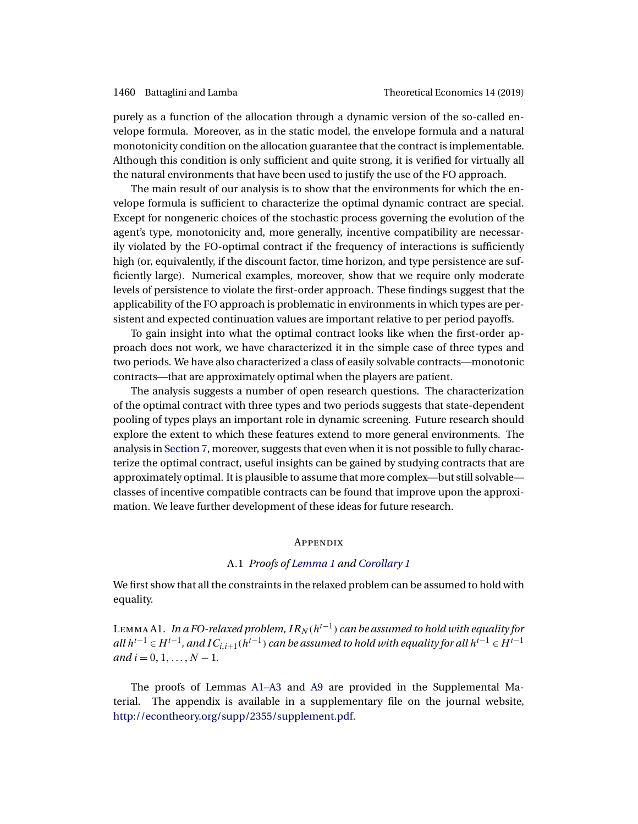<span id="page-25-0"></span>purely as a function of the allocation through a dynamic version of the so-called envelope formula. Moreover, as in the static model, the envelope formula and a natural monotonicity condition on the allocation guarantee that the contract is implementable. Although this condition is only sufficient and quite strong, it is verified for virtually all the natural environments that have been used to justify the use of the FO approach.

The main result of our analysis is to show that the environments for which the envelope formula is sufficient to characterize the optimal dynamic contract are special. Except for nongeneric choices of the stochastic process governing the evolution of the agent's type, monotonicity and, more generally, incentive compatibility are necessarily violated by the FO-optimal contract if the frequency of interactions is sufficiently high (or, equivalently, if the discount factor, time horizon, and type persistence are sufficiently large). Numerical examples, moreover, show that we require only moderate levels of persistence to violate the first-order approach. These findings suggest that the applicability of the FO approach is problematic in environments in which types are persistent and expected continuation values are important relative to per period payoffs.

To gain insight into what the optimal contract looks like when the first-order approach does not work, we have characterized it in the simple case of three types and two periods. We have also characterized a class of easily solvable contracts—monotonic contracts—that are approximately optimal when the players are patient.

The analysis suggests a number of open research questions. The characterization of the optimal contract with three types and two periods suggests that state-dependent pooling of types plays an important role in dynamic screening. Future research should explore the extent to which these features extend to more general environments. The analysis in [Section 7,](#page-23-0) moreover, suggests that even when it is not possible to fully characterize the optimal contract, useful insights can be gained by studying contracts that are approximately optimal. It is plausible to assume that more complex—but still solvable classes of incentive compatible contracts can be found that improve upon the approximation. We leave further development of these ideas for future research.

### **APPENDIX**

## A.1 *Proofs of [Lemma 1](#page-6-0) and [Corollary 1](#page-7-0)*

We first show that all the constraints in the relaxed problem can be assumed to hold with equality.

LEMMA A1. *In a FO-relaxed problem,*  $IR_N(h^{t-1})$  *can be assumed to hold with equality for*  $all h^{t-1} ∈ H^{t-1}$ , and  $IC_{i,i+1}(h^{t-1})$  can be assumed to hold with equality for all  $h^{t-1} ∈ H^{t-1}$ *and*  $i = 0, 1, ..., N - 1$ .

The proofs of Lemmas A1[–A3](#page-29-0) and [A9](#page-39-0) are provided in the Supplemental Material. The appendix is available in a supplementary file on the journal website, [http://econtheory.org/supp/2355/supplement.pdf.](http://econtheory.org/supp/2355/supplement.pdf)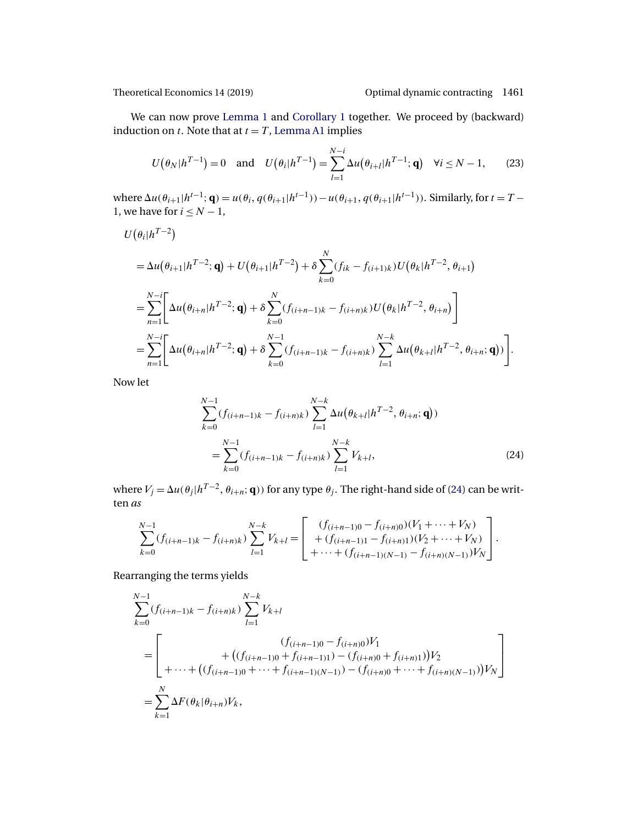<span id="page-26-0"></span>

We can now prove [Lemma 1](#page-6-0) and [Corollary 1](#page-7-0) together. We proceed by (backward) induction on  $t$ . Note that at  $t = T$ , [Lemma A1](#page-25-0) implies

$$
U(\theta_N|h^{T-1}) = 0 \text{ and } U(\theta_i|h^{T-1}) = \sum_{l=1}^{N-i} \Delta u(\theta_{i+l}|h^{T-1}; \mathbf{q}) \quad \forall i \le N-1,
$$
 (23)

where  $\Delta u(\theta_{i+1}|h^{t-1};\mathbf{q}) = u(\theta_i, q(\theta_{i+1}|h^{t-1})) - u(\theta_{i+1}, q(\theta_{i+1}|h^{t-1})).$  Similarly, for  $t = T -$ 1, we have for  $i \leq N-1$ ,

$$
U(\theta_{i}|h^{T-2})
$$
  
=  $\Delta u(\theta_{i+1}|h^{T-2};\mathbf{q}) + U(\theta_{i+1}|h^{T-2}) + \delta \sum_{k=0}^{N} (f_{ik} - f_{(i+1)k})U(\theta_{k}|h^{T-2}, \theta_{i+1})$   
=  $\sum_{n=1}^{N-i} \left[ \Delta u(\theta_{i+n}|h^{T-2};\mathbf{q}) + \delta \sum_{k=0}^{N} (f_{(i+n-1)k} - f_{(i+n)k})U(\theta_{k}|h^{T-2}, \theta_{i+n}) \right]$   
=  $\sum_{n=1}^{N-i} \left[ \Delta u(\theta_{i+n}|h^{T-2};\mathbf{q}) + \delta \sum_{k=0}^{N-1} (f_{(i+n-1)k} - f_{(i+n)k}) \sum_{l=1}^{N-k} \Delta u(\theta_{k+l}|h^{T-2}, \theta_{i+n};\mathbf{q})) \right].$ 

Now let

$$
\sum_{k=0}^{N-1} (f_{(i+n-1)k} - f_{(i+n)k}) \sum_{l=1}^{N-k} \Delta u(\theta_{k+l}|h^{T-2}, \theta_{i+n}; \mathbf{q}))
$$
  
= 
$$
\sum_{k=0}^{N-1} (f_{(i+n-1)k} - f_{(i+n)k}) \sum_{l=1}^{N-k} V_{k+l},
$$
 (24)

where  $V_j = \Delta u(\theta_j|h^{T-2}, \theta_{i+n}; \mathbf{q})$  for any type  $\theta_j$ . The right-hand side of (24) can be written *as*

$$
\sum_{k=0}^{N-1} (f_{(i+n-1)k} - f_{(i+n)k}) \sum_{l=1}^{N-k} V_{k+l} = \begin{bmatrix} (f_{(i+n-1)0} - f_{(i+n)0})(V_1 + \dots + V_N) \\ + (f_{(i+n-1)1} - f_{(i+n)1})(V_2 + \dots + V_N) \\ + \dots + (f_{(i+n-1)(N-1)} - f_{(i+n)(N-1)})V_N \end{bmatrix}.
$$

Rearranging the terms yields

$$
\sum_{k=0}^{N-1} (f_{(i+n-1)k} - f_{(i+n)k}) \sum_{l=1}^{N-k} V_{k+l}
$$
\n
$$
= \left[ \begin{array}{l} (f_{(i+n-1)0} - f_{(i+n)0}) V_1 \\ + \left( (f_{(i+n-1)0} + f_{(i+n-1)1}) - (f_{(i+n)0} + f_{(i+n)1}) \right) V_2 \\ + \cdots + \left( (f_{(i+n-1)0} + \cdots + f_{(i+n-1)(N-1)}) - (f_{(i+n)0} + \cdots + f_{(i+n)(N-1)}) \right) V_N \end{array} \right]
$$
\n
$$
= \sum_{k=1}^{N} \Delta F(\theta_k | \theta_{i+n}) V_k,
$$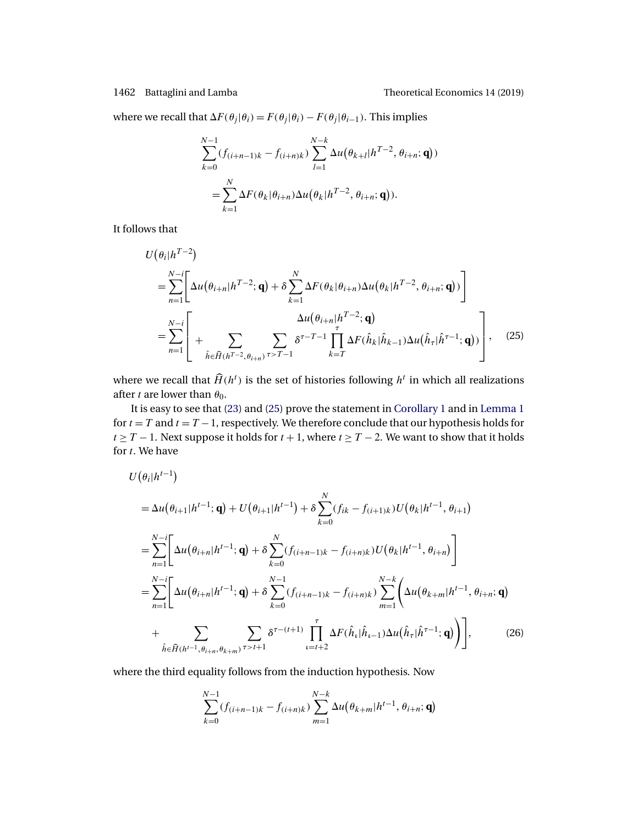<span id="page-27-0"></span>where we recall that  $\Delta F(\theta_i|\theta_i) = F(\theta_i|\theta_i) - F(\theta_i|\theta_{i-1})$ . This implies

$$
\sum_{k=0}^{N-1} (f_{(i+n-1)k} - f_{(i+n)k}) \sum_{l=1}^{N-k} \Delta u(\theta_{k+l}|h^{T-2}, \theta_{i+n}; \mathbf{q}))
$$
  
= 
$$
\sum_{k=1}^{N} \Delta F(\theta_k|\theta_{i+n}) \Delta u(\theta_k|h^{T-2}, \theta_{i+n}; \mathbf{q})).
$$

It follows that

$$
U(\theta_{i}|h^{T-2})
$$
\n
$$
= \sum_{n=1}^{N-i} \left[ \Delta u(\theta_{i+n}|h^{T-2};\mathbf{q}) + \delta \sum_{k=1}^{N} \Delta F(\theta_{k}|\theta_{i+n}) \Delta u(\theta_{k}|h^{T-2}, \theta_{i+n};\mathbf{q})) \right]
$$
\n
$$
= \sum_{n=1}^{N-i} \left[ + \sum_{\hat{h} \in \hat{H}(h^{T-2}, \theta_{i+n})} \sum_{\tau \in T-i} \delta^{\tau-T-1} \prod_{k=T}^{\tau} \Delta F(\hat{h}_{k}|\hat{h}_{k-1}) \Delta u(\hat{h}_{\tau}|\hat{h}^{\tau-1};\mathbf{q})) \right], \quad (25)
$$

where we recall that  $\widehat{H}(h^t)$  is the set of histories following  $h^t$  in which all realizations after t are lower than  $\theta_0$ .

It is easy to see that [\(23\)](#page-26-0) and (25) prove the statement in [Corollary 1](#page-7-0) and in [Lemma 1](#page-6-0) for  $t = T$  and  $t = T - 1$ , respectively. We therefore conclude that our hypothesis holds for  $t \geq T - 1$ . Next suppose it holds for  $t + 1$ , where  $t \geq T - 2$ . We want to show that it holds for *t*. We have

$$
U(\theta_{i}|h^{t-1})
$$
  
\n
$$
= \Delta u(\theta_{i+1}|h^{t-1};\mathbf{q}) + U(\theta_{i+1}|h^{t-1}) + \delta \sum_{k=0}^{N} (f_{ik} - f_{(i+1)k}) U(\theta_{k}|h^{t-1}, \theta_{i+1})
$$
  
\n
$$
= \sum_{n=1}^{N-i} \left[ \Delta u(\theta_{i+n}|h^{t-1};\mathbf{q}) + \delta \sum_{k=0}^{N} (f_{(i+n-1)k} - f_{(i+n)k}) U(\theta_{k}|h^{t-1}, \theta_{i+n}) \right]
$$
  
\n
$$
= \sum_{n=1}^{N-i} \left[ \Delta u(\theta_{i+n}|h^{t-1};\mathbf{q}) + \delta \sum_{k=0}^{N-1} (f_{(i+n-1)k} - f_{(i+n)k}) \sum_{m=1}^{N-k} \left( \Delta u(\theta_{k+m}|h^{t-1}, \theta_{i+n};\mathbf{q}) \right) + \sum_{\hat{h} \in \hat{H}(h^{t-1}, \theta_{i+n}, \theta_{k+m})} \sum_{n=1}^{N} \delta^{\tau-(t+1)} \prod_{\iota=t+2}^{\tau} \Delta F(\hat{h}_{\iota}|\hat{h}_{\iota-1}) \Delta u(\hat{h}_{\tau}|\hat{h}^{\tau-1};\mathbf{q}) \right], \qquad (26)
$$

where the third equality follows from the induction hypothesis. Now

$$
\sum_{k=0}^{N-1} (f_{(i+n-1)k} - f_{(i+n)k}) \sum_{m=1}^{N-k} \Delta u(\theta_{k+m} | h^{t-1}, \theta_{i+n}; \mathbf{q})
$$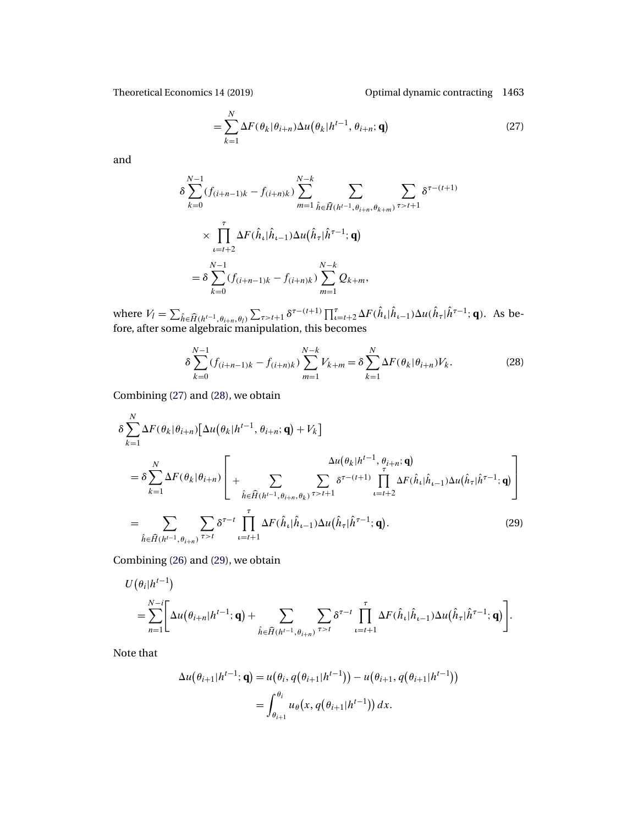Theoretical Economics 14 (2019) Optimal dynamic contracting 1463

$$
= \sum_{k=1}^{N} \Delta F(\theta_k | \theta_{i+n}) \Delta u(\theta_k | h^{t-1}, \theta_{i+n}; \mathbf{q})
$$
\n(27)

and

$$
\delta \sum_{k=0}^{N-1} (f_{(i+n-1)k} - f_{(i+n)k}) \sum_{m=1}^{N-k} \sum_{\hat{h} \in \widehat{H}(h^{t-1}, \theta_{i+n}, \theta_{k+m})} \sum_{\tau > t+1} \delta^{\tau - (t+1)}
$$
  
 
$$
\times \prod_{\iota=t+2}^{\tau} \Delta F(\hat{h}_{\iota} | \hat{h}_{\iota-1}) \Delta u(\hat{h}_{\tau} | \hat{h}^{\tau-1}; \mathbf{q})
$$
  
= 
$$
\delta \sum_{k=0}^{N-1} (f_{(i+n-1)k} - f_{(i+n)k}) \sum_{m=1}^{N-k} Q_{k+m},
$$

where  $V_l = \sum_{\hat{h} \in \hat{H}(h^{t-1}, \theta_{i+n}, \theta_l)} \sum_{\tau > t+1} \delta^{\tau-(t+1)} \prod_{\iota=t+2}^{\tau} \Delta F(\hat{h}_{\iota} | \hat{h}_{\iota-1}) \Delta u(\hat{h}_{\tau} | \hat{h}^{\tau-1}; \mathbf{q})$ . As before, after some algebraic manipulation, this becomes

$$
\delta \sum_{k=0}^{N-1} (f_{(i+n-1)k} - f_{(i+n)k}) \sum_{m=1}^{N-k} V_{k+m} = \delta \sum_{k=1}^{N} \Delta F(\theta_k | \theta_{i+n}) V_k.
$$
 (28)

Combining (27) and (28), we obtain

$$
\delta \sum_{k=1}^{N} \Delta F(\theta_k | \theta_{i+n}) [\Delta u(\theta_k | h^{t-1}, \theta_{i+n}; \mathbf{q}) + V_k]
$$
\n
$$
= \delta \sum_{k=1}^{N} \Delta F(\theta_k | \theta_{i+n}) \left[ + \sum_{\hat{h} \in \hat{H}(h^{t-1}, \theta_{i+n}, \theta_k)} \sum_{\tau > t+1} \delta^{\tau - (t+1)} \prod_{\iota = t+2}^{\tau} \Delta F(\hat{h}_{\iota} | \hat{h}_{\iota-1}) \Delta u(\hat{h}_{\tau} | \hat{h}^{\tau-1}; \mathbf{q}) \right]
$$
\n
$$
= \sum_{\hat{h} \in \hat{H}(h^{t-1}, \theta_{i+n})} \sum_{\tau > t} \delta^{\tau - t} \prod_{\iota = t+1}^{\tau} \Delta F(\hat{h}_{\iota} | \hat{h}_{\iota-1}) \Delta u(\hat{h}_{\tau} | \hat{h}^{\tau-1}; \mathbf{q}). \tag{29}
$$

Combining [\(26\)](#page-27-0) and (29), we obtain

$$
U(\theta_i|h^{t-1})
$$
  
=
$$
\sum_{n=1}^{N-i} \Biggl[ \Delta u(\theta_{i+n}|h^{t-1};\mathbf{q}) + \sum_{\hat{h} \in \widehat{H}(h^{t-1},\theta_{i+n})} \sum_{\tau>t} \delta^{\tau-t} \prod_{\iota=t+1}^{\tau} \Delta F(\hat{h}_{\iota}|\hat{h}_{\iota-1}) \Delta u(\hat{h}_{\tau}|\hat{h}^{\tau-1};\mathbf{q}) \Biggr].
$$

Note that

$$
\Delta u(\theta_{i+1}|h^{t-1};\mathbf{q}) = u(\theta_i, q(\theta_{i+1}|h^{t-1})) - u(\theta_{i+1}, q(\theta_{i+1}|h^{t-1}))
$$
  
= 
$$
\int_{\theta_{i+1}}^{\theta_i} u_{\theta}(x, q(\theta_{i+1}|h^{t-1})) dx.
$$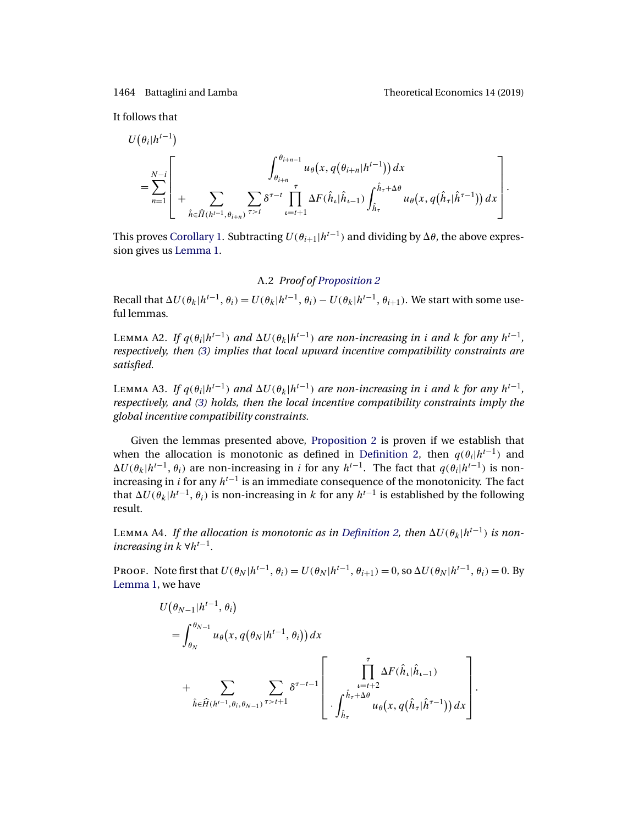.

<span id="page-29-0"></span>It follows that

$$
U(\theta_{i}|h^{t-1})
$$
\n
$$
= \sum_{n=1}^{N-i} \left[ + \sum_{\hat{h} \in \hat{H}(h^{t-1}, \theta_{i+n})} \sum_{\tau > t} \delta^{\tau-t} \prod_{\iota=t+1}^{\tau} \Delta F(\hat{h}_{\iota}|\hat{h}_{\iota-1}) \int_{\hat{h}_{\tau}}^{\hat{h}_{\tau}+\Delta \theta} u_{\theta}(x, q(\hat{h}_{\tau}|\hat{h}^{\tau-1})) dx \right].
$$

This proves [Corollary 1.](#page-7-0) Subtracting  $U(\theta_{i+1}|h^{t-1})$  and dividing by  $\Delta\theta$ , the above expression gives us [Lemma 1.](#page-6-0)

## A.2 *Proof of [Proposition 2](#page-9-0)*

Recall that  $\Delta U(\theta_k|h^{t-1}, \theta_i) = U(\theta_k|h^{t-1}, \theta_i) - U(\theta_k|h^{t-1}, \theta_{i+1})$ . We start with some useful lemmas.

LEMMA A2. *If*  $q(\theta_i|h^{t-1})$  *and*  $\Delta U(\theta_k|h^{t-1})$  *are non-increasing in i and* k for *any*  $h^{t-1}$ *, respectively, then [\(3\)](#page-7-0) implies that local upward incentive compatibility constraints are satisfied.*

LEMMA A3. *If*  $q(\theta_i|h^{t-1})$  *and*  $\Delta U(\theta_k|h^{t-1})$  *are non-increasing in i and k for any*  $h^{t-1}$ *, respectively, and [\(3\)](#page-7-0) holds, then the local incentive compatibility constraints imply the global incentive compatibility constraints.*

Given the lemmas presented above, [Proposition 2](#page-9-0) is proven if we establish that when the allocation is monotonic as defined in [Definition 2,](#page-9-0) then  $q(\theta_i|h^{t-1})$  and  $\Delta U(\theta_k|h^{t-1}, \theta_i)$  are non-increasing in i for any  $h^{t-1}$ . The fact that  $q(\theta_i|h^{t-1})$  is nonincreasing in *i* for any  $h^{t-1}$  is an immediate consequence of the monotonicity. The fact that  $\Delta U(\theta_k|h^{t-1}, \theta_i)$  is non-increasing in k for any  $h^{t-1}$  is established by the following result.

LEMMA A4. If the allocation is monotonic as in [Definition 2,](#page-9-0) then  $\Delta U(\theta_k|h^{t-1})$  is non*increasing in*  $k \forall h^{t-1}$ .

PROOF. Note first that  $U(\theta_N | h^{t-1}, \theta_i) = U(\theta_N | h^{t-1}, \theta_{i+1}) = 0$ , so  $\Delta U(\theta_N | h^{t-1}, \theta_i) = 0$ . By [Lemma 1,](#page-6-0) we have

$$
U(\theta_{N-1}|h^{t-1}, \theta_i)
$$
  
=  $\int_{\theta_N}^{\theta_{N-1}} u_{\theta}(x, q(\theta_N|h^{t-1}, \theta_i)) dx$   
+  $\sum_{\hat{h} \in \hat{H}(h^{t-1}, \theta_i, \theta_{N-1})} \sum_{\tau > t+1} \delta^{\tau-t-1} \left[ \prod_{\substack{\iota = t+2 \\ \vdots \\ \theta_{\tau}}}^{\tau} \Delta F(\hat{h}_{\iota}|\hat{h}_{\iota-1})$   
-  $\int_{\hat{h}_{\tau}}^{\hat{h}_{\tau} + \Delta \theta} u_{\theta}(x, q(\hat{h}_{\tau}|\hat{h}^{\tau-1})) dx \right]$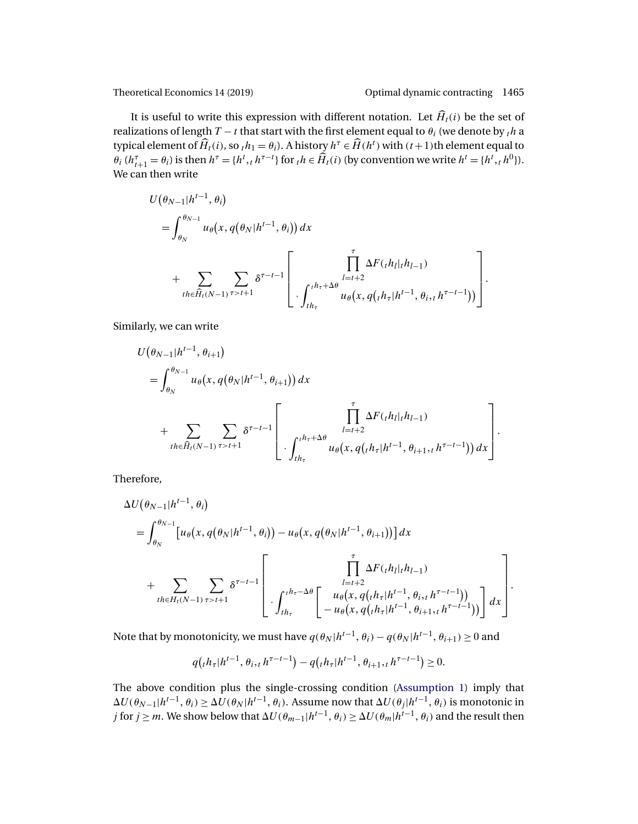It is useful to write this expression with different notation. Let  $\widehat{H}_{t}(i)$  be the set of realizations of length  $T - t$  that start with the first element equal to  $\theta_i$  (we denote by  $_t h$  a typical element of  $\widehat{H}_t(i)$ , so  ${}_{t}h_1 = \theta_i$ ). A history  $h^{\tau} \in \widehat{H}(h^t)$  with  $(t+1)$ th element equal to  $\theta_i$   $(h_{t+1}^\tau = \theta_i)$  is then  $h^\tau = \{h^t, h^{\tau-t}\}$  for  $_h h \in \widehat{H}_t(i)$  (by convention we write  $h^t = \{h^t, h^0\}$ ). We can then write

$$
U(\theta_{N-1}|h^{t-1}, \theta_i)
$$
  
=  $\int_{\theta_N}^{\theta_{N-1}} u_{\theta}(x, q(\theta_N|h^{t-1}, \theta_i)) dx$   
+  $\sum_{th \in \hat{H}_t(N-1)} \sum_{\tau > t+1} \delta^{\tau-t-1} \left[ \prod_{\substack{l=t+2 \\ l \neq t}}^{\tau} \Delta F_{(t} h_{l}|_{t} h_{l-1}) + \sum_{\mu \in \hat{H}_t(N-1)} \sum_{\tau > t+1} \delta^{\tau-t-1} \left[ \prod_{\substack{l=t+2 \\ l \neq t}}^{\tau} \Delta F_{(t} h_{l}|_{t} h_{l-1}) \right] \right].$ 

Similarly, we can write

$$
U(\theta_{N-1}|h^{t-1}, \theta_{i+1})
$$
  
=  $\int_{\theta_N}^{\theta_{N-1}} u_{\theta}(x, q(\theta_N|h^{t-1}, \theta_{i+1})) dx$   
+  $\sum_{th \in \widehat{H}_t(N-1)} \sum_{\tau > t+1} \delta^{\tau-t-1} \left[ \prod_{l=t+2}^{\tau} \Delta F(t, h_l|_{t} h_{l-1})$   
-  $\int_{t h_{\tau}}^{t h_{\tau}+\Delta \theta} u_{\theta}(x, q(t h_{\tau}|h^{t-1}, \theta_{i+1}, t h^{\tau-t-1})) dx \right].$ 

Therefore,

$$
\Delta U(\theta_{N-1}|h^{t-1}, \theta_i)
$$
\n
$$
= \int_{\theta_N}^{\theta_{N-1}} [u_{\theta}(x, q(\theta_N|h^{t-1}, \theta_i)) - u_{\theta}(x, q(\theta_N|h^{t-1}, \theta_{i+1}))] dx
$$
\n
$$
+ \sum_{th \in H_t(N-1)} \sum_{\tau > t+1} \delta^{\tau-t-1} \left[ \prod_{\substack{l=t+2 \\ l \neq 0}}^{\tau} \Delta F(t, h_l|_{t} h_{l-1}) + \sum_{\substack{l=t+2 \\ l \neq 0}}^{\tau} \Delta F(t, h_l|_{t} h_{l-1}) \right] dx
$$
\n
$$
= u_{\theta}(x, q(t, h_{\tau}|h^{t-1}, \theta_{i+1}, t, h^{\tau-t-1})) \right] dx
$$

Note that by monotonicity, we must have  $q(\theta_N | h^{t-1}, \theta_i) - q(\theta_N | h^{t-1}, \theta_{i+1}) \ge 0$  and

$$
q(th_{\tau}|h^{t-1}, \theta_i, h^{\tau-t-1}) - q(th_{\tau}|h^{t-1}, \theta_{i+1}, h^{\tau-t-1}) \ge 0.
$$

The above condition plus the single-crossing condition [\(Assumption 1\)](#page-3-0) imply that  $\Delta U(\theta_{N-1}|h^{t-1},\theta_i)\geq \Delta U(\theta_N|h^{t-1},\theta_i).$  Assume now that  $\Delta U(\theta_j|h^{t-1},\theta_i)$  is monotonic in  $j$  for  $j\geq m.$  We show below that  $\Delta U(\theta_{m-1}|h^{t-1},\theta_i)\geq \Delta U(\theta_m|h^{t-1},\theta_i)$  and the result then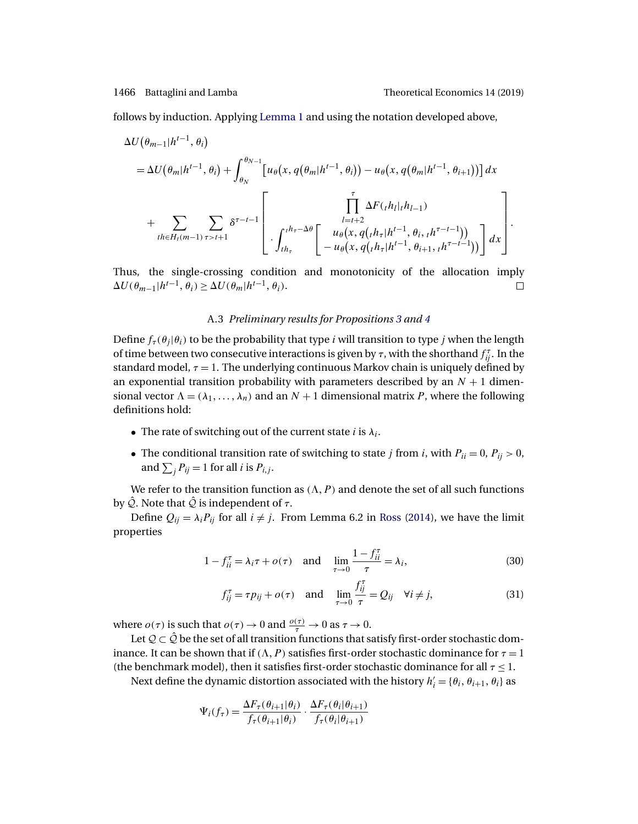<span id="page-31-0"></span>

follows by induction. Applying [Lemma 1](#page-6-0) and using the notation developed above,

$$
\Delta U(\theta_{m-1}|h^{t-1},\theta_i) = \Delta U(\theta_m|h^{t-1},\theta_i) + \int_{\theta_N}^{\theta_{N-1}} [u_{\theta}(x,q(\theta_m|h^{t-1},\theta_i)) - u_{\theta}(x,q(\theta_m|h^{t-1},\theta_{i+1}))] dx \n+ \sum_{th \in H_t(m-1)} \sum_{\tau > t+1} \delta^{\tau-t-1} \left[ \prod_{l=t+2}^{\tau} \Delta F(t_{l}|_{t}h_{l-1}) \right]_{t=t+2}^{t=t+2} + \sum_{l=t+1}^{\tau} \sum_{\theta_{l}} \Delta F(t_{l}|_{t}h_{l-1}) \right] dx
$$

Thus, the single-crossing condition and monotonicity of the allocation imply  $\Delta U(\theta_{m-1}|h^{t-1}, \tilde{\theta}_i) \geq \Delta U(\tilde{\theta_m}|h^{t-1}, \theta_i).$  $\Box$ 

### A.3 *Preliminary results for Propositions [3](#page-15-0) and [4](#page-17-0)*

Define  $f_{\tau}(\theta_i|\theta_i)$  to be the probability that type *i* will transition to type *j* when the length of time between two consecutive interactions is given by  $\tau$ , with the shorthand  $f_{ij}^{\tau}$ . In the standard model,  $\tau = 1$ . The underlying continuous Markov chain is uniquely defined by an exponential transition probability with parameters described by an  $N + 1$  dimensional vector  $\Lambda = (\lambda_1, ..., \lambda_n)$  and an  $N + 1$  dimensional matrix P, where the following definitions hold:

- The rate of switching out of the current state i is  $\lambda_i$ .
- The conditional transition rate of switching to state *j* from *i*, with  $P_{ii} = 0$ ,  $P_{ij} > 0$ , and  $\sum_j P_{ij} = 1$  for all *i* is  $P_{i,j}$ .

We refer to the transition function as  $(\Lambda, P)$  and denote the set of all such functions by  $\hat{Q}$ . Note that  $\hat{Q}$  is independent of  $\tau$ .

Define  $Q_{ij} = \lambda_i P_{ij}$  for all  $i \neq j$ . From Lemma 6.2 in [Ross](#page-46-0) [\(2014\)](#page-46-0), we have the limit properties

$$
1 - f_{ii}^{\tau} = \lambda_i \tau + o(\tau) \quad \text{and} \quad \lim_{\tau \to 0} \frac{1 - f_{ii}^{\tau}}{\tau} = \lambda_i,\tag{30}
$$

$$
f_{ij}^{\tau} = \tau p_{ij} + o(\tau) \quad \text{and} \quad \lim_{\tau \to 0} \frac{f_{ij}^{\tau}}{\tau} = Q_{ij} \quad \forall i \neq j,
$$
 (31)

where  $o(\tau)$  is such that  $o(\tau) \to 0$  and  $\frac{o(\tau)}{\tau} \to 0$  as  $\tau \to 0$ .

Let  $\mathcal{Q} \subset \hat{\mathcal{Q}}$  be the set of all transition functions that satisfy first-order stochastic dominance. It can be shown that if  $(\Lambda, P)$  satisfies first-order stochastic dominance for  $\tau = 1$ (the benchmark model), then it satisfies first-order stochastic dominance for all  $\tau \leq 1$ .

Next define the dynamic distortion associated with the history  $h'_i = \{\theta_i, \theta_{i+1}, \theta_i\}$  as

$$
\Psi_i(f_\tau) = \frac{\Delta F_\tau(\theta_{i+1}|\theta_i)}{f_\tau(\theta_{i+1}|\theta_i)} \cdot \frac{\Delta F_\tau(\theta_i|\theta_{i+1})}{f_\tau(\theta_i|\theta_{i+1})}
$$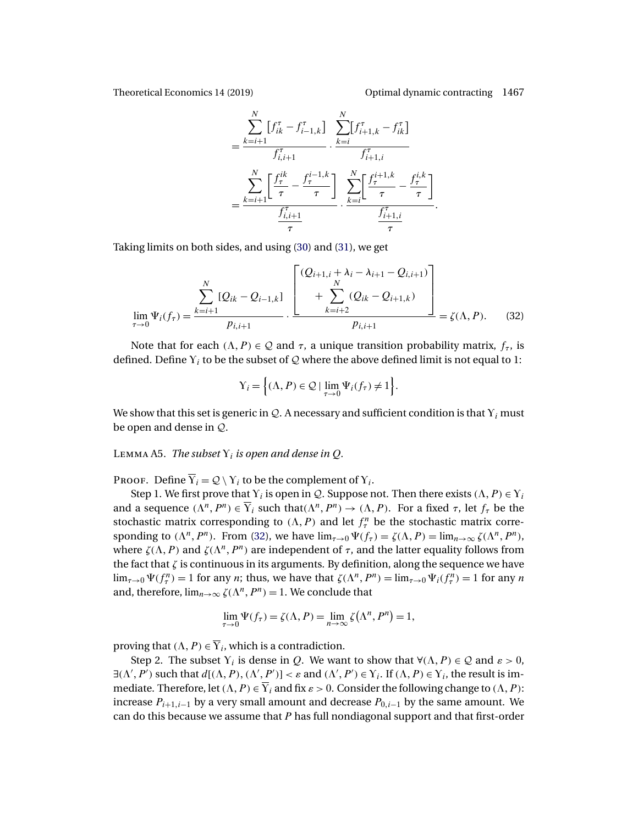<span id="page-32-0"></span>

.

$$
= \frac{\sum_{k=i+1}^{N} [f_{ik}^{\tau} - f_{i-1,k}^{\tau}] \sum_{k=i}^{N} [f_{i+1,k}^{\tau} - f_{ik}^{\tau}]}{f_{i,i+1}^{\tau}}}{\sum_{k=i+1}^{N} \left[ \frac{f_{\tau}^{ik}}{\tau} - \frac{f_{\tau}^{i-1,k}}{\tau} \right] \sum_{k=i}^{N} \left[ \frac{f_{\tau}^{i+1,k}}{\tau} - \frac{f_{i,k}^{i,k}}{\tau} \right]}{\frac{f_{i,i+1}^{\tau}}{\tau}}
$$

Taking limits on both sides, and using [\(30\)](#page-31-0) and [\(31\)](#page-31-0), we get

$$
\lim_{\tau \to 0} \Psi_i(f_\tau) = \frac{\sum_{k=i+1}^N [Q_{ik} - Q_{i-1,k}] \left[ \frac{(Q_{i+1,i} + \lambda_i - \lambda_{i+1} - Q_{i,i+1})}{\sum_{k=i+2}^N (Q_{ik} - Q_{i+1,k})} \right]}{p_{i,i+1}} = \zeta(\Lambda, P). \tag{32}
$$

Note that for each  $(\Lambda, P) \in \mathcal{Q}$  and  $\tau$ , a unique transition probability matrix,  $f_{\tau}$ , is defined. Define  $Y_i$  to be the subset of  $\mathcal Q$  where the above defined limit is not equal to 1:

$$
Y_i = \left\{ (\Lambda, P) \in \mathcal{Q} \mid \lim_{\tau \to 0} \Psi_i(f_\tau) \neq 1 \right\}.
$$

We show that this set is generic in  $\mathcal{Q}$ . A necessary and sufficient condition is that  $Y_i$  must be open and dense in Q.

LEMMA A5. *The subset*  $Y_i$  *is open and dense in Q.* 

PROOF. Define  $\overline{Y}_i = Q \setminus Y_i$  to be the complement of  $Y_i$ .

Step 1. We first prove that  $Y_i$  is open in Q. Suppose not. Then there exists  $(\Lambda, P) \in Y_i$ and a sequence  $(\Lambda^n, P^n) \in \overline{Y}_i$  such that  $(\Lambda^n, P^n) \to (\Lambda, P)$ . For a fixed  $\tau$ , let  $f_\tau$  be the stochastic matrix corresponding to  $(\Lambda, P)$  and let  $f_\tau^n$  be the stochastic matrix corresponding to  $(\Lambda^n, P^n)$ . From (32), we have  $\lim_{\tau \to 0} \Psi(f_\tau) = \zeta(\Lambda, P) = \lim_{n \to \infty} \zeta(\Lambda^n, P^n)$ , where  $\zeta(\Lambda, P)$  and  $\zeta(\Lambda^n, P^n)$  are independent of  $\tau$ , and the latter equality follows from the fact that  $\zeta$  is continuous in its arguments. By definition, along the sequence we have  $\lim_{\tau\to 0} \Psi(f_\tau^n) = 1$  for any *n*; thus, we have that  $\zeta(\Lambda^n, P^n) = \lim_{\tau\to 0} \Psi_i(f_\tau^n) = 1$  for any *n* and, therefore,  $\lim_{n\to\infty}\zeta(\Lambda^n,P^n)=1$ . We conclude that

$$
\lim_{\tau \to 0} \Psi(f_{\tau}) = \zeta(\Lambda, P) = \lim_{n \to \infty} \zeta(\Lambda^n, P^n) = 1,
$$

proving that  $(\Lambda, P) \in \overline{Y}_i$ , which is a contradiction.

Step 2. The subset  $Y_i$  is dense in Q. We want to show that  $\forall (\Lambda, P) \in \mathcal{Q}$  and  $\varepsilon > 0$ ,  $\exists (\Lambda', P')$  such that  $d[(\Lambda, P), (\Lambda', P')] < \varepsilon$  and  $(\Lambda', P') \in Y_i$ . If  $(\Lambda, P) \in Y_i$ , the result is immediate. Therefore, let  $(\Lambda, P) \in \overline{Y}_i$  and fix  $\varepsilon > 0$ . Consider the following change to  $(\Lambda, P)$ : increase  $P_{i+1,i-1}$  by a very small amount and decrease  $P_{0,i-1}$  by the same amount. We can do this because we assume that  $P$  has full nondiagonal support and that first-order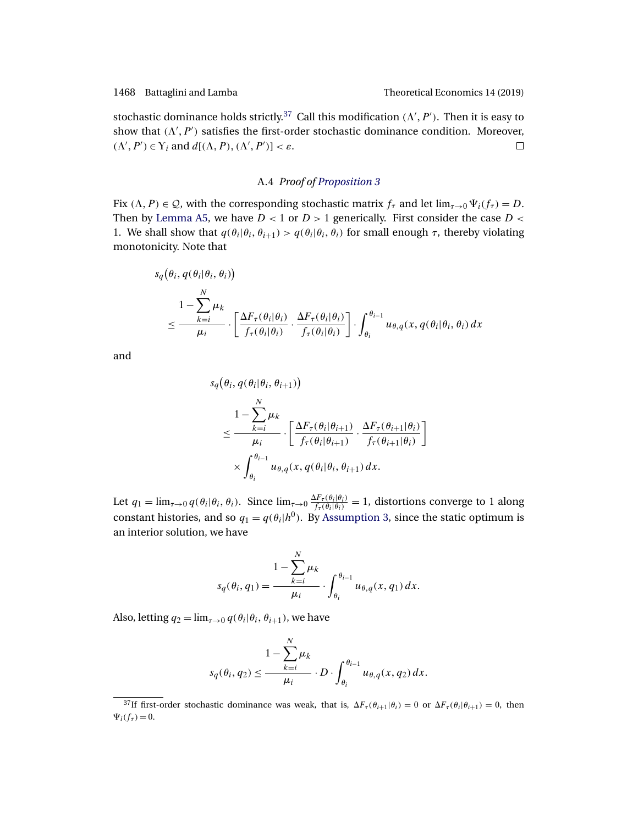stochastic dominance holds strictly.<sup>37</sup> Call this modification  $(\Lambda', P')$ . Then it is easy to show that  $(\Lambda', P')$  satisfies the first-order stochastic dominance condition. Moreover,  $(\Lambda', P') \in Y_i$  and  $d[(\Lambda, P), (\Lambda', P')] < \varepsilon$ .  $\Box$ 

### A.4 *Proof of [Proposition 3](#page-15-0)*

Fix  $(\Lambda, P) \in \mathcal{Q}$ , with the corresponding stochastic matrix  $f_{\tau}$  and let  $\lim_{\tau \to 0} \Psi_i(f_{\tau}) = D$ . Then by [Lemma A5,](#page-32-0) we have  $D < 1$  or  $D > 1$  generically. First consider the case  $D <$ 1. We shall show that  $q(\theta_i|\theta_i, \theta_{i+1}) > q(\theta_i|\theta_i, \theta_i)$  for small enough  $\tau$ , thereby violating monotonicity. Note that

$$
s_q(\theta_i, q(\theta_i | \theta_i, \theta_i))
$$
  
\n
$$
\leq \frac{1 - \sum_{k=i}^{N} \mu_k}{\mu_i} \cdot \left[ \frac{\Delta F_{\tau}(\theta_i | \theta_i)}{f_{\tau}(\theta_i | \theta_i)} \cdot \frac{\Delta F_{\tau}(\theta_i | \theta_i)}{f_{\tau}(\theta_i | \theta_i)} \right] \cdot \int_{\theta_i}^{\theta_{i-1}} u_{\theta, q}(x, q(\theta_i | \theta_i, \theta_i) dx
$$

and

$$
s_q(\theta_i, q(\theta_i | \theta_i, \theta_{i+1}))
$$
  
\n
$$
\leq \frac{1 - \sum_{k=i}^{N} \mu_k}{\mu_i} \cdot \left[ \frac{\Delta F_{\tau}(\theta_i | \theta_{i+1})}{f_{\tau}(\theta_i | \theta_{i+1})} \cdot \frac{\Delta F_{\tau}(\theta_{i+1} | \theta_i)}{f_{\tau}(\theta_{i+1} | \theta_i)} \right]
$$
  
\n
$$
\times \int_{\theta_i}^{\theta_{i-1}} u_{\theta, q}(x, q(\theta_i | \theta_i, \theta_{i+1}) dx.
$$

Let  $q_1 = \lim_{\tau \to 0} q(\theta_i | \theta_i, \theta_i)$ . Since  $\lim_{\tau \to 0} \frac{\Delta F_{\tau}(\theta_i | \theta_i)}{f_{\tau}(\theta_i | \theta_i)} = 1$ , distortions converge to 1 along constant histories, and so  $q_1 = q(\theta_i|h^0)$ . By [Assumption 3,](#page-4-0) since the static optimum is an interior solution, we have

$$
s_q(\theta_i, q_1) = \frac{1 - \sum_{k=i}^N \mu_k}{\mu_i} \cdot \int_{\theta_i}^{\theta_{i-1}} u_{\theta, q}(x, q_1) dx.
$$

Also, letting  $q_2 = \lim_{\tau \to 0} q(\theta_i | \theta_i, \theta_{i+1})$ , we have

$$
s_q(\theta_i, q_2) \le \frac{1 - \sum_{k=i}^N \mu_k}{\mu_i} \cdot D \cdot \int_{\theta_i}^{\theta_{i-1}} u_{\theta, q}(x, q_2) dx.
$$

<sup>&</sup>lt;sup>37</sup>If first-order stochastic dominance was weak, that is,  $\Delta F_\tau(\theta_{i+1}|\theta_i) = 0$  or  $\Delta F_\tau(\theta_i|\theta_{i+1}) = 0$ , then  $\Psi_i(f_\tau) = 0.$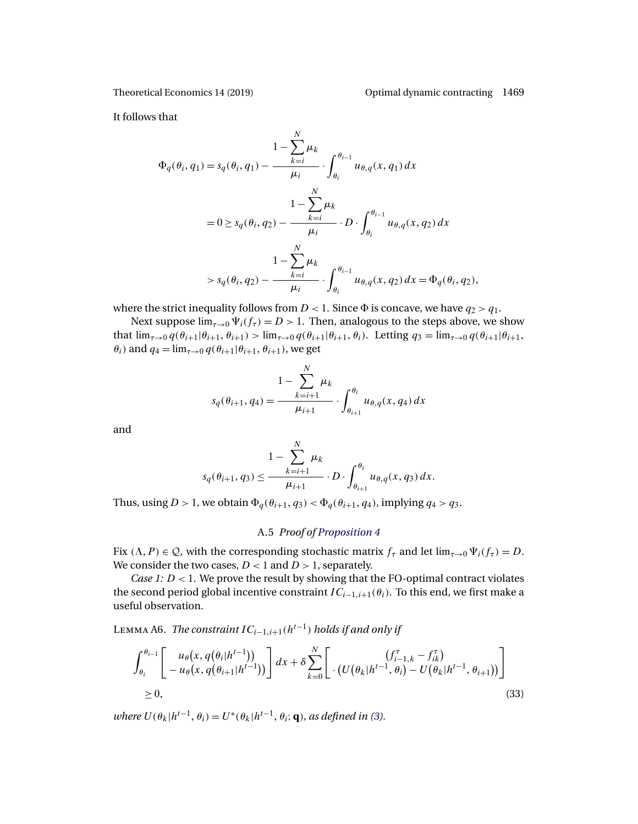<span id="page-34-0"></span>

It follows that

$$
\Phi_{q}(\theta_{i}, q_{1}) = s_{q}(\theta_{i}, q_{1}) - \frac{1 - \sum_{k=i}^{N} \mu_{k}}{\mu_{i}} \cdot \int_{\theta_{i}}^{\theta_{i-1}} u_{\theta, q}(x, q_{1}) dx
$$
\n
$$
= 0 \ge s_{q}(\theta_{i}, q_{2}) - \frac{1 - \sum_{k=i}^{N} \mu_{k}}{\mu_{i}} \cdot D \cdot \int_{\theta_{i}}^{\theta_{i-1}} u_{\theta, q}(x, q_{2}) dx
$$
\n
$$
> s_{q}(\theta_{i}, q_{2}) - \frac{1 - \sum_{k=i}^{N} \mu_{k}}{\mu_{i}} \cdot \int_{\theta_{i}}^{\theta_{i-1}} u_{\theta, q}(x, q_{2}) dx = \Phi_{q}(\theta_{i}, q_{2}),
$$

where the strict inequality follows from  $D < 1$ . Since  $\Phi$  is concave, we have  $q_2 > q_1$ .

Next suppose  $\lim_{\tau\to 0} \Psi_i(f_\tau) = D > 1$ . Then, analogous to the steps above, we show that  $\lim_{\tau\to 0} q(\theta_{i+1}|\theta_{i+1}, \theta_{i+1}) > \lim_{\tau\to 0} q(\theta_{i+1}|\theta_{i+1}, \theta_i)$ . Letting  $q_3 = \lim_{\tau\to 0} q(\theta_{i+1}|\theta_{i+1}, \theta_i)$  $\theta_i$ ) and  $q_4 = \lim_{\tau \to 0} q(\theta_{i+1}|\theta_{i+1}, \theta_{i+1})$ , we get

$$
s_q(\theta_{i+1}, q_4) = \frac{1 - \sum_{k=i+1}^{N} \mu_k}{\mu_{i+1}} \cdot \int_{\theta_{i+1}}^{\theta_i} u_{\theta, q}(x, q_4) dx
$$

and

$$
1 - \sum_{k=i+1}^{N} \mu_k
$$
  

$$
s_q(\theta_{i+1}, q_3) \le \frac{k-i+1}{\mu_{i+1}} \cdot D \cdot \int_{\theta_{i+1}}^{\theta_i} u_{\theta, q}(x, q_3) dx.
$$

Thus, using  $D > 1$ , we obtain  $\Phi_q(\theta_{i+1}, q_3) < \Phi_q(\theta_{i+1}, q_4)$ , implying  $q_4 > q_3$ .

## A.5 *Proof of [Proposition 4](#page-17-0)*

Fix  $(\Lambda, P) \in \mathcal{Q}$ , with the corresponding stochastic matrix  $f_{\tau}$  and let  $\lim_{\tau \to 0} \Psi_i(f_{\tau}) = D$ . We consider the two cases,  $D < 1$  and  $D > 1$ , separately.

*Case 1:*  $D < 1$ . We prove the result by showing that the FO-optimal contract violates the second period global incentive constraint  $IC_{i-1,i+1}(\theta_i)$ . To this end, we first make a useful observation.

LEMMA A6. *The constraint*  $IC_{i-1,i+1}(h^{t-1})$  *holds if and only if* 

$$
\int_{\theta_i}^{\theta_{i-1}} \left[ u_\theta(x, q(\theta_i | h^{t-1}))) \right] dx + \delta \sum_{k=0}^N \left[ \left( \frac{f_{i-1,k}^\tau - f_{ik}^\tau}{U(\theta_k | h^{t-1}, \theta_i) - U(\theta_k | h^{t-1}, \theta_{i+1}))} \right) \right]
$$
  
\n
$$
\geq 0,
$$
\n(33)

*where*  $U(\theta_k|h^{t-1}, \theta_i) = U^*(\theta_k|h^{t-1}, \theta_i; \mathbf{q})$ *, as defined in [\(3\)](#page-7-0).*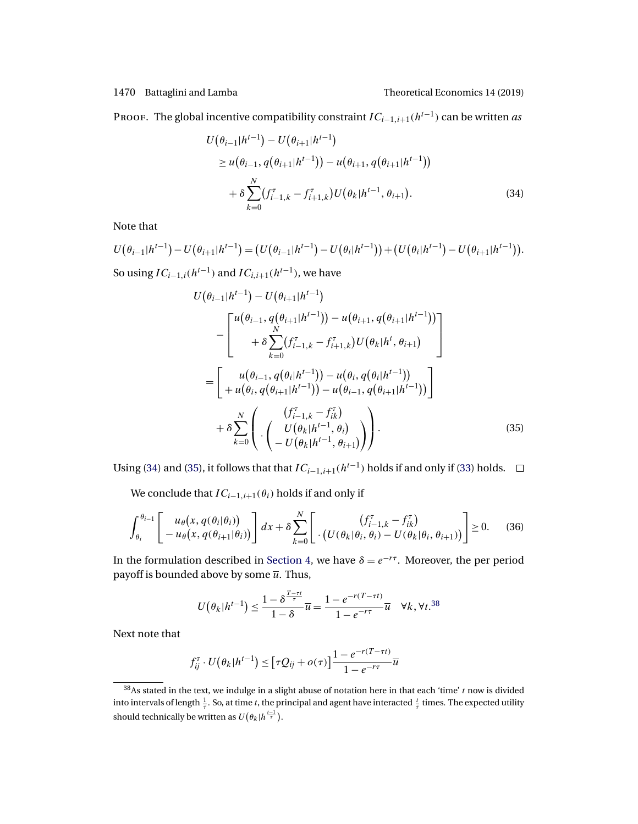#### <span id="page-35-0"></span>1470 Battaglini and Lamba Theoretical Economics 14 (2019)

PROOF. The global incentive compatibility constraint  $IC_{i-1,i+1}(h^{t-1})$  can be written *as* 

$$
U(\theta_{i-1}|h^{t-1}) - U(\theta_{i+1}|h^{t-1})
$$
  
\n
$$
\geq u(\theta_{i-1}, q(\theta_{i+1}|h^{t-1})) - u(\theta_{i+1}, q(\theta_{i+1}|h^{t-1}))
$$
  
\n
$$
+ \delta \sum_{k=0}^{N} (f_{i-1,k}^{\tau} - f_{i+1,k}^{\tau}) U(\theta_k|h^{t-1}, \theta_{i+1}).
$$
\n(34)

Note that

$$
U(\theta_{i-1}|h^{t-1}) - U(\theta_{i+1}|h^{t-1}) = (U(\theta_{i-1}|h^{t-1}) - U(\theta_i|h^{t-1})) + (U(\theta_i|h^{t-1}) - U(\theta_{i+1}|h^{t-1})).
$$
  
So using  $IC = (h^{t-1})$  and  $IC = (h^{t-1})$  we have

So using  $IC_{i-1,i}(h^{t-1})$  and  $IC_{i,i+1}(h^{t-1})$ , we have

$$
U(\theta_{i-1}|h^{t-1}) - U(\theta_{i+1}|h^{t-1})
$$
  
\n
$$
-\left[\begin{array}{c}\nu(\theta_{i-1}, q(\theta_{i+1}|h^{t-1})) - u(\theta_{i+1}, q(\theta_{i+1}|h^{t-1})) \\
+ \delta \sum_{k=0}^{N} (f_{i-1,k}^{\tau} - f_{i+1,k}^{\tau}) U(\theta_k|h^{t}, \theta_{i+1})\n\end{array}\right]
$$
  
\n
$$
=\left[\begin{array}{c}\nu(\theta_{i-1}, q(\theta_i|h^{t-1})) - u(\theta_i, q(\theta_i|h^{t-1})) \\
+ u(\theta_i, q(\theta_{i+1}|h^{t-1})) - u(\theta_{i-1}, q(\theta_{i+1}|h^{t-1}))\n\end{array}\right]
$$
  
\n
$$
+ \delta \sum_{k=0}^{N} \left(\begin{array}{c}\n(f_{i-1,k}^{\tau} - f_{ik}^{\tau}) \\
U(\theta_k|h^{t-1}, \theta_i) \\
- U(\theta_k|h^{t-1}, \theta_{i+1})\n\end{array}\right).
$$
\n(35)

Using (34) and (35), it follows that that  $IC_{i-1,i+1}(h^{t-1})$  holds if and only if [\(33\)](#page-34-0) holds.  $□$ 

We conclude that  $IC_{i-1,i+1}(\theta_i)$  holds if and only if

$$
\int_{\theta_i}^{\theta_{i-1}} \left[ u_\theta(x, q(\theta_i|\theta_i)) - u_\theta(x, q(\theta_{i+1}|\theta_i)) \right] dx + \delta \sum_{k=0}^N \left[ \left( U(\theta_k|\theta_i, \theta_i) - U(\theta_k|\theta_i, \theta_{i+1}) \right) \right] \ge 0. \tag{36}
$$

In the formulation described in [Section 4,](#page-12-0) we have  $\delta = e^{-r\tau}$ . Moreover, the per period payoff is bounded above by some  $\overline{u}$ . Thus,

$$
U(\theta_k|h^{t-1}) \le \frac{1-\delta^{\frac{T-\tau t}{\tau}}}{1-\delta}\overline{u} = \frac{1-e^{-r(T-\tau t)}}{1-e^{-r\tau}}\overline{u} \quad \forall k, \forall t.^{38}
$$

Next note that

$$
f_{ij}^{\tau} \cdot U(\theta_k|h^{t-1}) \leq [\tau Q_{ij} + o(\tau)] \frac{1 - e^{-r(T-\tau t)}}{1 - e^{-r\tau}} \overline{u}
$$

 $38$ As stated in the text, we indulge in a slight abuse of notation here in that each 'time' t now is divided into intervals of length  $\frac{1}{7}$ . So, at time t, the principal and agent have interacted  $\frac{t}{7}$  times. The expected utility should technically be written as  $U\big(\theta_k|h^{\frac{t-1}{\tau}}\big).$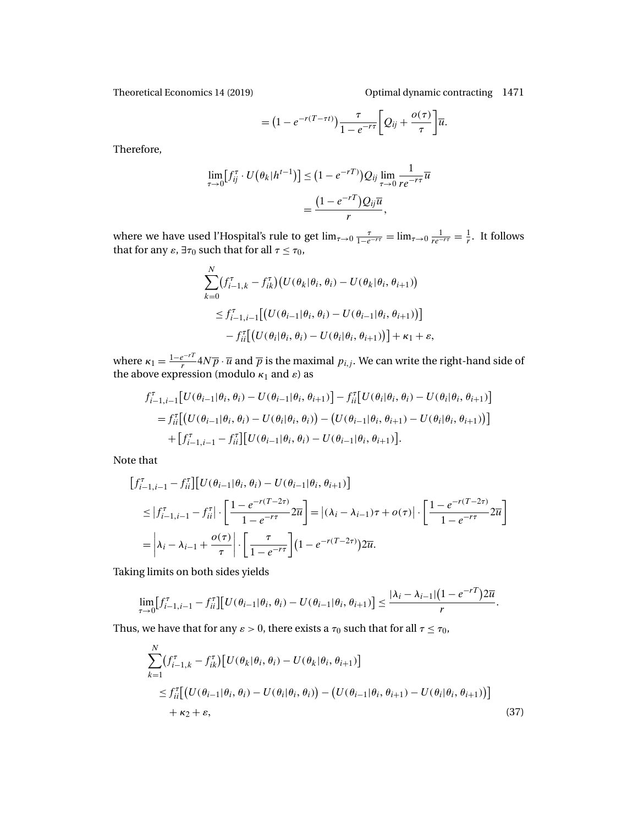<span id="page-36-0"></span>Theoretical Economics 14 (2019) Optimal dynamic contracting 1471

=  $(1 - e^{-r(T-\tau t)}) \frac{\tau}{1 - e^{-r\tau}} \left[ Q_{ij} + \frac{o(\tau)}{\tau} \right]$  $\big]_{\overline{\mathfrak{u}}}$ .

Therefore,

$$
\lim_{\tau \to 0} \left[ f_{ij}^{\tau} \cdot U\left(\theta_k | h^{t-1}\right) \right] \leq \left(1 - e^{-rT}\right) Q_{ij} \lim_{\tau \to 0} \frac{1}{r e^{-r\tau}} \overline{u}
$$
\n
$$
= \frac{\left(1 - e^{-rT}\right) Q_{ij} \overline{u}}{r},
$$

where we have used l'Hospital's rule to get  $\lim_{\tau\to 0} \frac{\tau}{1-e^{-r\tau}} = \lim_{\tau\to 0} \frac{1}{re^{-r\tau}} = \frac{1}{r}$ . It follows that for any  $\varepsilon$ ,  $\exists \tau_0$  such that for all  $\tau \leq \tau_0$ ,

$$
\sum_{k=0}^{N} (f_{i-1,k}^{\tau} - f_{ik}^{\tau}) (U(\theta_k | \theta_i, \theta_i) - U(\theta_k | \theta_i, \theta_{i+1}))
$$
  
\n
$$
\leq f_{i-1,i-1}^{\tau} [(U(\theta_{i-1} | \theta_i, \theta_i) - U(\theta_{i-1} | \theta_i, \theta_{i+1}))]
$$
  
\n
$$
- f_{ii}^{\tau} [(U(\theta_i | \theta_i, \theta_i) - U(\theta_i | \theta_i, \theta_{i+1}))] + \kappa_1 + \varepsilon,
$$

where  $\kappa_1=\frac{1-e^{-rT}}{r}4N\overline{p}\cdot\overline{u}$  and  $\overline{p}$  is the maximal  $p_{i,j}.$  We can write the right-hand side of the above expression (modulo  $\kappa_1$  and  $\varepsilon$ ) as

$$
f_{i-1,i-1}^{\tau}[U(\theta_{i-1}|\theta_i,\theta_i) - U(\theta_{i-1}|\theta_i,\theta_{i+1})] - f_{ii}^{\tau}[U(\theta_i|\theta_i,\theta_i) - U(\theta_i|\theta_i,\theta_{i+1})]
$$
  
= 
$$
f_{ii}^{\tau}[(U(\theta_{i-1}|\theta_i,\theta_i) - U(\theta_i|\theta_i,\theta_i)) - (U(\theta_{i-1}|\theta_i,\theta_{i+1}) - U(\theta_i|\theta_i,\theta_{i+1}))]
$$
  
+ 
$$
[f_{i-1,i-1}^{\tau} - f_{ii}^{\tau}][U(\theta_{i-1}|\theta_i,\theta_i) - U(\theta_{i-1}|\theta_i,\theta_{i+1})].
$$

Note that

$$
\begin{split} \left[f_{i-1,i-1}^{\tau} - f_{ii}^{\tau}\right] & \left[U(\theta_{i-1}|\theta_i, \theta_i) - U(\theta_{i-1}|\theta_i, \theta_{i+1})\right] \\ & \leq \left|f_{i-1,i-1}^{\tau} - f_{ii}^{\tau}\right| \cdot \left[\frac{1 - e^{-r(T-2\tau)}}{1 - e^{-r\tau}} 2\overline{u}\right] = \left|(\lambda_i - \lambda_{i-1})\tau + o(\tau)\right| \cdot \left[\frac{1 - e^{-r(T-2\tau)}}{1 - e^{-r\tau}} 2\overline{u}\right] \\ & = \left|\lambda_i - \lambda_{i-1} + \frac{o(\tau)}{\tau}\right| \cdot \left[\frac{\tau}{1 - e^{-r\tau}}\right] (1 - e^{-r(T-2\tau)}) 2\overline{u}. \end{split}
$$

Taking limits on both sides yields

$$
\lim_{\tau \to 0} [f_{i-1,i-1}^{\tau} - f_{ii}^{\tau}][U(\theta_{i-1}|\theta_i, \theta_i) - U(\theta_{i-1}|\theta_i, \theta_{i+1})] \leq \frac{|\lambda_i - \lambda_{i-1}| (1 - e^{-rT}) 2\overline{u}}{r}.
$$

Thus, we have that for any  $\varepsilon > 0$ , there exists a  $\tau_0$  such that for all  $\tau \leq \tau_0$ ,

$$
\sum_{k=1}^{N} (f_{i-1,k}^{\tau} - f_{ik}^{\tau}) [U(\theta_k | \theta_i, \theta_i) - U(\theta_k | \theta_i, \theta_{i+1})]
$$
  
\n
$$
\leq f_{ii}^{\tau} [(U(\theta_{i-1} | \theta_i, \theta_i) - U(\theta_i | \theta_i, \theta_i)) - (U(\theta_{i-1} | \theta_i, \theta_{i+1}) - U(\theta_i | \theta_i, \theta_{i+1}))]
$$
  
\n
$$
+ \kappa_2 + \varepsilon,
$$
\n(37)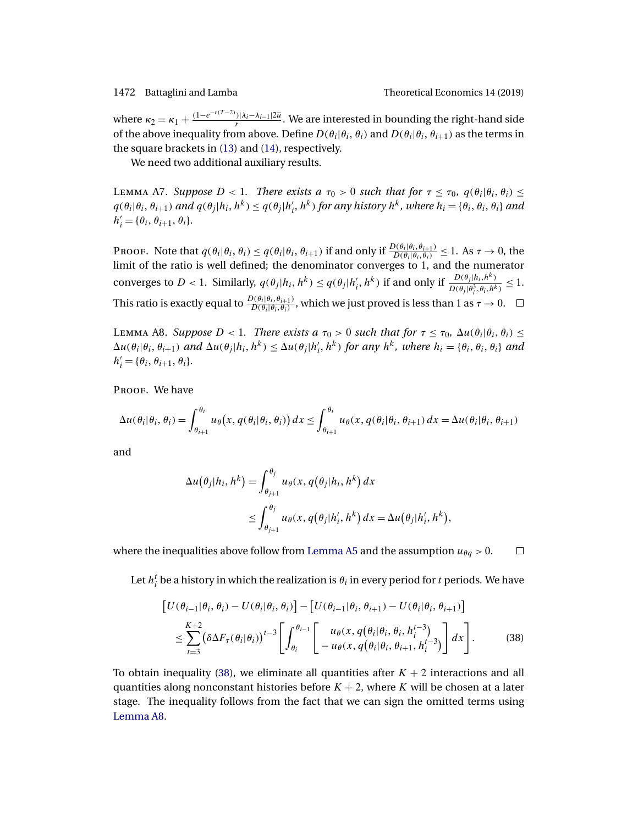<span id="page-37-0"></span>where  $\kappa_2 = \kappa_1 + \frac{(1 - e^{-r(T-2)})|\lambda_i - \lambda_{i-1}|2\overline{u}}{r}$ . We are interested in bounding the right-hand side of the above inequality from above. Define  $D(\theta_i|\theta_i, \theta_i)$  and  $D(\theta_i|\theta_i, \theta_{i+1})$  as the terms in the square brackets in [\(13\)](#page-13-0) and [\(14\)](#page-14-0), respectively.

We need two additional auxiliary results.

LEMMA A7. *Suppose*  $D < 1$ *. There exists a*  $\tau_0 > 0$  *such that for*  $\tau \leq \tau_0$ *,*  $q(\theta_i | \theta_i, \theta_i) \leq$  $q(\theta_i|\theta_i, \theta_{i+1})$  and  $q(\theta_j|h_i, h^k) \leq q(\theta_j|h'_i, h^k)$  for any history  $h^k$ , where  $h_i = \{\theta_i, \theta_i, \theta_i\}$  and  $h'_{i} = {\theta_{i}, \theta_{i+1}, \theta_{i}}.$ 

Proof. Note that  $q(\theta_i|\theta_i, \theta_i) \leq q(\theta_i|\theta_i, \theta_{i+1})$  if and only if  $\frac{D(\theta_i|\theta_i, \theta_{i+1})}{D(\theta_i|\theta_i, \theta_i)} \leq 1$ . As  $\tau \to 0$ , the limit of the ratio is well defined; the denominator converges to 1, and the numerator converges to  $D < 1$ . Similarly,  $q(\theta_j|h_i, h^k) \leq q(\theta_j|h'_i, h^k)$  if and only if  $\frac{D(\theta_j|h_i, h^k)}{D(\theta_j|\theta_i^3, \theta_i, h^k)} \leq 1$ . This ratio is exactly equal to  $\frac{D(\theta_i|\theta_i,\theta_{i+1})}{D(\theta_i|\theta_i,\theta_i)}$ , which we just proved is less than 1 as  $\tau\to 0$ .

LEMMA A8. *Suppose*  $D < 1$ *. There exists a*  $\tau_0 > 0$  *such that for*  $\tau \leq \tau_0$ *,*  $\Delta u(\theta_i|\theta_i, \theta_i) \leq$  $\Delta u(\theta_i|\theta_i, \theta_{i+1})$  and  $\Delta u(\theta_j|h_i, h^k) \leq \Delta u(\theta_j|h'_i, h^k)$  for any  $h^k$ , where  $h_i = \{\theta_i, \theta_i, \theta_i\}$  and  $h'_{i} = {\theta_{i}, \theta_{i+1}, \theta_{i}}.$ 

PROOF. We have

$$
\Delta u(\theta_i|\theta_i,\theta_i) = \int_{\theta_{i+1}}^{\theta_i} u_{\theta}(x,q(\theta_i|\theta_i,\theta_i)) dx \le \int_{\theta_{i+1}}^{\theta_i} u_{\theta}(x,q(\theta_i|\theta_i,\theta_{i+1}) dx = \Delta u(\theta_i|\theta_i,\theta_{i+1})
$$

and

$$
\Delta u(\theta_j|h_i, h^k) = \int_{\theta_{j+1}}^{\theta_j} u_{\theta}(x, q(\theta_j|h_i, h^k)) dx
$$
  
 
$$
\leq \int_{\theta_{j+1}}^{\theta_j} u_{\theta}(x, q(\theta_j|h'_i, h^k)) dx = \Delta u(\theta_j|h'_i, h^k),
$$

where the inequalities above follow from [Lemma A5](#page-32-0) and the assumption  $u_{\theta q} > 0$ .  $\Box$ 

Let  $h_i^t$  be a history in which the realization is  $\theta_i$  in every period for  $t$  periods. We have

$$
\begin{split} \left[U(\theta_{i-1}|\theta_i,\theta_i) - U(\theta_i|\theta_i,\theta_i)\right] - \left[U(\theta_{i-1}|\theta_i,\theta_{i+1}) - U(\theta_i|\theta_i,\theta_{i+1})\right] \\ \leq & \sum_{t=3}^{K+2} \left(\delta \Delta F_\tau(\theta_i|\theta_i)\right)^{t-3} \left[\int_{\theta_i}^{\theta_{i-1}} \left[\begin{array}{c} u_\theta(x,q(\theta_i|\theta_i,\theta_i,h_i^{t-3})\\ -u_\theta(x,q(\theta_i|\theta_i,\theta_{i+1},h_i^{t-3})\end{array}\right] dx\right]. \end{split} \tag{38}
$$

To obtain inequality (38), we eliminate all quantities after  $K + 2$  interactions and all quantities along nonconstant histories before  $K + 2$ , where K will be chosen at a later stage. The inequality follows from the fact that we can sign the omitted terms using Lemma A8.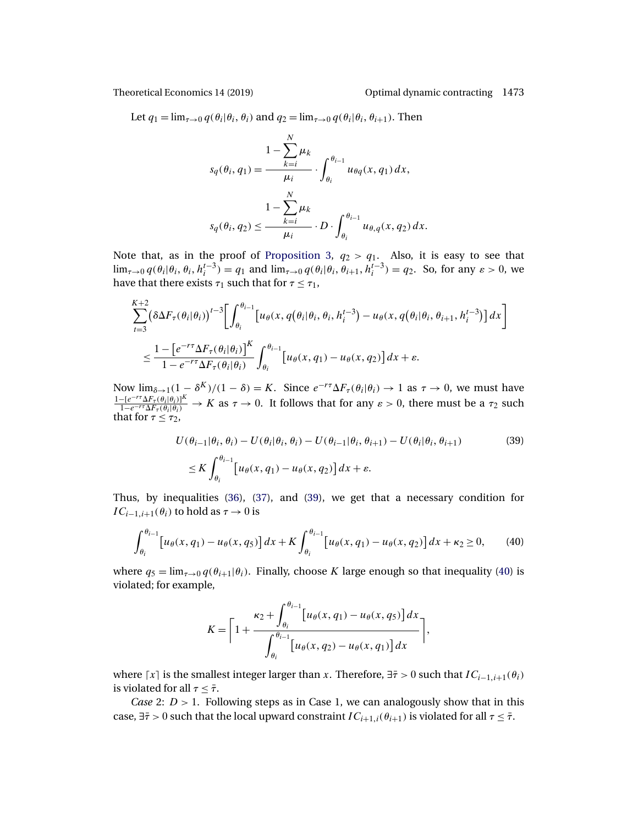Let  $q_1 = \lim_{\tau \to 0} q(\theta_i | \theta_i, \theta_i)$  and  $q_2 = \lim_{\tau \to 0} q(\theta_i | \theta_i, \theta_{i+1})$ . Then

$$
s_q(\theta_i, q_1) = \frac{1 - \sum_{k=i}^N \mu_k}{\mu_i} \cdot \int_{\theta_i}^{\theta_{i-1}} u_{\theta q}(x, q_1) dx,
$$
  

$$
1 - \sum_{k=i}^N \mu_k
$$
  

$$
s_q(\theta_i, q_2) \le \frac{1 - \sum_{k=i}^N \mu_k}{\mu_i} \cdot D \cdot \int_{\theta_i}^{\theta_{i-1}} u_{\theta, q}(x, q_2) dx.
$$

Note that, as in the proof of [Proposition 3,](#page-15-0)  $q_2 > q_1$ . Also, it is easy to see that  $\lim_{\tau \to 0} q(\theta_i | \theta_i, \theta_i, h_i^{t-3}) = q_1$  and  $\lim_{\tau \to 0} q(\theta_i | \theta_i, \theta_{i+1}, h_i^{t-3}) = q_2$ . So, for any  $\varepsilon > 0$ , we have that there exists  $\tau_1$  such that for  $\tau \leq \tau_1$ ,

$$
\sum_{t=3}^{K+2} (\delta \Delta F_{\tau}(\theta_i | \theta_i))^{t-3} \Biggl[ \int_{\theta_i}^{\theta_{i-1}} \Bigl[ u_{\theta}(x, q(\theta_i | \theta_i, \theta_i, h_i^{t-3}) - u_{\theta}(x, q(\theta_i | \theta_i, \theta_{i+1}, h_i^{t-3}) \Bigr] dx \Biggr] \n\leq \frac{1 - \Bigl[ e^{-r\tau} \Delta F_{\tau}(\theta_i | \theta_i) \Bigr]^K}{1 - e^{-r\tau} \Delta F_{\tau}(\theta_i | \theta_i)} \int_{\theta_i}^{\theta_{i-1}} \Bigl[ u_{\theta}(x, q_1) - u_{\theta}(x, q_2) \Bigr] dx + \varepsilon.
$$

Now  $\lim_{\delta \to 1} (1 - \delta^K)/(1 - \delta) = K$ . Since  $e^{-r\tau} \Delta F_\tau(\theta_i | \theta_i) \to 1$  as  $\tau \to 0$ , we must have  $\frac{1-[e^{-r\tau}\Delta F_{\tau}(\theta_i|\theta_i)]^K}{1-e^{-r\tau}\Delta F_{\tau}(\theta_i|\theta_i)}$   $\to K$  as  $\tau \to 0$ . It follows that for any  $\varepsilon > 0$ , there must be a  $\tau_2$  such that for  $\tau \leq \tau_2$ ,

$$
U(\theta_{i-1}|\theta_i, \theta_i) - U(\theta_i|\theta_i, \theta_i) - U(\theta_{i-1}|\theta_i, \theta_{i+1}) - U(\theta_i|\theta_i, \theta_{i+1})
$$
\n
$$
\leq K \int_{\theta_i}^{\theta_{i-1}} \left[ u_\theta(x, q_1) - u_\theta(x, q_2) \right] dx + \varepsilon.
$$
\n(39)

Thus, by inequalities [\(36\)](#page-35-0), [\(37\)](#page-36-0), and (39), we get that a necessary condition for  $IC_{i-1,i+1}(\theta_i)$  to hold as  $\tau \to 0$  is

$$
\int_{\theta_i}^{\theta_{i-1}} \left[ u_\theta(x, q_1) - u_\theta(x, q_5) \right] dx + K \int_{\theta_i}^{\theta_{i-1}} \left[ u_\theta(x, q_1) - u_\theta(x, q_2) \right] dx + \kappa_2 \ge 0,
$$
 (40)

where  $q_5 = \lim_{\tau \to 0} q(\theta_{i+1}|\theta_i)$ . Finally, choose K large enough so that inequality (40) is violated; for example,

$$
K = \left[1 + \frac{\kappa_2 + \int_{\theta_i}^{\theta_{i-1}} [u_{\theta}(x, q_1) - u_{\theta}(x, q_5)] dx}{\int_{\theta_i}^{\theta_{i-1}} [u_{\theta}(x, q_2) - u_{\theta}(x, q_1)] dx}\right],
$$

where  $[x]$  is the smallest integer larger than x. Therefore,  $\exists \bar{\tau} > 0$  such that  $IC_{i-1,i+1}(\theta_i)$ is violated for all  $\tau < \bar{\tau}$ .

*Case* 2:  $D > 1$ . Following steps as in Case 1, we can analogously show that in this case,  $\exists \bar{\tau} > 0$  such that the local upward constraint  $IC_{i+1,i}(\theta_{i+1})$  is violated for all  $\tau \leq \bar{\tau}$ .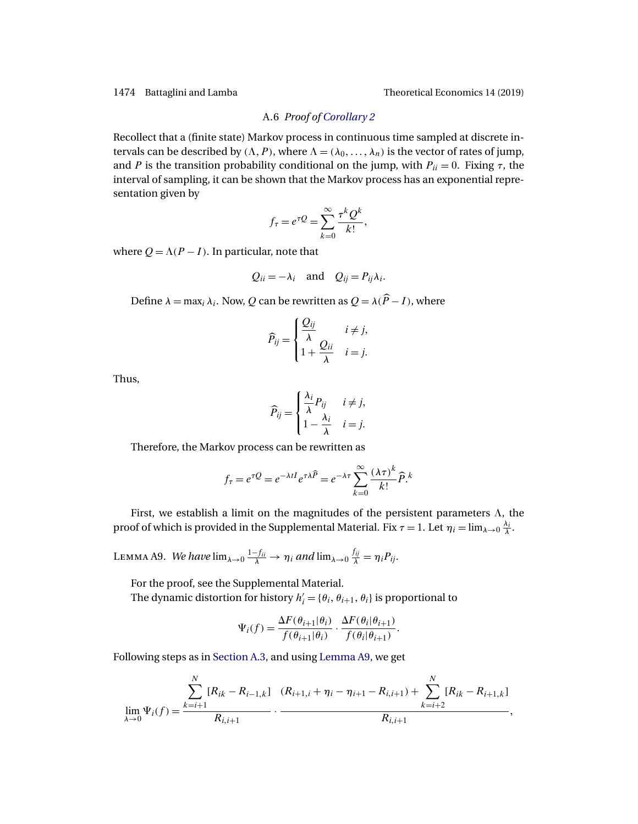#### A.6 *Proof of [Corollary 2](#page-17-0)*

<span id="page-39-0"></span>Recollect that a (finite state) Markov process in continuous time sampled at discrete intervals can be described by  $(\Lambda, P)$ , where  $\Lambda = (\lambda_0, \dots, \lambda_n)$  is the vector of rates of jump, and P is the transition probability conditional on the jump, with  $P_{ii} = 0$ . Fixing  $\tau$ , the interval of sampling, it can be shown that the Markov process has an exponential representation given by

$$
f_{\tau} = e^{\tau Q} = \sum_{k=0}^{\infty} \frac{\tau^k Q^k}{k!},
$$

where  $Q = \Lambda(P - I)$ . In particular, note that

$$
Q_{ii} = -\lambda_i
$$
 and  $Q_{ij} = P_{ij}\lambda_i$ .

Define  $\lambda = \max_i \lambda_i$ . Now, Q can be rewritten as  $Q = \lambda(\widehat{P} - I)$ , where

$$
\widehat{P}_{ij} = \begin{cases} \frac{Q_{ij}}{\lambda} & i \neq j, \\ 1 + \frac{Q_{ii}}{\lambda} & i = j. \end{cases}
$$

Thus,

$$
\widehat{P}_{ij} = \begin{cases} \frac{\lambda_i}{\lambda} P_{ij} & i \neq j, \\ 1 - \frac{\lambda_i}{\lambda} & i = j. \end{cases}
$$

Therefore, the Markov process can be rewritten as

$$
f_{\tau} = e^{\tau Q} = e^{-\lambda t I} e^{\tau \lambda \widehat{P}} = e^{-\lambda \tau} \sum_{k=0}^{\infty} \frac{(\lambda \tau)^k}{k!} \widehat{P}^k
$$

First, we establish a limit on the magnitudes of the persistent parameters  $\Lambda$ , the proof of which is provided in the Supplemental Material. Fix  $\tau = 1$ . Let  $\eta_i = \lim_{\lambda \to 0} \frac{\lambda_i}{\lambda}$ .

LEMMA A9. *We have*  $\lim_{\lambda\to 0} \frac{1-f_{ii}}{\lambda} \to \eta_i$  and  $\lim_{\lambda\to 0} \frac{f_{ij}}{\lambda} = \eta_i P_{ij}$ .

For the proof, see the Supplemental Material. The dynamic distortion for history  $h'_i = \{\theta_i, \theta_{i+1}, \theta_i\}$  is proportional to

$$
\Psi_i(f) = \frac{\Delta F(\theta_{i+1}|\theta_i)}{f(\theta_{i+1}|\theta_i)} \cdot \frac{\Delta F(\theta_i|\theta_{i+1})}{f(\theta_i|\theta_{i+1})}.
$$

Following steps as in [Section A.3,](#page-31-0) and using Lemma A9, we get

$$
\lim_{\lambda \to 0} \Psi_i(f) = \frac{\sum_{k=i+1}^N [R_{ik} - R_{i-1,k}] \cdot (R_{i+1,i} + \eta_i - \eta_{i+1} - R_{i,i+1}) + \sum_{k=i+2}^N [R_{ik} - R_{i+1,k}] \cdot R_{i,i+1}}{R_{i,i+1}},
$$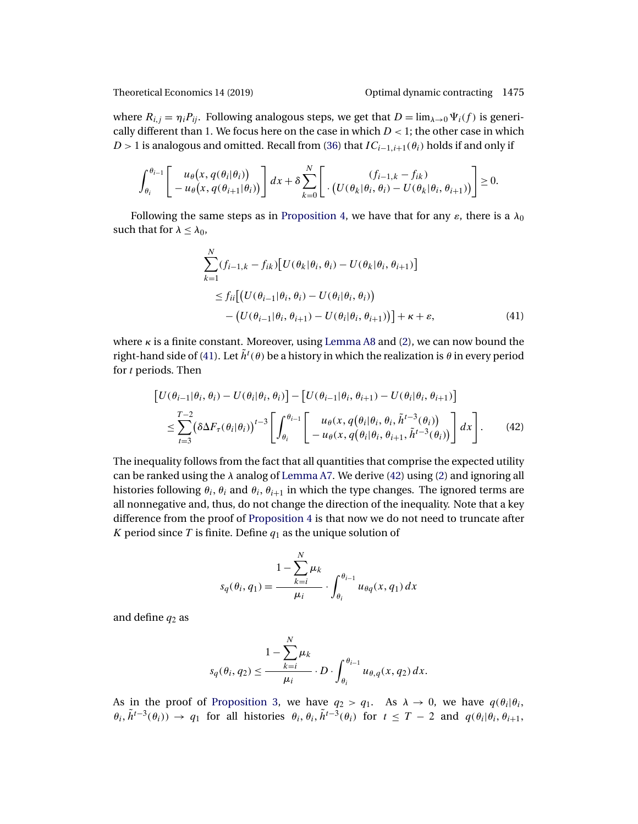<span id="page-40-0"></span>

where  $R_{i,j} = \eta_i P_{ij}$ . Following analogous steps, we get that  $D = \lim_{\lambda \to 0} \Psi_i(f)$  is generically different than 1. We focus here on the case in which  $D < 1$ ; the other case in which D > 1 is analogous and omitted. Recall from [\(36\)](#page-35-0) that  $IC_{i-1,i+1}(\theta_i)$  holds if and only if

$$
\int_{\theta_i}^{\theta_{i-1}} \left[ \begin{array}{c} u_\theta(x, q(\theta_i|\theta_i)) \\ -u_\theta(x, q(\theta_{i+1}|\theta_i)) \end{array} \right] dx + \delta \sum_{k=0}^N \left[ \begin{array}{c} (f_{i-1,k} - f_{ik}) \\ \cdot (U(\theta_k|\theta_i, \theta_i) - U(\theta_k|\theta_i, \theta_{i+1})) \end{array} \right] \geq 0.
$$

Following the same steps as in [Proposition 4,](#page-17-0) we have that for any  $\varepsilon$ , there is a  $\lambda_0$ such that for  $\lambda \leq \lambda_0$ ,

$$
\sum_{k=1}^{N} (f_{i-1,k} - f_{ik}) [U(\theta_k | \theta_i, \theta_i) - U(\theta_k | \theta_i, \theta_{i+1})]
$$
  
\n
$$
\leq f_{ii} [(U(\theta_{i-1} | \theta_i, \theta_i) - U(\theta_i | \theta_i, \theta_i))
$$
  
\n
$$
- (U(\theta_{i-1} | \theta_i, \theta_{i+1}) - U(\theta_i | \theta_i, \theta_{i+1}))] + \kappa + \varepsilon,
$$
\n(41)

where  $\kappa$  is a finite constant. Moreover, using [Lemma A8](#page-37-0) and [\(2\)](#page-6-0), we can now bound the right-hand side of (41). Let  $\tilde{h}^t(\theta)$  be a history in which the realization is  $\theta$  in every period for *t* periods. Then

$$
\begin{aligned}\n\left[U(\theta_{i-1}|\theta_i, \theta_i) - U(\theta_i|\theta_i, \theta_i)\right] - \left[U(\theta_{i-1}|\theta_i, \theta_{i+1}) - U(\theta_i|\theta_i, \theta_{i+1})\right] \\
&\leq \sum_{t=3}^{T-2} \left(\delta \Delta F_\tau(\theta_i|\theta_i)\right)^{t-3} \left[\int_{\theta_i}^{\theta_{i-1}} \left[\begin{array}{c} u_\theta(x, q(\theta_i|\theta_i, \theta_i, \tilde{h}^{t-3}(\theta_i)) \\ -u_\theta(x, q(\theta_i|\theta_i, \theta_{i+1}, \tilde{h}^{t-3}(\theta_i))\end{array})\right] dx\right].\n\end{aligned} \tag{42}
$$

The inequality follows from the fact that all quantities that comprise the expected utility can be ranked using the  $\lambda$  analog of [Lemma A7.](#page-37-0) We derive (42) using [\(2\)](#page-6-0) and ignoring all histories following  $\theta_i$ ,  $\theta_i$  and  $\theta_i$ ,  $\theta_{i+1}$  in which the type changes. The ignored terms are all nonnegative and, thus, do not change the direction of the inequality. Note that a key difference from the proof of [Proposition 4](#page-17-0) is that now we do not need to truncate after K period since T is finite. Define  $q_1$  as the unique solution of

$$
s_q(\theta_i, q_1) = \frac{1 - \sum_{k=i}^N \mu_k}{\mu_i} \cdot \int_{\theta_i}^{\theta_{i-1}} u_{\theta q}(x, q_1) dx
$$

and define  $q_2$  as

$$
s_q(\theta_i, q_2) \le \frac{1 - \sum_{k=i}^N \mu_k}{\mu_i} \cdot D \cdot \int_{\theta_i}^{\theta_{i-1}} u_{\theta, q}(x, q_2) dx.
$$

As in the proof of [Proposition 3,](#page-15-0) we have  $q_2 > q_1$ . As  $\lambda \to 0$ , we have  $q(\theta_i|\theta_i)$ ,  $\theta_i$ ,  $\tilde{h}^{t-3}(\theta_i)$  →  $q_1$  for all histories  $\theta_i$ ,  $\theta_i$ ,  $\tilde{h}^{t-3}(\theta_i)$  for  $t \leq T-2$  and  $q(\theta_i|\theta_i, \theta_{i+1})$ ,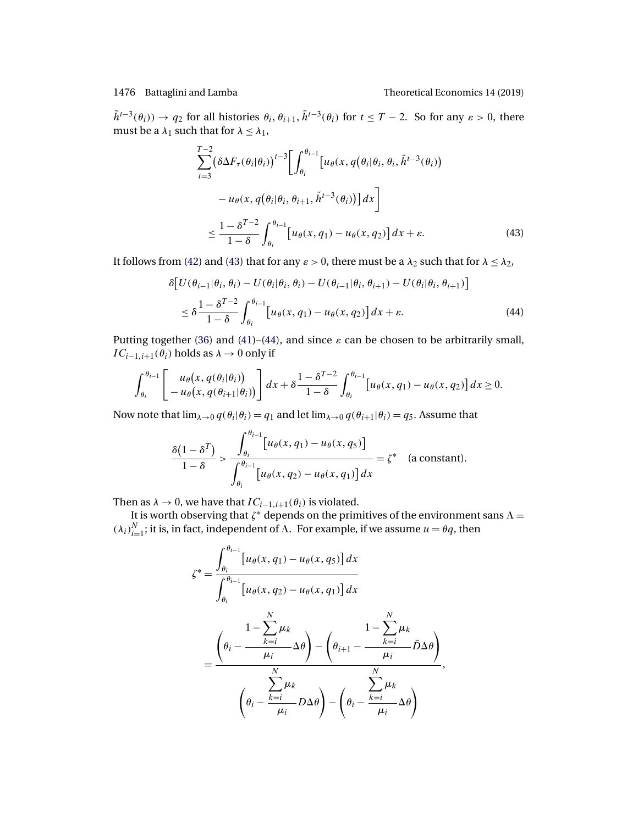$\tilde{h}^{t-3}(\theta_i)) \to q_2$  for all histories  $\theta_i, \theta_{i+1}, \tilde{h}^{t-3}(\theta_i)$  for  $t \leq T-2$ . So for any  $\varepsilon > 0$ , there must be a  $\lambda_1$  such that for  $\lambda \leq \lambda_1$ ,

$$
\sum_{t=3}^{T-2} \left( \delta \Delta F_{\tau}(\theta_i | \theta_i) \right)^{t-3} \left[ \int_{\theta_i}^{\theta_{i-1}} \left[ u_{\theta}(x, q(\theta_i | \theta_i, \theta_i, \tilde{h}^{t-3}(\theta_i)) - u_{\theta}(x, q(\theta_i | \theta_i, \theta_{i+1}, \tilde{h}^{t-3}(\theta_i)) \right] dx \right]
$$
  

$$
\leq \frac{1 - \delta^{T-2}}{1 - \delta} \int_{\theta_i}^{\theta_{i-1}} \left[ u_{\theta}(x, q_1) - u_{\theta}(x, q_2) \right] dx + \varepsilon.
$$
 (43)

It follows from [\(42\)](#page-40-0) and (43) that for any  $\varepsilon > 0$ , there must be a  $\lambda_2$  such that for  $\lambda \leq \lambda_2$ ,

$$
\delta \big[ U(\theta_{i-1}|\theta_i, \theta_i) - U(\theta_i|\theta_i, \theta_i) - U(\theta_{i-1}|\theta_i, \theta_{i+1}) - U(\theta_i|\theta_i, \theta_{i+1}) \big]
$$
  

$$
\leq \delta \frac{1 - \delta^{T-2}}{1 - \delta} \int_{\theta_i}^{\theta_{i-1}} \big[ u_\theta(x, q_1) - u_\theta(x, q_2) \big] dx + \varepsilon.
$$
 (44)

Putting together [\(36\)](#page-35-0) and [\(41\)](#page-40-0)–(44), and since  $\varepsilon$  can be chosen to be arbitrarily small,  $IC_{i-1,i+1}(\theta_i)$  holds as  $\lambda \to 0$  only if

$$
\int_{\theta_i}^{\theta_{i-1}} \left[ u_\theta(x, q(\theta_i | \theta_i)) - u_\theta(x, q(\theta_{i+1} | \theta_i)) \right] dx + \delta \frac{1 - \delta^{T-2}}{1 - \delta} \int_{\theta_i}^{\theta_{i-1}} \left[ u_\theta(x, q_1) - u_\theta(x, q_2) \right] dx \ge 0.
$$

Now note that  $\lim_{\lambda\to 0} q(\theta_i|\theta_i) = q_1$  and let  $\lim_{\lambda\to 0} q(\theta_{i+1}|\theta_i) = q_5$ . Assume that

$$
\frac{\delta(1-\delta^T)}{1-\delta} > \frac{\int_{\theta_i}^{\theta_{i-1}} [u_{\theta}(x,q_1) - u_{\theta}(x,q_5)]}{\int_{\theta_i}^{\theta_{i-1}} [u_{\theta}(x,q_2) - u_{\theta}(x,q_1)] dx} = \zeta^* \quad \text{(a constant)}.
$$

Then as  $\lambda \to 0$ , we have that  $IC_{i-1,i+1}(\theta_i)$  is violated.

It is worth observing that  $\zeta^*$  depends on the primitives of the environment sans  $\Lambda=$  $(\lambda_i)_{i=1}^N$ ; it is, in fact, independent of  $\Lambda$ . For example, if we assume  $u = \theta q$ , then

$$
\zeta^* = \frac{\int_{\theta_i}^{\theta_{i-1}} [u_{\theta}(x, q_1) - u_{\theta}(x, q_5)] dx}{\int_{\theta_i}^{\theta_{i-1}} [u_{\theta}(x, q_2) - u_{\theta}(x, q_1)] dx}
$$

$$
= \frac{\left(\theta_i - \frac{1 - \sum_{k=i}^N \mu_k}{\mu_i} \Delta \theta\right) - \left(\theta_{i+1} - \frac{1 - \sum_{k=i}^N \mu_k}{\mu_i} \tilde{D} \Delta \theta\right)}{\sum_{k=i}^N \mu_k} ,\,
$$

$$
\left(\theta_i - \frac{\sum_{k=i}^N \mu_k}{\mu_i} D \Delta \theta\right) - \left(\theta_i - \frac{\sum_{k=i}^N \mu_k}{\mu_i} \Delta \theta\right)
$$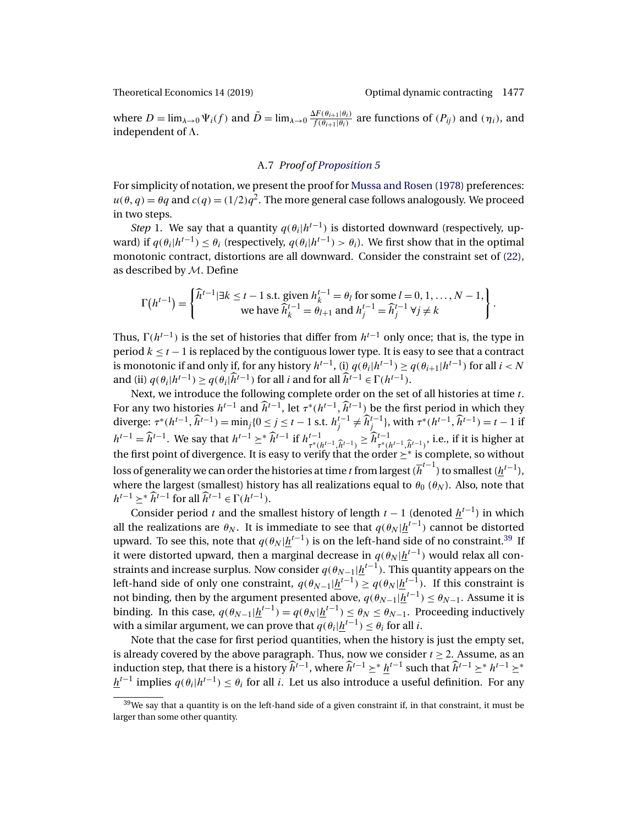<span id="page-42-0"></span>

where  $D = \lim_{\lambda \to 0} \Psi_i(f)$  and  $\tilde{D} = \lim_{\lambda \to 0} \frac{\Delta F(\theta_{i+1}|\theta_i)}{f(\theta_{i+1}|\theta_i)}$  are functions of  $(P_{ij})$  and  $(\eta_i)$ , and independent of  $\Lambda$ .

### A.7 *Proof of [Proposition 5](#page-22-0)*

For simplicity of notation, we present the proof for [Mussa and Rosen](#page-46-0) [\(1978\)](#page-46-0) preferences:  $u(\theta, q) = \theta q$  and  $c(q) = (1/2)q^2$ . The more general case follows analogously. We proceed in two steps.

*Step* 1. We say that a quantity  $q(\theta_i|h^{t-1})$  is distorted downward (respectively, upward) if  $q(\theta_i|h^{t-1}) \leq \theta_i$  (respectively,  $q(\theta_i|h^{t-1}) > \theta_i$ ). We first show that in the optimal monotonic contract, distortions are all downward. Consider the constraint set of [\(22\)](#page-21-0), as described by M. Define

$$
\Gamma(h^{t-1}) = \begin{cases} \widehat{h}^{t-1} | \exists k \leq t-1 \text{ s.t. given } h_k^{t-1} = \theta_l \text{ for some } l = 0, 1, \dots, N-1, \\ \text{we have } \widehat{h}_k^{t-1} = \theta_{l+1} \text{ and } h_j^{t-1} = \widehat{h}_j^{t-1} \ \forall j \neq k \end{cases}.
$$

Thus,  $\Gamma(h^{t-1})$  is the set of histories that differ from  $h^{t-1}$  only once; that is, the type in period  $k \le t - 1$  is replaced by the contiguous lower type. It is easy to see that a contract is monotonic if and only if, for any history  $h^{t-1}$ , (i)  $q(\theta_i|h^{t-1}) \geq q(\theta_{i+1}|h^{t-1})$  for all  $i < N$ and (ii)  $q(\theta_i|h^{t-1}) \geq q(\theta_i|\hat{h}^{t-1})$  for all *i* and for all  $\hat{h}^{t-1} \in \Gamma(h^{t-1})$ .

Next, we introduce the following complete order on the set of all histories at time t. For any two histories  $h^{t-1}$  and  $\hat{h}^{t-1}$ , let  $\tau^*(h^{t-1}, \hat{h}^{t-1})$  be the first period in which they diverge:  $\tau^*(h^{t-1}, \hat{h}^{t-1}) = \min_j\{0 \le j \le t-1 \text{ s.t. } h_j^{t-1} \ne \hat{h}_j^{t-1}\}$ , with  $\tau^*(h^{t-1}, \hat{h}^{t-1}) = t-1$  if  $h^{t-1} = \hat{h}^{t-1}$ . We say that  $h^{t-1} \ge \hat{h}^{t-1}$  if  $h^{t-1}_{\tau^*(h^{t-1}, \hat{h}^{t-1})} \ge \hat{h}^{t-1}_{\tau^*(h^{t-1}, \hat{h}^{t-1})}$ , i.e., if it is higher at the first point of divergence. It is easy to verify that the order  $\geq^*$  is complete, so without loss of generality we can order the histories at time  $t$  from largest ( $\overline{h}^{t-1}$ ) to smallest ( $\underline{h}^{t-1}$ ), where the largest (smallest) history has all realizations equal to  $\theta_0$  ( $\theta_N$ ). Also, note that  $h^{t-1}$  >\* $\widehat{h}^{t-1}$  for all  $\widehat{h}^{t-1}$  ∈  $\Gamma(h^{t-1})$ .

Consider period t and the smallest history of length  $t - 1$  (denoted  $h^{t-1}$ ) in which all the realizations are  $\theta_N.$  It is immediate to see that  $q(\theta_N|\underline{h}^{t-1})$  cannot be distorted upward. To see this, note that  $q(\theta_N|\underline{h}^{t-1})$  is on the left-hand side of no constraint. $^{39}$  If it were distorted upward, then a marginal decrease in  $q(\theta_N|\underline{h}^{t-1})$  would relax all constraints and increase surplus. Now consider  $q(\theta_{N-1}|\underline{h}^{t-1}).$  This quantity appears on the left-hand side of only one constraint,  $q(\theta_{N-1}|\underline{h}^{t-1}) \geq q(\theta_N|\underline{h}^{t-1}).$  If this constraint is not binding, then by the argument presented above,  $q(\theta_{N-1}|\underline{h}^{t-1})\leq \theta_{N-1}.$  Assume it is binding. In this case,  $q(\theta_{N-1}|\underline{h}^{t-1}) = q(\theta_N|\underline{h}^{t-1}) \leq \theta_N \leq \theta_{N-1}$ . Proceeding inductively with a similar argument, we can prove that  $q(\theta_i|\underline{h}^{t-1})\leq \theta_i$  for all  $i.$ 

Note that the case for first period quantities, when the history is just the empty set, is already covered by the above paragraph. Thus, now we consider  $t \geq 2$ . Assume, as an induction step, that there is a history  $\hat{h}^{t-1}$ , where  $\hat{h}^{t-1} \geq^* h^{t-1}$  such that  $\hat{h}^{t-1} \geq^* h^{t-1} \geq^*$  $h^{t-1}$  implies  $q(\theta_i|h^{t-1}) < \theta_i$  for all i. Let us also introduce a useful definition. For any

 $39$ We say that a quantity is on the left-hand side of a given constraint if, in that constraint, it must be larger than some other quantity.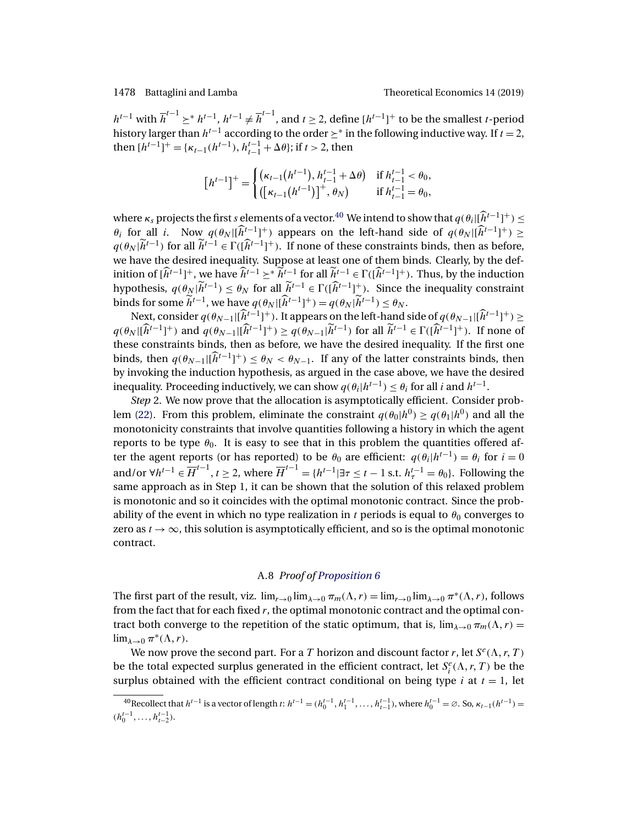$h^{t-1}$  with  $\overline{h}^{t-1} \geq^* h^{t-1}$ ,  $h^{t-1} \neq \overline{h}^{t-1}$ , and  $t \geq 2$ , define  $[h^{t-1}]^+$  to be the smallest *t*-period history larger than  $h^{t-1}$  according to the order  $\geq^*$  in the following inductive way. If  $t = 2$ , then  $[h^{t-1}]^+ = \{\kappa_{t-1}(h^{t-1}), h_{t-1}^{t-1} + \Delta\theta\}$ ; if  $t > 2$ , then

$$
\begin{bmatrix} h^{t-1} \end{bmatrix}^+ = \begin{cases} (\kappa_{t-1}(h^{t-1}), h_{t-1}^{t-1} + \Delta \theta) & \text{if } h_{t-1}^{t-1} < \theta_0, \\ \left( [\kappa_{t-1}(h^{t-1})]^+, \theta_N \right) & \text{if } h_{t-1}^{t-1} = \theta_0, \end{cases}
$$

where  $\kappa_s$  projects the first s elements of a vector.<sup>40</sup> We intend to show that  $q(\theta_i|[\hat{h}^{t-1}]^+) \le$  $\theta_i$  for all i. Now  $q(\theta_N | [\hat{h}^{t-1}]^+)$  appears on the left-hand side of  $q(\theta_N | [\hat{h}^{t-1}]^+) \ge$  $q(\theta_N | \tilde{h}^{t-1})$  for all  $\tilde{h}^{t-1} \in \Gamma((\hat{h}^{t-1})^+)$ . If none of these constraints binds, then as before, we have the desired inequality. Suppose at least one of them binds. Clearly, by the definition of  $[\hat{h}^{t-1}]^+$ , we have  $\hat{h}^{t-1} \geq^* \tilde{h}^{t-1}$  for all  $\tilde{h}^{t-1} \in \Gamma([\hat{h}^{t-1}]^+)$ . Thus, by the induction hypothesis,  $q(\theta_N | \tilde{h}^{t-1}) \leq \theta_N$  for all  $\tilde{h}^{t-1} \in \Gamma([\hat{h}^{t-1}]^+)$ . Since the inequality constraint binds for some  $\widetilde{h}^{t-1}$ , we have  $q(\theta_N | [\widetilde{h}^{t-1}]^+) = q(\theta_N | \widetilde{h}^{t-1}) \leq \theta_N$ .

Next, consider  $q(\theta_{N-1}|[\hat{h}^{t-1}]^+)$ . It appears on the left-hand side of  $q(\theta_{N-1}|[\hat{h}^{t-1}]^+) \ge$  $q(\theta_N | [\widehat{h}^{t-1}]^+)$  and  $q(\theta_{N-1} | [\widehat{h}^{t-1}]^+) \geq q(\theta_{N-1} | \widetilde{h}^{t-1})$  for all  $\widetilde{h}^{t-1} \in \Gamma([\widehat{h}^{t-1}]^+)$ . If none of these constraints binds, then as before, we have the desired inequality. If the first one binds, then  $q(\theta_{N-1} | [\hat{h}^{t-1}]^+) \leq \theta_N < \theta_{N-1}$ . If any of the latter constraints binds, then by invoking the induction hypothesis, as argued in the case above, we have the desired inequality. Proceeding inductively, we can show  $q(\theta_i|h^{t-1}) < \theta_i$  for all i and  $h^{t-1}$ .

*Step* 2. We now prove that the allocation is asymptotically efficient. Consider prob-lem [\(22\)](#page-21-0). From this problem, eliminate the constraint  $q(\theta_0|h^0) \geq q(\theta_1|h^0)$  and all the monotonicity constraints that involve quantities following a history in which the agent reports to be type  $\theta_0$ . It is easy to see that in this problem the quantities offered after the agent reports (or has reported) to be  $\theta_0$  are efficient:  $q(\theta_i|h^{t-1}) = \theta_i$  for  $i = 0$ and/or  $\forall h^{t-1} \in \overline{H}^{t-1}$ ,  $t \geq 2$ , where  $\overline{H}^{t-1} = \{h^{t-1} | \exists \tau \leq t-1 \text{ s.t. } h_{\tau}^{t-1} = \theta_0\}$ . Following the same approach as in Step 1, it can be shown that the solution of this relaxed problem is monotonic and so it coincides with the optimal monotonic contract. Since the probability of the event in which no type realization in t periods is equal to  $\theta_0$  converges to zero as  $t \to \infty$ , this solution is asymptotically efficient, and so is the optimal monotonic contract.

#### A.8 *Proof of [Proposition 6](#page-22-0)*

The first part of the result, viz.  $\lim_{r\to 0} \lim_{\lambda\to 0} \pi_m(\Lambda, r) = \lim_{r\to 0} \lim_{\lambda\to 0} \pi^*(\Lambda, r)$ , follows from the fact that for each fixed  $r$ , the optimal monotonic contract and the optimal contract both converge to the repetition of the static optimum, that is,  $\lim_{\lambda\to 0} \pi_m(\Lambda,r)$  $\lim_{\lambda\to 0} \pi^*(\Lambda,r)$ .

We now prove the second part. For a T horizon and discount factor r, let  $S^e(\Lambda, r, T)$ be the total expected surplus generated in the efficient contract, let  $S_i^e(\Lambda, r, T)$  be the surplus obtained with the efficient contract conditional on being type *i* at  $t = 1$ , let

<sup>&</sup>lt;sup>40</sup>Recollect that  $h^{t-1}$  is a vector of length  $t: h^{t-1} = (h_0^{t-1}, h_1^{t-1}, \ldots, h_{t-1}^{t-1})$ , where  $h_0^{t-1} = \emptyset$ . So,  $\kappa_{t-1}(h^{t-1}) =$  $(h_0^{t-1}, \ldots, h_{t-2}^{t-1}).$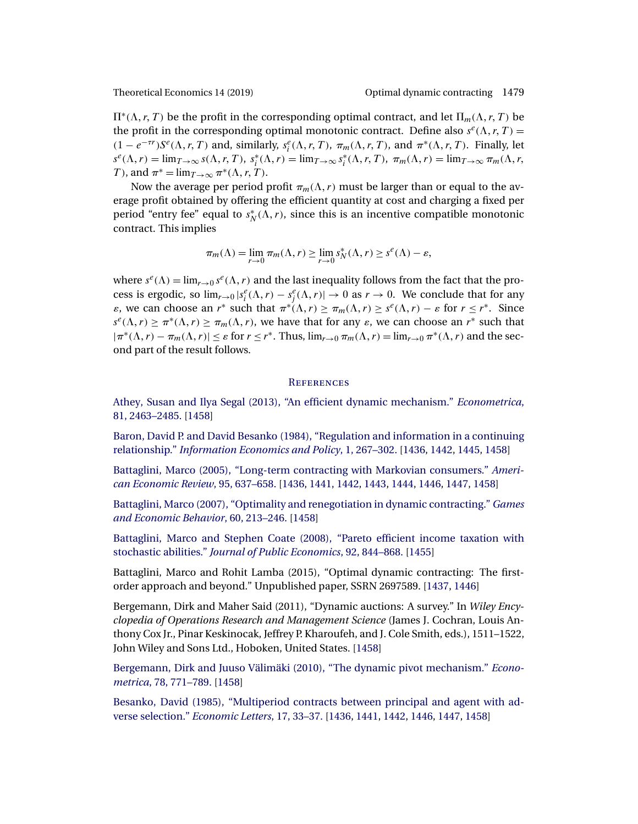<span id="page-44-0"></span>

 $\Pi^*(\Lambda, r, T)$  be the profit in the corresponding optimal contract, and let  $\Pi_m(\Lambda, r, T)$  be the profit in the corresponding optimal monotonic contract. Define also  $s^e(\Lambda, r, T) =$  $(1 - e^{-\tau r})S^e(\Lambda, r, T)$  and, similarly,  $s_i^e(\Lambda, r, T)$ ,  $\pi_m(\Lambda, r, T)$ , and  $\pi^*(\Lambda, r, T)$ . Finally, let  $s^e(\Lambda, r) = \lim_{T \to \infty} s(\Lambda, r, T), s_i^*(\Lambda, r) = \lim_{T \to \infty} s_i^*(\Lambda, r, T), \pi_m(\Lambda, r) = \lim_{T \to \infty} \pi_m(\Lambda, r, T)$ T), and  $\pi^* = \lim_{T \to \infty} \pi^*(\Lambda, r, T)$ .

Now the average per period profit  $\pi_m(\Lambda, r)$  must be larger than or equal to the average profit obtained by offering the efficient quantity at cost and charging a fixed per period "entry fee" equal to  $s_N^*(\Lambda, r)$ , since this is an incentive compatible monotonic contract. This implies

$$
\pi_m(\Lambda) = \lim_{r \to 0} \pi_m(\Lambda, r) \ge \lim_{r \to 0} s_N^*(\Lambda, r) \ge s^e(\Lambda) - \varepsilon,
$$

where  $s^e(\Lambda) = \lim_{r \to 0} s^e(\Lambda, r)$  and the last inequality follows from the fact that the process is ergodic, so  $\lim_{r\to 0} |s_i^e(\Lambda, r) - s_j^e(\Lambda, r)| \to 0$  as  $r \to 0$ . We conclude that for any  $\varepsilon$ , we can choose an  $r^*$  such that  $\pi^*(\Lambda, r) \geq \pi_m(\Lambda, r) \geq s^e(\Lambda, r) - \varepsilon$  for  $r \leq r^*$ . Since  $s^e(\Lambda, r) \geq \pi^*(\Lambda, r) \geq \pi_m(\Lambda, r)$ , we have that for any  $\varepsilon$ , we can choose an  $r^*$  such that  $|\pi^*(\Lambda, r) - \pi_m(\Lambda, r)| \leq \varepsilon$  for  $r \leq r^*$ . Thus,  $\lim_{r \to 0} \pi_m(\Lambda, r) = \lim_{r \to 0} \pi^*(\Lambda, r)$  and the second part of the result follows.

#### **REFERENCES**

[Athey, Susan and Ilya Segal \(2013\), "An efficient dynamic mechanism."](http://www.e-publications.org/srv/te/linkserver/openurl?rft_dat=bib:1/as13&rfe_id=urn:sici%2F1933-6837%28201911%2914%3A4%3C1435%3AODCTFO%3E2.0.CO%3B2-2) *Econometrica*, [81, 2463–2485.](http://www.e-publications.org/srv/te/linkserver/openurl?rft_dat=bib:1/as13&rfe_id=urn:sici%2F1933-6837%28201911%2914%3A4%3C1435%3AODCTFO%3E2.0.CO%3B2-2) [\[1458\]](#page-23-0)

[Baron, David P. and David Besanko \(1984\), "Regulation and information in a continuing](http://www.e-publications.org/srv/te/linkserver/openurl?rft_dat=bib:2/bb84&rfe_id=urn:sici%2F1933-6837%28201911%2914%3A4%3C1435%3AODCTFO%3E2.0.CO%3B2-2) relationship." *[Information Economics and Policy](http://www.e-publications.org/srv/te/linkserver/openurl?rft_dat=bib:2/bb84&rfe_id=urn:sici%2F1933-6837%28201911%2914%3A4%3C1435%3AODCTFO%3E2.0.CO%3B2-2)*, 1, 267–302. [\[1436,](#page-1-0) [1442,](#page-7-0) [1445,](#page-10-0) [1458\]](#page-23-0)

[Battaglini, Marco \(2005\), "Long-term contracting with Markovian consumers."](http://www.e-publications.org/srv/te/linkserver/openurl?rft_dat=bib:3/b05&rfe_id=urn:sici%2F1933-6837%28201911%2914%3A4%3C1435%3AODCTFO%3E2.0.CO%3B2-2) *Ameri[can Economic Review](http://www.e-publications.org/srv/te/linkserver/openurl?rft_dat=bib:3/b05&rfe_id=urn:sici%2F1933-6837%28201911%2914%3A4%3C1435%3AODCTFO%3E2.0.CO%3B2-2)*, 95, 637–658. [\[1436,](#page-1-0) [1441,](#page-6-0) [1442,](#page-7-0) [1443,](#page-8-0) [1444,](#page-9-0) [1446,](#page-11-0) [1447,](#page-12-0) [1458\]](#page-23-0)

[Battaglini, Marco \(2007\), "Optimality and renegotiation in dynamic contracting."](http://www.e-publications.org/srv/te/linkserver/openurl?rft_dat=bib:4/b07&rfe_id=urn:sici%2F1933-6837%28201911%2914%3A4%3C1435%3AODCTFO%3E2.0.CO%3B2-2) *Games [and Economic Behavior](http://www.e-publications.org/srv/te/linkserver/openurl?rft_dat=bib:4/b07&rfe_id=urn:sici%2F1933-6837%28201911%2914%3A4%3C1435%3AODCTFO%3E2.0.CO%3B2-2)*, 60, 213–246. [\[1458\]](#page-23-0)

[Battaglini, Marco and Stephen Coate \(2008\), "Pareto efficient income taxation with](http://www.e-publications.org/srv/te/linkserver/openurl?rft_dat=bib:5/BaCo08&rfe_id=urn:sici%2F1933-6837%28201911%2914%3A4%3C1435%3AODCTFO%3E2.0.CO%3B2-2) stochastic abilities." *[Journal of Public Economics](http://www.e-publications.org/srv/te/linkserver/openurl?rft_dat=bib:5/BaCo08&rfe_id=urn:sici%2F1933-6837%28201911%2914%3A4%3C1435%3AODCTFO%3E2.0.CO%3B2-2)*, 92, 844–868. [\[1455\]](#page-20-0)

Battaglini, Marco and Rohit Lamba (2015), "Optimal dynamic contracting: The firstorder approach and beyond." Unpublished paper, SSRN 2697589. [\[1437,](#page-2-0) [1446\]](#page-11-0)

Bergemann, Dirk and Maher Said (2011), "Dynamic auctions: A survey." In *Wiley Encyclopedia of Operations Research and Management Science* (James J. Cochran, Louis Anthony Cox Jr., Pinar Keskinocak, Jeffrey P. Kharoufeh, and J. Cole Smith, eds.), 1511–1522, John Wiley and Sons Ltd., Hoboken, United States. [\[1458\]](#page-23-0)

[Bergemann, Dirk and Juuso Välimäki \(2010\), "The dynamic pivot mechanism."](http://www.e-publications.org/srv/te/linkserver/openurl?rft_dat=bib:8/dv10&rfe_id=urn:sici%2F1933-6837%28201911%2914%3A4%3C1435%3AODCTFO%3E2.0.CO%3B2-2) *Econometrica*[, 78, 771–789.](http://www.e-publications.org/srv/te/linkserver/openurl?rft_dat=bib:8/dv10&rfe_id=urn:sici%2F1933-6837%28201911%2914%3A4%3C1435%3AODCTFO%3E2.0.CO%3B2-2) [\[1458\]](#page-23-0)

[Besanko, David \(1985\), "Multiperiod contracts between principal and agent with ad](http://www.e-publications.org/srv/te/linkserver/openurl?rft_dat=bib:9/b85&rfe_id=urn:sici%2F1933-6837%28201911%2914%3A4%3C1435%3AODCTFO%3E2.0.CO%3B2-2)verse selection." *[Economic Letters](http://www.e-publications.org/srv/te/linkserver/openurl?rft_dat=bib:9/b85&rfe_id=urn:sici%2F1933-6837%28201911%2914%3A4%3C1435%3AODCTFO%3E2.0.CO%3B2-2)*, 17, 33–37. [\[1436,](#page-1-0) [1441,](#page-6-0) [1442,](#page-7-0) [1446,](#page-11-0) [1447,](#page-12-0) [1458\]](#page-23-0)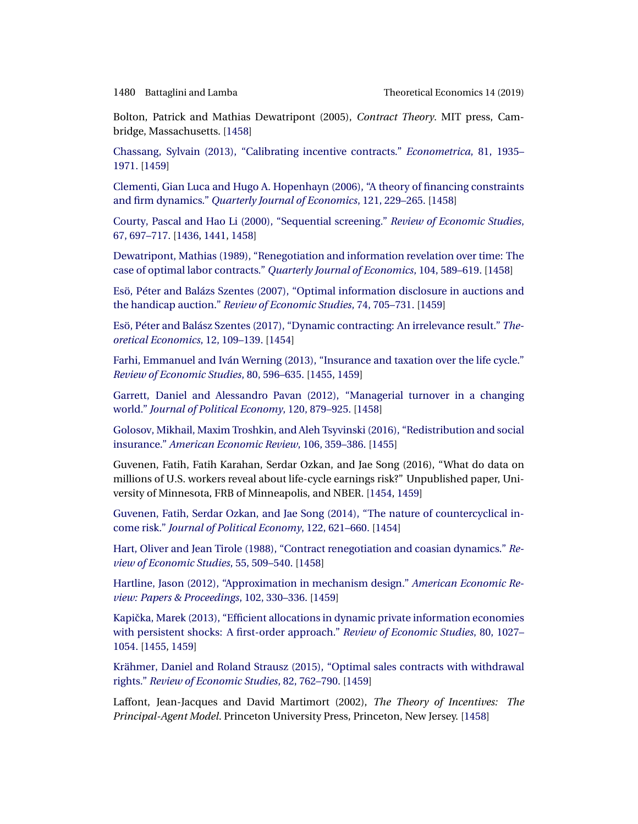<span id="page-45-0"></span>

Bolton, Patrick and Mathias Dewatripont (2005), *Contract Theory*. MIT press, Cambridge, Massachusetts. [\[1458\]](#page-23-0)

[Chassang, Sylvain \(2013\), "Calibrating incentive contracts."](http://www.e-publications.org/srv/te/linkserver/openurl?rft_dat=bib:11/c13&rfe_id=urn:sici%2F1933-6837%28201911%2914%3A4%3C1435%3AODCTFO%3E2.0.CO%3B2-2) *Econometrica*, 81, 1935– [1971.](http://www.e-publications.org/srv/te/linkserver/openurl?rft_dat=bib:11/c13&rfe_id=urn:sici%2F1933-6837%28201911%2914%3A4%3C1435%3AODCTFO%3E2.0.CO%3B2-2) [\[1459\]](#page-24-0)

[Clementi, Gian Luca and Hugo A. Hopenhayn \(2006\), "A theory of financing constraints](http://www.e-publications.org/srv/te/linkserver/openurl?rft_dat=bib:12/ch06&rfe_id=urn:sici%2F1933-6837%28201911%2914%3A4%3C1435%3AODCTFO%3E2.0.CO%3B2-2) and firm dynamics." *[Quarterly Journal of Economics](http://www.e-publications.org/srv/te/linkserver/openurl?rft_dat=bib:12/ch06&rfe_id=urn:sici%2F1933-6837%28201911%2914%3A4%3C1435%3AODCTFO%3E2.0.CO%3B2-2)*, 121, 229–265. [\[1458\]](#page-23-0)

[Courty, Pascal and Hao Li \(2000\), "Sequential screening."](http://www.e-publications.org/srv/te/linkserver/openurl?rft_dat=bib:13/cl00&rfe_id=urn:sici%2F1933-6837%28201911%2914%3A4%3C1435%3AODCTFO%3E2.0.CO%3B2-2) *Review of Economic Studies*, [67, 697–717.](http://www.e-publications.org/srv/te/linkserver/openurl?rft_dat=bib:13/cl00&rfe_id=urn:sici%2F1933-6837%28201911%2914%3A4%3C1435%3AODCTFO%3E2.0.CO%3B2-2) [\[1436,](#page-1-0) [1441,](#page-6-0) [1458\]](#page-23-0)

[Dewatripont, Mathias \(1989\), "Renegotiation and information revelation over time: The](http://www.e-publications.org/srv/te/linkserver/openurl?rft_dat=bib:14/d89&rfe_id=urn:sici%2F1933-6837%28201911%2914%3A4%3C1435%3AODCTFO%3E2.0.CO%3B2-2) [case of optimal labor contracts."](http://www.e-publications.org/srv/te/linkserver/openurl?rft_dat=bib:14/d89&rfe_id=urn:sici%2F1933-6837%28201911%2914%3A4%3C1435%3AODCTFO%3E2.0.CO%3B2-2) *Quarterly Journal of Economics*, 104, 589–619. [\[1458\]](#page-23-0)

[Esö, Péter and Balázs Szentes \(2007\), "Optimal information disclosure in auctions and](http://www.e-publications.org/srv/te/linkserver/openurl?rft_dat=bib:15/es07&rfe_id=urn:sici%2F1933-6837%28201911%2914%3A4%3C1435%3AODCTFO%3E2.0.CO%3B2-2) the handicap auction." *[Review of Economic Studies](http://www.e-publications.org/srv/te/linkserver/openurl?rft_dat=bib:15/es07&rfe_id=urn:sici%2F1933-6837%28201911%2914%3A4%3C1435%3AODCTFO%3E2.0.CO%3B2-2)*, 74, 705–731. [\[1459\]](#page-24-0)

[Esö, Péter and Balász Szentes \(2017\), "Dynamic contracting: An irrelevance result."](http://www.e-publications.org/srv/te/linkserver/openurl?rft_dat=bib:16/es17&rfe_id=urn:sici%2F1933-6837%28201911%2914%3A4%3C1435%3AODCTFO%3E2.0.CO%3B2-2) *The[oretical Economics](http://www.e-publications.org/srv/te/linkserver/openurl?rft_dat=bib:16/es17&rfe_id=urn:sici%2F1933-6837%28201911%2914%3A4%3C1435%3AODCTFO%3E2.0.CO%3B2-2)*, 12, 109–139. [\[1454\]](#page-19-0)

[Farhi, Emmanuel and Iván Werning \(2013\), "Insurance and taxation over the life cycle."](http://www.e-publications.org/srv/te/linkserver/openurl?rft_dat=bib:17/fw13&rfe_id=urn:sici%2F1933-6837%28201911%2914%3A4%3C1435%3AODCTFO%3E2.0.CO%3B2-2) *[Review of Economic Studies](http://www.e-publications.org/srv/te/linkserver/openurl?rft_dat=bib:17/fw13&rfe_id=urn:sici%2F1933-6837%28201911%2914%3A4%3C1435%3AODCTFO%3E2.0.CO%3B2-2)*, 80, 596–635. [\[1455,](#page-20-0) [1459\]](#page-24-0)

[Garrett, Daniel and Alessandro Pavan \(2012\), "Managerial turnover in a changing](http://www.e-publications.org/srv/te/linkserver/openurl?rft_dat=bib:18/gp12&rfe_id=urn:sici%2F1933-6837%28201911%2914%3A4%3C1435%3AODCTFO%3E2.0.CO%3B2-2) world." *[Journal of Political Economy](http://www.e-publications.org/srv/te/linkserver/openurl?rft_dat=bib:18/gp12&rfe_id=urn:sici%2F1933-6837%28201911%2914%3A4%3C1435%3AODCTFO%3E2.0.CO%3B2-2)*, 120, 879–925. [\[1458\]](#page-23-0)

[Golosov, Mikhail, Maxim Troshkin, and Aleh Tsyvinski \(2016\), "Redistribution and social](http://www.e-publications.org/srv/te/linkserver/openurl?rft_dat=bib:19/gtt16&rfe_id=urn:sici%2F1933-6837%28201911%2914%3A4%3C1435%3AODCTFO%3E2.0.CO%3B2-2) insurance." *[American Economic Review](http://www.e-publications.org/srv/te/linkserver/openurl?rft_dat=bib:19/gtt16&rfe_id=urn:sici%2F1933-6837%28201911%2914%3A4%3C1435%3AODCTFO%3E2.0.CO%3B2-2)*, 106, 359–386. [\[1455\]](#page-20-0)

Guvenen, Fatih, Fatih Karahan, Serdar Ozkan, and Jae Song (2016), "What do data on millions of U.S. workers reveal about life-cycle earnings risk?" Unpublished paper, University of Minnesota, FRB of Minneapolis, and NBER. [\[1454,](#page-19-0) [1459\]](#page-24-0)

[Guvenen, Fatih, Serdar Ozkan, and Jae Song \(2014\), "The nature of countercyclical in](http://www.e-publications.org/srv/te/linkserver/openurl?rft_dat=bib:21/gos14&rfe_id=urn:sici%2F1933-6837%28201911%2914%3A4%3C1435%3AODCTFO%3E2.0.CO%3B2-2)come risk." *[Journal of Political Economy](http://www.e-publications.org/srv/te/linkserver/openurl?rft_dat=bib:21/gos14&rfe_id=urn:sici%2F1933-6837%28201911%2914%3A4%3C1435%3AODCTFO%3E2.0.CO%3B2-2)*, 122, 621–660. [\[1454\]](#page-19-0)

[Hart, Oliver and Jean Tirole \(1988\), "Contract renegotiation and coasian dynamics."](http://www.e-publications.org/srv/te/linkserver/openurl?rft_dat=bib:22/HaTi88&rfe_id=urn:sici%2F1933-6837%28201911%2914%3A4%3C1435%3AODCTFO%3E2.0.CO%3B2-2) *Re[view of Economic Studies](http://www.e-publications.org/srv/te/linkserver/openurl?rft_dat=bib:22/HaTi88&rfe_id=urn:sici%2F1933-6837%28201911%2914%3A4%3C1435%3AODCTFO%3E2.0.CO%3B2-2)*, 55, 509–540. [\[1458\]](#page-23-0)

[Hartline, Jason \(2012\), "Approximation in mechanism design."](http://www.e-publications.org/srv/te/linkserver/openurl?rft_dat=bib:23/h12&rfe_id=urn:sici%2F1933-6837%28201911%2914%3A4%3C1435%3AODCTFO%3E2.0.CO%3B2-2) *American Economic Re[view: Papers & Proceedings](http://www.e-publications.org/srv/te/linkserver/openurl?rft_dat=bib:23/h12&rfe_id=urn:sici%2F1933-6837%28201911%2914%3A4%3C1435%3AODCTFO%3E2.0.CO%3B2-2)*, 102, 330–336. [\[1459\]](#page-24-0)

Kapička, Marek (2013), "Efficient allocations in dynamic private information economies [with persistent shocks: A first-order approach."](http://www.e-publications.org/srv/te/linkserver/openurl?rft_dat=bib:24/k13&rfe_id=urn:sici%2F1933-6837%28201911%2914%3A4%3C1435%3AODCTFO%3E2.0.CO%3B2-2) *Review of Economic Studies*, 80, 1027– [1054.](http://www.e-publications.org/srv/te/linkserver/openurl?rft_dat=bib:24/k13&rfe_id=urn:sici%2F1933-6837%28201911%2914%3A4%3C1435%3AODCTFO%3E2.0.CO%3B2-2) [\[1455,](#page-20-0) [1459\]](#page-24-0)

[Krähmer, Daniel and Roland Strausz \(2015\), "Optimal sales contracts with withdrawal](http://www.e-publications.org/srv/te/linkserver/openurl?rft_dat=bib:25/ks15&rfe_id=urn:sici%2F1933-6837%28201911%2914%3A4%3C1435%3AODCTFO%3E2.0.CO%3B2-2) rights." *[Review of Economic Studies](http://www.e-publications.org/srv/te/linkserver/openurl?rft_dat=bib:25/ks15&rfe_id=urn:sici%2F1933-6837%28201911%2914%3A4%3C1435%3AODCTFO%3E2.0.CO%3B2-2)*, 82, 762–790. [\[1459\]](#page-24-0)

Laffont, Jean-Jacques and David Martimort (2002), *The Theory of Incentives: The Principal-Agent Model*. Princeton University Press, Princeton, New Jersey. [\[1458\]](#page-23-0)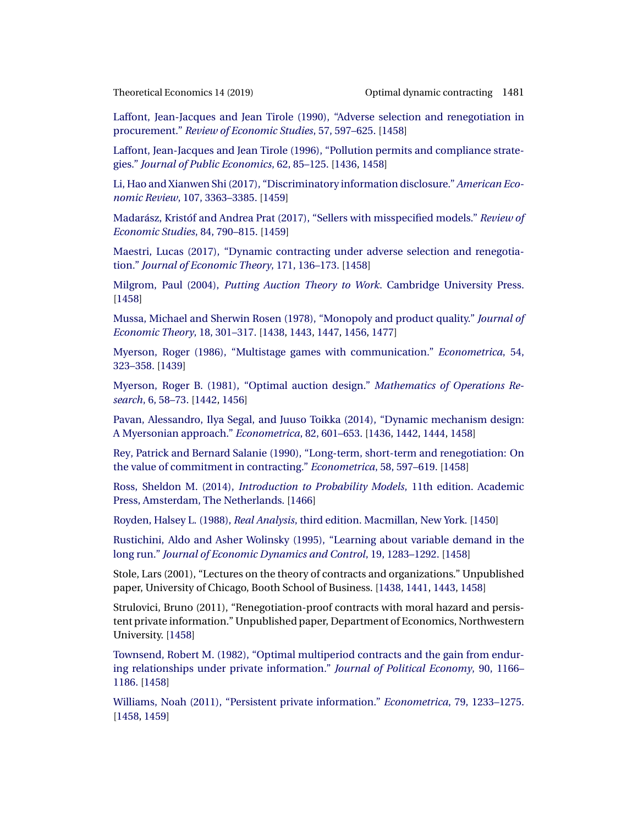<span id="page-46-0"></span>

[Laffont, Jean-Jacques and Jean Tirole \(1990\), "Adverse selection and renegotiation in](http://www.e-publications.org/srv/te/linkserver/openurl?rft_dat=bib:27/jt90&rfe_id=urn:sici%2F1933-6837%28201911%2914%3A4%3C1435%3AODCTFO%3E2.0.CO%3B2-2) procurement." *[Review of Economic Studies](http://www.e-publications.org/srv/te/linkserver/openurl?rft_dat=bib:27/jt90&rfe_id=urn:sici%2F1933-6837%28201911%2914%3A4%3C1435%3AODCTFO%3E2.0.CO%3B2-2)*, 57, 597–625. [\[1458\]](#page-23-0)

[Laffont, Jean-Jacques and Jean Tirole \(1996\), "Pollution permits and compliance strate](http://www.e-publications.org/srv/te/linkserver/openurl?rft_dat=bib:28/jt96&rfe_id=urn:sici%2F1933-6837%28201911%2914%3A4%3C1435%3AODCTFO%3E2.0.CO%3B2-2)gies." *[Journal of Public Economics](http://www.e-publications.org/srv/te/linkserver/openurl?rft_dat=bib:28/jt96&rfe_id=urn:sici%2F1933-6837%28201911%2914%3A4%3C1435%3AODCTFO%3E2.0.CO%3B2-2)*, 62, 85–125. [\[1436,](#page-1-0) [1458\]](#page-23-0)

[Li, Hao and Xianwen Shi \(2017\), "Discriminatory information disclosure."](http://www.e-publications.org/srv/te/linkserver/openurl?rft_dat=bib:29/LiSh17&rfe_id=urn:sici%2F1933-6837%28201911%2914%3A4%3C1435%3AODCTFO%3E2.0.CO%3B2-2) *American Economic Review*[, 107, 3363–3385.](http://www.e-publications.org/srv/te/linkserver/openurl?rft_dat=bib:29/LiSh17&rfe_id=urn:sici%2F1933-6837%28201911%2914%3A4%3C1435%3AODCTFO%3E2.0.CO%3B2-2) [\[1459\]](#page-24-0)

[Madarász, Kristóf and Andrea Prat \(2017\), "Sellers with misspecified models."](http://www.e-publications.org/srv/te/linkserver/openurl?rft_dat=bib:30/mp14&rfe_id=urn:sici%2F1933-6837%28201911%2914%3A4%3C1435%3AODCTFO%3E2.0.CO%3B2-2) *Review of [Economic Studies](http://www.e-publications.org/srv/te/linkserver/openurl?rft_dat=bib:30/mp14&rfe_id=urn:sici%2F1933-6837%28201911%2914%3A4%3C1435%3AODCTFO%3E2.0.CO%3B2-2)*, 84, 790–815. [\[1459\]](#page-24-0)

[Maestri, Lucas \(2017\), "Dynamic contracting under adverse selection and renegotia](http://www.e-publications.org/srv/te/linkserver/openurl?rft_dat=bib:31/m13&rfe_id=urn:sici%2F1933-6837%28201911%2914%3A4%3C1435%3AODCTFO%3E2.0.CO%3B2-2)tion." *[Journal of Economic Theory](http://www.e-publications.org/srv/te/linkserver/openurl?rft_dat=bib:31/m13&rfe_id=urn:sici%2F1933-6837%28201911%2914%3A4%3C1435%3AODCTFO%3E2.0.CO%3B2-2)*, 171, 136–173. [\[1458\]](#page-23-0)

Milgrom, Paul (2004), *[Putting Auction Theory to Work](http://www.e-publications.org/srv/te/linkserver/openurl?rft_dat=bib:32/m04&rfe_id=urn:sici%2F1933-6837%28201911%2914%3A4%3C1435%3AODCTFO%3E2.0.CO%3B2-2)*. Cambridge University Press. [\[1458\]](#page-23-0)

[Mussa, Michael and Sherwin Rosen \(1978\), "Monopoly and product quality."](http://www.e-publications.org/srv/te/linkserver/openurl?rft_dat=bib:33/mr78&rfe_id=urn:sici%2F1933-6837%28201911%2914%3A4%3C1435%3AODCTFO%3E2.0.CO%3B2-2) *Journal of [Economic Theory](http://www.e-publications.org/srv/te/linkserver/openurl?rft_dat=bib:33/mr78&rfe_id=urn:sici%2F1933-6837%28201911%2914%3A4%3C1435%3AODCTFO%3E2.0.CO%3B2-2)*, 18, 301–317. [\[1438,](#page-3-0) [1443,](#page-8-0) [1447,](#page-12-0) [1456,](#page-21-0) [1477\]](#page-42-0)

[Myerson, Roger \(1986\), "Multistage games with communication."](http://www.e-publications.org/srv/te/linkserver/openurl?rft_dat=bib:34/r86&rfe_id=urn:sici%2F1933-6837%28201911%2914%3A4%3C1435%3AODCTFO%3E2.0.CO%3B2-2) *Econometrica*, 54, [323–358.](http://www.e-publications.org/srv/te/linkserver/openurl?rft_dat=bib:34/r86&rfe_id=urn:sici%2F1933-6837%28201911%2914%3A4%3C1435%3AODCTFO%3E2.0.CO%3B2-2) [\[1439\]](#page-4-0)

[Myerson, Roger B. \(1981\), "Optimal auction design."](http://www.e-publications.org/srv/te/linkserver/openurl?rft_dat=bib:35/r81&rfe_id=urn:sici%2F1933-6837%28201911%2914%3A4%3C1435%3AODCTFO%3E2.0.CO%3B2-2) *Mathematics of Operations Research*[, 6, 58–73.](http://www.e-publications.org/srv/te/linkserver/openurl?rft_dat=bib:35/r81&rfe_id=urn:sici%2F1933-6837%28201911%2914%3A4%3C1435%3AODCTFO%3E2.0.CO%3B2-2) [\[1442,](#page-7-0) [1456\]](#page-21-0)

[Pavan, Alessandro, Ilya Segal, and Juuso Toikka \(2014\), "Dynamic mechanism design:](http://www.e-publications.org/srv/te/linkserver/openurl?rft_dat=bib:36/pst14&rfe_id=urn:sici%2F1933-6837%28201911%2914%3A4%3C1435%3AODCTFO%3E2.0.CO%3B2-2) [A Myersonian approach."](http://www.e-publications.org/srv/te/linkserver/openurl?rft_dat=bib:36/pst14&rfe_id=urn:sici%2F1933-6837%28201911%2914%3A4%3C1435%3AODCTFO%3E2.0.CO%3B2-2) *Econometrica*, 82, 601–653. [\[1436,](#page-1-0) [1442,](#page-7-0) [1444,](#page-9-0) [1458\]](#page-23-0)

[Rey, Patrick and Bernard Salanie \(1990\), "Long-term, short-term and renegotiation: On](http://www.e-publications.org/srv/te/linkserver/openurl?rft_dat=bib:37/rs90&rfe_id=urn:sici%2F1933-6837%28201911%2914%3A4%3C1435%3AODCTFO%3E2.0.CO%3B2-2) [the value of commitment in contracting."](http://www.e-publications.org/srv/te/linkserver/openurl?rft_dat=bib:37/rs90&rfe_id=urn:sici%2F1933-6837%28201911%2914%3A4%3C1435%3AODCTFO%3E2.0.CO%3B2-2) *Econometrica*, 58, 597–619. [\[1458\]](#page-23-0)

Ross, Sheldon M. (2014), *[Introduction to Probability Models](http://www.e-publications.org/srv/te/linkserver/openurl?rft_dat=bib:38/r14&rfe_id=urn:sici%2F1933-6837%28201911%2914%3A4%3C1435%3AODCTFO%3E2.0.CO%3B2-2)*, 11th edition. Academic [Press, Amsterdam, The Netherlands.](http://www.e-publications.org/srv/te/linkserver/openurl?rft_dat=bib:38/r14&rfe_id=urn:sici%2F1933-6837%28201911%2914%3A4%3C1435%3AODCTFO%3E2.0.CO%3B2-2) [\[1466\]](#page-31-0)

Royden, Halsey L. (1988), *Real Analysis*[, third edition. Macmillan, New York.](http://www.e-publications.org/srv/te/linkserver/openurl?rft_dat=bib:39/r88&rfe_id=urn:sici%2F1933-6837%28201911%2914%3A4%3C1435%3AODCTFO%3E2.0.CO%3B2-2) [\[1450\]](#page-15-0)

[Rustichini, Aldo and Asher Wolinsky \(1995\), "Learning about variable demand in the](http://www.e-publications.org/srv/te/linkserver/openurl?rft_dat=bib:40/rw95&rfe_id=urn:sici%2F1933-6837%28201911%2914%3A4%3C1435%3AODCTFO%3E2.0.CO%3B2-2) long run." *[Journal of Economic Dynamics and Control](http://www.e-publications.org/srv/te/linkserver/openurl?rft_dat=bib:40/rw95&rfe_id=urn:sici%2F1933-6837%28201911%2914%3A4%3C1435%3AODCTFO%3E2.0.CO%3B2-2)*, 19, 1283–1292. [\[1458\]](#page-23-0)

Stole, Lars (2001), "Lectures on the theory of contracts and organizations." Unpublished paper, University of Chicago, Booth School of Business. [\[1438,](#page-3-0) [1441,](#page-6-0) [1443,](#page-8-0) [1458\]](#page-23-0)

Strulovici, Bruno (2011), "Renegotiation-proof contracts with moral hazard and persistent private information." Unpublished paper, Department of Economics, Northwestern University. [\[1458\]](#page-23-0)

[Townsend, Robert M. \(1982\), "Optimal multiperiod contracts and the gain from endur](http://www.e-publications.org/srv/te/linkserver/openurl?rft_dat=bib:43/t82&rfe_id=urn:sici%2F1933-6837%28201911%2914%3A4%3C1435%3AODCTFO%3E2.0.CO%3B2-2)[ing relationships under private information."](http://www.e-publications.org/srv/te/linkserver/openurl?rft_dat=bib:43/t82&rfe_id=urn:sici%2F1933-6837%28201911%2914%3A4%3C1435%3AODCTFO%3E2.0.CO%3B2-2) *Journal of Political Economy*, 90, 1166– [1186.](http://www.e-publications.org/srv/te/linkserver/openurl?rft_dat=bib:43/t82&rfe_id=urn:sici%2F1933-6837%28201911%2914%3A4%3C1435%3AODCTFO%3E2.0.CO%3B2-2) [\[1458\]](#page-23-0)

[Williams, Noah \(2011\), "Persistent private information."](http://www.e-publications.org/srv/te/linkserver/openurl?rft_dat=bib:44/w11&rfe_id=urn:sici%2F1933-6837%28201911%2914%3A4%3C1435%3AODCTFO%3E2.0.CO%3B2-2) *Econometrica*, 79, 1233–1275. [\[1458,](#page-23-0) [1459\]](#page-24-0)